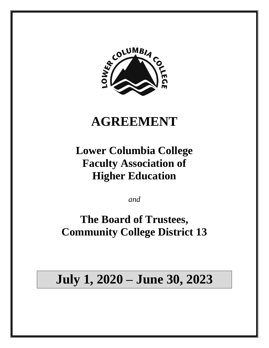

## **AGREEMENT**

**Lower Columbia College Faculty Association of Higher Education**

*and*

**The Board of Trustees, Community College District 13**

# **July 1, 2020 – June 30, 2023**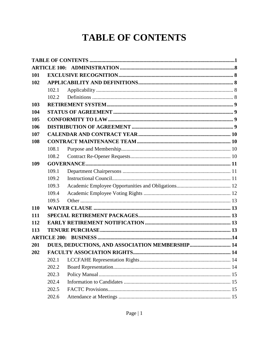## **TABLE OF CONTENTS**

<span id="page-1-0"></span>

| 101 |       |  |  |
|-----|-------|--|--|
| 102 |       |  |  |
|     | 102.1 |  |  |
|     | 102.2 |  |  |
| 103 |       |  |  |
| 104 |       |  |  |
| 105 |       |  |  |
| 106 |       |  |  |
| 107 |       |  |  |
| 108 |       |  |  |
|     | 108.1 |  |  |
|     | 108.2 |  |  |
| 109 |       |  |  |
|     | 109.1 |  |  |
|     | 109.2 |  |  |
|     | 109.3 |  |  |
|     | 109.4 |  |  |
|     | 109.5 |  |  |
| 110 |       |  |  |
| 111 |       |  |  |
| 112 |       |  |  |
| 113 |       |  |  |
|     |       |  |  |
| 201 |       |  |  |
| 202 |       |  |  |
|     | 202.1 |  |  |
|     | 202.2 |  |  |
|     | 202.3 |  |  |
|     | 202.4 |  |  |
|     | 202.5 |  |  |
|     | 202.6 |  |  |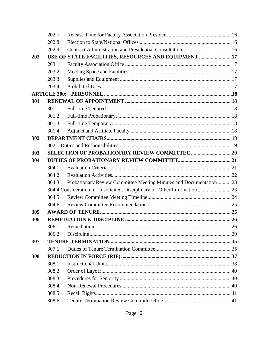|     | 202.7 |                                                                            |  |
|-----|-------|----------------------------------------------------------------------------|--|
|     | 202.8 |                                                                            |  |
|     | 202.9 |                                                                            |  |
| 203 |       | USE OF STATE FACILITIES, RESOURCES AND EQUIPMENT  17                       |  |
|     | 203.1 |                                                                            |  |
|     | 203.2 |                                                                            |  |
|     | 203.3 |                                                                            |  |
|     | 203.4 |                                                                            |  |
|     |       |                                                                            |  |
| 301 |       |                                                                            |  |
|     | 301.1 |                                                                            |  |
|     | 301.2 |                                                                            |  |
|     | 301.3 |                                                                            |  |
|     | 301.4 |                                                                            |  |
| 302 |       |                                                                            |  |
|     |       |                                                                            |  |
| 303 |       |                                                                            |  |
| 304 |       |                                                                            |  |
|     | 304.1 |                                                                            |  |
|     | 304.2 |                                                                            |  |
|     | 304.3 | Probationary Review Committee Meeting Minutes and Documentation 23         |  |
|     |       | 304.4 Consideration of Unsolicited, Disciplinary, or Other Information  23 |  |
|     | 304.5 |                                                                            |  |
|     | 304.6 |                                                                            |  |
| 305 |       |                                                                            |  |
| 306 |       |                                                                            |  |
|     | 306.1 |                                                                            |  |
|     | 306.2 |                                                                            |  |
| 307 |       |                                                                            |  |
|     | 307.1 |                                                                            |  |
| 308 |       |                                                                            |  |
|     | 308.1 |                                                                            |  |
|     | 308.2 |                                                                            |  |
|     | 308.3 |                                                                            |  |
|     | 308.4 |                                                                            |  |
|     | 308.5 |                                                                            |  |
|     | 308.6 |                                                                            |  |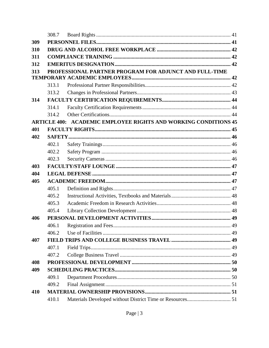|     | 308.7               |                                                           |  |
|-----|---------------------|-----------------------------------------------------------|--|
| 309 |                     |                                                           |  |
| 310 |                     |                                                           |  |
| 311 |                     |                                                           |  |
| 312 |                     |                                                           |  |
| 313 |                     | PROFESSIONAL PARTNER PROGRAM FOR ADJUNCT AND FULL-TIME    |  |
|     |                     |                                                           |  |
|     | 313.1               |                                                           |  |
|     | 313.2               |                                                           |  |
| 314 |                     |                                                           |  |
|     | 314.1               |                                                           |  |
|     | 314.2               |                                                           |  |
|     | <b>ARTICLE 400:</b> | <b>ACADEMIC EMPLOYEE RIGHTS AND WORKING CONDITIONS 45</b> |  |
| 401 |                     |                                                           |  |
| 402 |                     |                                                           |  |
|     | 402.1               |                                                           |  |
|     | 402.2               |                                                           |  |
|     | 402.3               |                                                           |  |
| 403 |                     |                                                           |  |
| 404 |                     |                                                           |  |
| 405 |                     |                                                           |  |
|     | 405.1               |                                                           |  |
|     | 405.2               |                                                           |  |
|     | 405.3               |                                                           |  |
|     | 405.4               |                                                           |  |
| 406 |                     |                                                           |  |
|     | 406.1               |                                                           |  |
|     | 406.2               |                                                           |  |
| 407 |                     |                                                           |  |
|     | 407.1               |                                                           |  |
|     | 407.2               |                                                           |  |
| 408 |                     |                                                           |  |
| 409 |                     |                                                           |  |
|     | 409.1               |                                                           |  |
|     | 409.2               |                                                           |  |
| 410 |                     |                                                           |  |
|     | 410.1               |                                                           |  |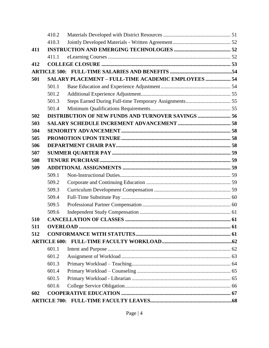|     | 410.2 |                                                     |  |
|-----|-------|-----------------------------------------------------|--|
|     | 410.3 |                                                     |  |
| 411 |       |                                                     |  |
|     | 411.1 |                                                     |  |
| 412 |       |                                                     |  |
|     |       |                                                     |  |
| 501 |       | SALARY PLACEMENT - FULL-TIME ACADEMIC EMPLOYEES  54 |  |
|     | 501.1 |                                                     |  |
|     | 501.2 |                                                     |  |
|     | 501.3 |                                                     |  |
|     | 501.4 |                                                     |  |
| 502 |       | DISTRIBUTION OF NEW FUNDS AND TURNOVER SAVINGS  56  |  |
| 503 |       |                                                     |  |
| 504 |       |                                                     |  |
| 505 |       |                                                     |  |
| 506 |       |                                                     |  |
| 507 |       |                                                     |  |
| 508 |       |                                                     |  |
| 509 |       |                                                     |  |
|     | 509.1 |                                                     |  |
|     | 509.2 |                                                     |  |
|     | 509.3 |                                                     |  |
|     | 509.4 |                                                     |  |
|     | 509.5 |                                                     |  |
|     | 509.6 |                                                     |  |
| 510 |       |                                                     |  |
| 511 |       |                                                     |  |
| 512 |       |                                                     |  |
|     |       |                                                     |  |
|     | 601.1 |                                                     |  |
|     | 601.2 |                                                     |  |
|     | 601.3 |                                                     |  |
|     | 601.4 |                                                     |  |
|     | 601.5 |                                                     |  |
|     | 601.6 |                                                     |  |
| 602 |       |                                                     |  |
|     |       |                                                     |  |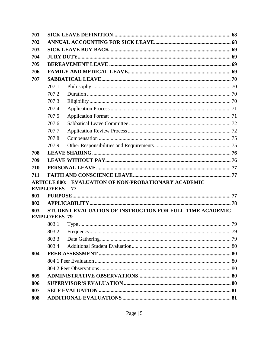| 701 |                     |                                                          |  |  |
|-----|---------------------|----------------------------------------------------------|--|--|
| 702 |                     |                                                          |  |  |
| 703 |                     |                                                          |  |  |
| 704 |                     |                                                          |  |  |
| 705 |                     |                                                          |  |  |
| 706 |                     |                                                          |  |  |
| 707 |                     |                                                          |  |  |
|     | 707.1               |                                                          |  |  |
|     | 707.2               |                                                          |  |  |
|     | 707.3               |                                                          |  |  |
|     | 707.4               |                                                          |  |  |
|     | 707.5               |                                                          |  |  |
|     | 707.6               |                                                          |  |  |
|     | 707.7               |                                                          |  |  |
|     | 707.8               |                                                          |  |  |
|     | 707.9               |                                                          |  |  |
| 708 |                     |                                                          |  |  |
| 709 |                     |                                                          |  |  |
| 710 |                     |                                                          |  |  |
| 711 |                     |                                                          |  |  |
|     | <b>ARTICLE 800:</b> | <b>EVALUATION OF NON-PROBATIONARY ACADEMIC</b>           |  |  |
|     | <b>EMPLOYEES</b>    | 77                                                       |  |  |
| 801 |                     |                                                          |  |  |
| 802 |                     |                                                          |  |  |
| 803 | <b>EMPLOYEES 79</b> | STUDENT EVALUATION OF INSTRUCTION FOR FULL-TIME ACADEMIC |  |  |
|     | 803.1               |                                                          |  |  |
|     | 803.2               |                                                          |  |  |
|     | 803.3               |                                                          |  |  |
|     | 803.4               |                                                          |  |  |
| 804 |                     |                                                          |  |  |
|     |                     |                                                          |  |  |
|     |                     |                                                          |  |  |
| 805 |                     |                                                          |  |  |
| 806 |                     |                                                          |  |  |
| 807 |                     |                                                          |  |  |
| 808 |                     |                                                          |  |  |
|     |                     |                                                          |  |  |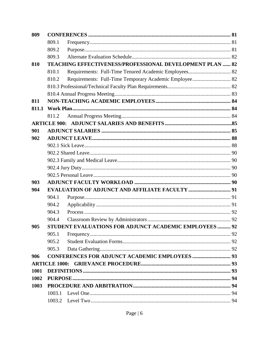| 809   |                      |                                                          |  |
|-------|----------------------|----------------------------------------------------------|--|
|       | 809.1                |                                                          |  |
|       | 809.2                |                                                          |  |
|       | 809.3                |                                                          |  |
| 810   |                      | TEACHING EFFECTIVENESS/PROFESSIONAL DEVELOPMENT PLAN  82 |  |
|       | 810.1                |                                                          |  |
|       | 810.2                | Requirements: Full-Time Temporary Academic Employee 82   |  |
|       |                      |                                                          |  |
|       |                      |                                                          |  |
| 811   |                      |                                                          |  |
| 811.1 |                      |                                                          |  |
|       | 811.2                |                                                          |  |
|       |                      |                                                          |  |
| 901   |                      |                                                          |  |
| 902   |                      |                                                          |  |
|       |                      |                                                          |  |
|       |                      |                                                          |  |
|       |                      |                                                          |  |
|       |                      |                                                          |  |
|       |                      |                                                          |  |
| 903   |                      |                                                          |  |
| 904   |                      |                                                          |  |
|       | 904.1                |                                                          |  |
|       | 904.2                |                                                          |  |
|       | 904.3                |                                                          |  |
|       | 904.4                |                                                          |  |
| 905   |                      | STUDENT EVALUATIONS FOR ADJUNCT ACADEMIC EMPLOYEES  92   |  |
|       | 905.1                |                                                          |  |
|       | 905.2                |                                                          |  |
|       | 905.3                |                                                          |  |
| 906   |                      |                                                          |  |
|       | <b>ARTICLE 1000:</b> |                                                          |  |
| 1001  |                      |                                                          |  |
| 1002  |                      |                                                          |  |
| 1003  |                      |                                                          |  |
|       | 1003.1               |                                                          |  |
|       |                      |                                                          |  |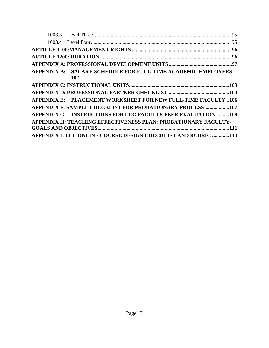| APPENDIX B: SALARY SCHEDULE FOR FULL-TIME ACADEMIC EMPLOYEES<br>102  |  |
|----------------------------------------------------------------------|--|
|                                                                      |  |
|                                                                      |  |
| <b>APPENDIX E: PLACEMENT WORKSHEET FOR NEW FULL-TIME FACULTY 106</b> |  |
| APPENDIX F: SAMPLE CHECKLIST FOR PROBATIONARY PROCESS107             |  |
| APPENDIX G: INSTRUCTIONS FOR LCC FACULTY PEER EVALUATION109          |  |
| APPENDIX H: TEACHING EFFECTIVENESS PLAN: PROBATIONARY FACULTY-       |  |
| APPENDIX I: LCC ONLINE COURSE DESIGN CHECKLIST AND RUBRIC 113        |  |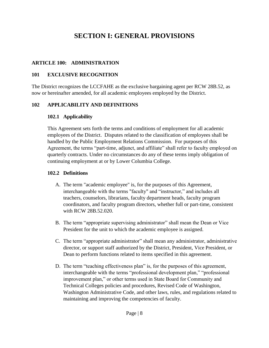## **SECTION I: GENERAL PROVISIONS**

#### <span id="page-8-0"></span>**ARTICLE 100: ADMINISTRATION**

#### <span id="page-8-1"></span>**101 EXCLUSIVE RECOGNITION**

The District recognizes the LCCFAHE as the exclusive bargaining agent per RCW 28B.52, as now or hereinafter amended, for all academic employees employed by the District.

#### <span id="page-8-3"></span><span id="page-8-2"></span>**102 APPLICABILITY AND DEFINITIONS**

#### **102.1 Applicability**

This Agreement sets forth the terms and conditions of employment for all academic employees of the District. Disputes related to the classification of employees shall be handled by the Public Employment Relations Commission. For purposes of this Agreement, the terms "part-time, adjunct, and affiliate" shall refer to faculty employed on quarterly contracts. Under no circumstances do any of these terms imply obligation of continuing employment at or by Lower Columbia College.

#### <span id="page-8-4"></span>**102.2 Definitions**

- A. The term "academic employee" is, for the purposes of this Agreement, interchangeable with the terms "faculty" and "instructor," and includes all teachers, counselors, librarians, faculty department heads, faculty program coordinators, and faculty program directors, whether full or part-time, consistent with RCW 28B.52.020.
- B. The term "appropriate supervising administrator" shall mean the Dean or Vice President for the unit to which the academic employee is assigned.
- C. The term "appropriate administrator" shall mean any administrator, administrative director, or support staff authorized by the District, President, Vice President, or Dean to perform functions related to items specified in this agreement.
- D. The term "teaching effectiveness plan" is, for the purposes of this agreement, interchangeable with the terms "professional development plan," "professional improvement plan," or other terms used in State Board for Community and Technical Colleges policies and procedures, Revised Code of Washington, Washington Administrative Code, and other laws, rules, and regulations related to maintaining and improving the competencies of faculty.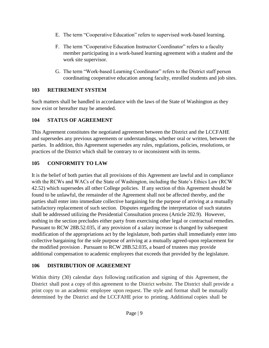- E. The term "Cooperative Education" refers to supervised work-based learning.
- F. The term "Cooperative Education Instructor Coordinator" refers to a faculty member participating in a work-based learning agreement with a student and the work site supervisor.
- G. The term "Work-based Learning Coordinator" refers to the District staff person coordinating cooperative education among faculty, enrolled students and job sites.

#### <span id="page-9-0"></span>**103 RETIREMENT SYSTEM**

Such matters shall be handled in accordance with the laws of the State of Washington as they now exist or hereafter may be amended.

#### <span id="page-9-1"></span>**104 STATUS OF AGREEMENT**

This Agreement constitutes the negotiated agreement between the District and the LCCFAHE and supersedes any previous agreements or understandings, whether oral or written, between the parties. In addition, this Agreement supersedes any rules, regulations, policies, resolutions, or practices of the District which shall be contrary to or inconsistent with its terms.

## <span id="page-9-2"></span>**105 CONFORMITY TO LAW**

It is the belief of both parties that all provisions of this Agreement are lawful and in compliance with the RCWs and WACs of the State of Washington, including the State's Ethics Law (RCW 42.52) which supersedes all other College policies. If any section of this Agreement should be found to be unlawful, the remainder of the Agreement shall not be affected thereby, and the parties shall enter into immediate collective bargaining for the purpose of arriving at a mutually satisfactory replacement of such section. Disputes regarding the interpretation of such statutes shall be addressed utilizing the Presidential Consultation process (Article 202.9). However, nothing in the section precludes either party from exercising other legal or contractual remedies. Pursuant to RCW 28B.52.035, if any provision of a salary increase is changed by subsequent modification of the appropriations act by the legislature, both parties shall immediately enter into collective bargaining for the sole purpose of arriving at a mutually agreed-upon replacement for the modified provision . Pursuant to RCW 28B.52.035, a board of trustees may provide additional compensation to academic employees that exceeds that provided by the legislature.

## <span id="page-9-3"></span>**106 DISTRIBUTION OF AGREEMENT**

Within thirty (30) calendar days following ratification and signing of this Agreement, the District shall post a copy of this agreement to the District website. The District shall provide a print copy to an academic employee upon request. The style and format shall be mutually determined by the District and the LCCFAHE prior to printing. Additional copies shall be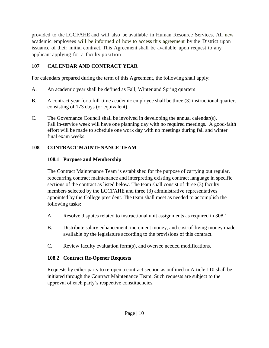provided to the LCCFAHE and will also be available in Human Resource Services. All new academic employees will be informed of how to access this agreement by the District upon issuance of their initial contract. This Agreement shall be available upon request to any applicant applying for a faculty position.

## <span id="page-10-0"></span>**107 CALENDAR AND CONTRACT YEAR**

For calendars prepared during the term of this Agreement, the following shall apply:

- A. An academic year shall be defined as Fall, Winter and Spring quarters
- B. A contract year for a full-time academic employee shall be three (3) instructional quarters consisting of 173 days (or equivalent).
- C. The Governance Council shall be involved in developing the annual calendar(s). Fall in-service week will have one planning day with no required meetings. A good-faith effort will be made to schedule one work day with no meetings during fall and winter final exam weeks.

## <span id="page-10-2"></span><span id="page-10-1"></span>**108 CONTRACT MAINTENANCE TEAM**

## **108.1 Purpose and Membership**

The Contract Maintenance Team is established for the purpose of carrying out regular, reoccurring contract maintenance and interpreting existing contract language in specific sections of the contract as listed below. The team shall consist of three (3) faculty members selected by the LCCFAHE and three (3) administrative representatives appointed by the College president. The team shall meet as needed to accomplish the following tasks:

- A. Resolve disputes related to instructional unit assignments as required in 308.1.
- B. Distribute salary enhancement, increment money, and cost-of-living money made available by the legislature according to the provisions of this contract.
- C. Review faculty evaluation form(s), and oversee needed modifications.

## <span id="page-10-3"></span>**108.2 Contract Re-Opener Requests**

<span id="page-10-4"></span>Requests by either party to re-open a contract section as outlined in Article 110 shall be initiated through the Contract Maintenance Team. Such requests are subject to the approval of each party's respective constituencies.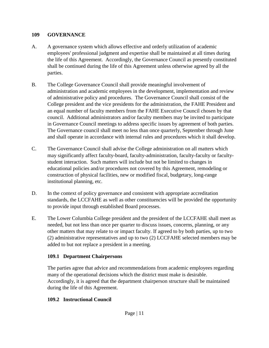#### **109 GOVERNANCE**

- A. A governance system which allows effective and orderly utilization of academic employees' professional judgment and expertise shall be maintained at all times during the life of this Agreement. Accordingly, the Governance Council as presently constituted shall be continued during the life of this Agreement unless otherwise agreed by all the parties.
- B. The College Governance Council shall provide meaningful involvement of administration and academic employees in the development, implementation and review of administrative policy and procedures. The Governance Council shall consist of the College president and the vice presidents for the administration, the FAHE President and an equal number of faculty members from the FAHE Executive Council chosen by that council. Additional administrators and/or faculty members may be invited to participate in Governance Council meetings to address specific issues by agreement of both parties. The Governance council shall meet no less than once quarterly, September through June and shall operate in accordance with internal rules and procedures which it shall develop.
- C. The Governance Council shall advise the College administration on all matters which may significantly affect faculty-board, faculty-administration, faculty-faculty or facultystudent interaction. Such matters will include but not be limited to changes in educational policies and/or procedures not covered by this Agreement, remodeling or construction of physical facilities, new or modified fiscal, budgetary, long-range institutional planning, etc.
- D. In the context of policy governance and consistent with appropriate accreditation standards, the LCCFAHE as well as other constituencies will be provided the opportunity to provide input through established Board processes.
- E. The Lower Columbia College president and the president of the LCCFAHE shall meet as needed, but not less than once per quarter to discuss issues, concerns, planning, or any other matters that may relate to or impact faculty. If agreed to by both parties, up to two (2) administrative representatives and up to two (2) LCCFAHE selected members may be added to but not replace a president in a meeting.

#### <span id="page-11-0"></span>**109.1 Department Chairpersons**

The parties agree that advice and recommendations from academic employees regarding many of the operational decisions which the district must make is desirable. Accordingly, it is agreed that the department chairperson structure shall be maintained during the life of this Agreement.

#### <span id="page-11-1"></span>**109.2 Instructional Council**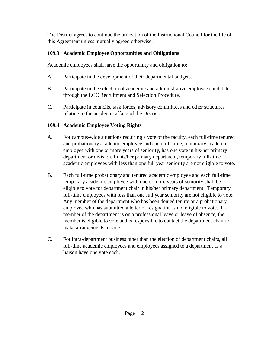The District agrees to continue the utilization of the Instructional Council for the life of this Agreement unless mutually agreed otherwise.

## <span id="page-12-0"></span>**109.3 Academic Employee Opportunities and Obligations**

Academic employees shall have the opportunity and obligation to:

- A. Participate in the development of their departmental budgets.
- B. Participate in the selection of academic and administrative employee candidates through the LCC Recruitment and Selection Procedure.
- C. Participate in councils, task forces, advisory committees and other structures relating to the academic affairs of the District.

## <span id="page-12-1"></span>**109.4 Academic Employee Voting Rights**

- A. For campus-wide situations requiring a vote of the faculty, each full-time tenured and probationary academic employee and each full-time, temporary academic employee with one or more years of seniority, has one vote in his/her primary department or division. In his/her primary department, temporary full-time academic employees with less than one full year seniority are not eligible to vote.
- B. Each full-time probationary and tenured academic employee and each full-time temporary academic employee with one or more years of seniority shall be eligible to vote for department chair in his/her primary department. Temporary full-time employees with less than one full year seniority are not eligible to vote. Any member of the department who has been denied tenure or a probationary employee who has submitted a letter of resignation is not eligible to vote. If a member of the department is on a professional leave or leave of absence, the member is eligible to vote and is responsible to contact the department chair to make arrangements to vote.
- C. For intra-department business other than the election of department chairs, all full-time academic employees and employees assigned to a department as a liaison have one vote each.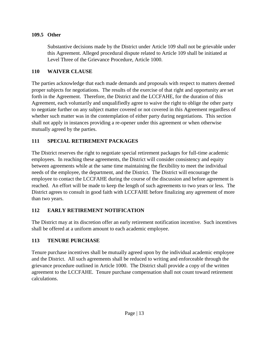#### <span id="page-13-0"></span>**109.5 Other**

Substantive decisions made by the District under Article 109 shall not be grievable under this Agreement. Alleged procedural dispute related to Article 109 shall be initiated at Level Three of the Grievance Procedure, Article 1000.

#### <span id="page-13-1"></span>**110 WAIVER CLAUSE**

The parties acknowledge that each made demands and proposals with respect to matters deemed proper subjects for negotiations. The results of the exercise of that right and opportunity are set forth in the Agreement. Therefore, the District and the LCCFAHE, for the duration of this Agreement, each voluntarily and unqualifiedly agree to waive the right to oblige the other party to negotiate further on any subject matter covered or not covered in this Agreement regardless of whether such matter was in the contemplation of either party during negotiations. This section shall not apply in instances providing a re-opener under this agreement or when otherwise mutually agreed by the parties.

## <span id="page-13-2"></span>**111 SPECIAL RETIREMENT PACKAGES**

The District reserves the right to negotiate special retirement packages for full-time academic employees. In reaching these agreements, the District will consider consistency and equity between agreements while at the same time maintaining the flexibility to meet the individual needs of the employee, the department, and the District. The District will encourage the employee to contact the LCCFAHE during the course of the discussion and before agreement is reached. An effort will be made to keep the length of such agreements to two years or less. The District agrees to consult in good faith with LCCFAHE before finalizing any agreement of more than two years.

## <span id="page-13-3"></span>**112 EARLY RETIREMENT NOTIFICATION**

The District may at its discretion offer an early retirement notification incentive. Such incentives shall be offered at a uniform amount to each academic employee.

## <span id="page-13-4"></span>**113 TENURE PURCHASE**

Tenure purchase incentives shall be mutually agreed upon by the individual academic employee and the District. All such agreements shall be reduced to writing and enforceable through the grievance procedure outlined in Article 1000. The District shall provide a copy of the written agreement to the LCCFAHE. Tenure purchase compensation shall not count toward retirement calculations.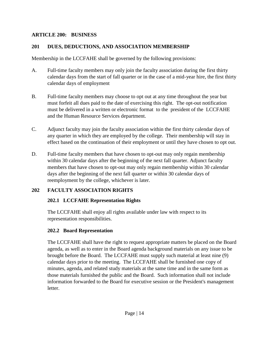#### <span id="page-14-0"></span>**ARTICLE 200: BUSINESS**

#### <span id="page-14-1"></span>**201 DUES, DEDUCTIONS, AND ASSOCIATION MEMBERSHIP**

Membership in the LCCFAHE shall be governed by the following provisions:

- A. Full-time faculty members may only join the faculty association during the first thirty calendar days from the start of fall quarter or in the case of a mid-year hire, the first thirty calendar days of employment
- B. Full-time faculty members may choose to opt out at any time throughout the year but must forfeit all dues paid to the date of exercising this right. The opt-out notification must be delivered in a written or electronic format to the president of the LCCFAHE and the Human Resource Services department.
- C. Adjunct faculty may join the faculty association within the first thirty calendar days of any quarter in which they are employed by the college. Their membership will stay in effect based on the continuation of their employment or until they have chosen to opt out.
- D. Full-time faculty members that have chosen to opt-out may only regain membership within 30 calendar days after the beginning of the next fall quarter. Adjunct faculty members that have chosen to opt-out may only regain membership within 30 calendar days after the beginning of the next fall quarter or within 30 calendar days of reemployment by the college, whichever is later.

#### <span id="page-14-3"></span><span id="page-14-2"></span>**202 FACULTY ASSOCIATION RIGHTS**

#### **202.1 LCCFAHE Representation Rights**

The LCCFAHE shall enjoy all rights available under law with respect to its representation responsibilities.

#### <span id="page-14-4"></span>**202.2 Board Representation**

The LCCFAHE shall have the right to request appropriate matters be placed on the Board agenda, as well as to enter in the Board agenda background materials on any issue to be brought before the Board. The LCCFAHE must supply such material at least nine (9) calendar days prior to the meeting. The LCCFAHE shall be furnished one copy of minutes, agenda, and related study materials at the same time and in the same form as those materials furnished the public and the Board. Such information shall not include information forwarded to the Board for executive session or the President's management letter.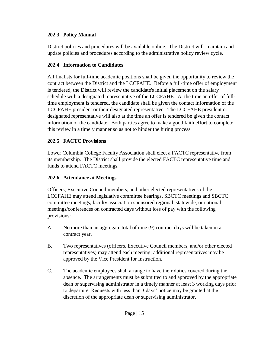#### <span id="page-15-0"></span>**202.3 Policy Manual**

District policies and procedures will be available online. The District will maintain and update policies and procedures according to the administrative policy review cycle.

#### <span id="page-15-1"></span>**202.4 Information to Candidates**

All finalists for full-time academic positions shall be given the opportunity to review the contract between the District and the LCCFAHE. Before a full-time offer of employment is tendered, the District will review the candidate's initial placement on the salary schedule with a designated representative of the LCCFAHE. At the time an offer of fulltime employment is tendered, the candidate shall be given the contact information of the LCCFAHE president or their designated representative. The LCCFAHE president or designated representative will also at the time an offer is tendered be given the contact information of the candidate. Both parties agree to make a good faith effort to complete this review in a timely manner so as not to hinder the hiring process.

#### <span id="page-15-2"></span>**202.5 FACTC Provisions**

Lower Columbia College Faculty Association shall elect a FACTC representative from its membership. The District shall provide the elected FACTC representative time and funds to attend FACTC meetings.

#### <span id="page-15-3"></span>**202.6 Attendance at Meetings**

Officers, Executive Council members, and other elected representatives of the LCCFAHE may attend legislative committee hearings, SBCTC meetings and SBCTC committee meetings, faculty association sponsored regional, statewide, or national meetings/conferences on contracted days without loss of pay with the following provisions:

- A. No more than an aggregate total of nine (9) contract days will be taken in a contract year.
- B. Two representatives (officers, Executive Council members, and/or other elected representatives) may attend each meeting; additional representatives may be approved by the Vice President for Instruction.
- C. The academic employees shall arrange to have their duties covered during the absence. The arrangements must be submitted to and approved by the appropriate dean or supervising administrator in a timely manner at least 3 working days prior to departure. Requests with less than 3 days' notice may be granted at the discretion of the appropriate dean or supervising administrator.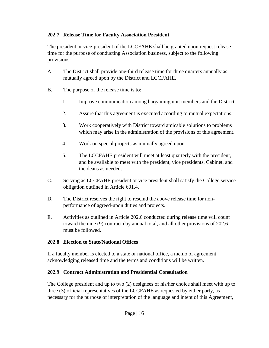#### <span id="page-16-0"></span>**202.7 Release Time for Faculty Association President**

The president or vice-president of the LCCFAHE shall be granted upon request release time for the purpose of conducting Association business, subject to the following provisions:

- A. The District shall provide one-third release time for three quarters annually as mutually agreed upon by the District and LCCFAHE.
- B. The purpose of the release time is to:
	- 1. Improve communication among bargaining unit members and the District.
	- 2. Assure that this agreement is executed according to mutual expectations.
	- 3. Work cooperatively with District toward amicable solutions to problems which may arise in the administration of the provisions of this agreement.
	- 4. Work on special projects as mutually agreed upon.
	- 5. The LCCFAHE president will meet at least quarterly with the president, and be available to meet with the president, vice presidents, Cabinet, and the deans as needed.
- C. Serving as LCCFAHE president or vice president shall satisfy the College service obligation outlined in Article 601.4.
- D. The District reserves the right to rescind the above release time for nonperformance of agreed-upon duties and projects.
- E. Activities as outlined in Article 202.6 conducted during release time will count toward the nine (9) contract day annual total, and all other provisions of 202.6 must be followed.

#### <span id="page-16-1"></span>**202.8 Election to State/National Offices**

If a faculty member is elected to a state or national office, a memo of agreement acknowledging released time and the terms and conditions will be written.

#### <span id="page-16-2"></span>**202.9 Contract Administration and Presidential Consultation**

The College president and up to two (2) designees of his/her choice shall meet with up to three (3) official representatives of the LCCFAHE as requested by either party, as necessary for the purpose of interpretation of the language and intent of this Agreement,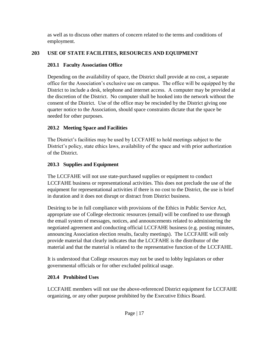as well as to discuss other matters of concern related to the terms and conditions of employment.

## <span id="page-17-1"></span><span id="page-17-0"></span>**203 USE OF STATE FACILITIES, RESOURCES AND EQUIPMENT**

## **203.1 Faculty Association Office**

Depending on the availability of space, the District shall provide at no cost, a separate office for the Association's exclusive use on campus. The office will be equipped by the District to include a desk, telephone and internet access. A computer may be provided at the discretion of the District. No computer shall be hooked into the network without the consent of the District. Use of the office may be rescinded by the District giving one quarter notice to the Association, should space constraints dictate that the space be needed for other purposes.

## <span id="page-17-2"></span>**203.2 Meeting Space and Facilities**

The District's facilities may be used by LCCFAHE to hold meetings subject to the District's policy, state ethics laws, availability of the space and with prior authorization of the District.

## <span id="page-17-3"></span>**203.3 Supplies and Equipment**

The LCCFAHE will not use state-purchased supplies or equipment to conduct LCCFAHE business or representational activities. This does not preclude the use of the equipment for representational activities if there is no cost to the District, the use is brief in duration and it does not disrupt or distract from District business.

Desiring to be in full compliance with provisions of the Ethics in Public Service Act, appropriate use of College electronic resources (email) will be confined to use through the email system of messages, notices, and announcements related to administering the negotiated agreement and conducting official LCCFAHE business (e.g. posting minutes, announcing Association election results, faculty meetings). The LCCFAHE will only provide material that clearly indicates that the LCCFAHE is the distributor of the material and that the material is related to the representative function of the LCCFAHE.

It is understood that College resources may not be used to lobby legislators or other governmental officials or for other excluded political usage.

## <span id="page-17-4"></span>**203.4 Prohibited Uses**

LCCFAHE members will not use the above-referenced District equipment for LCCFAHE organizing, or any other purpose prohibited by the Executive Ethics Board.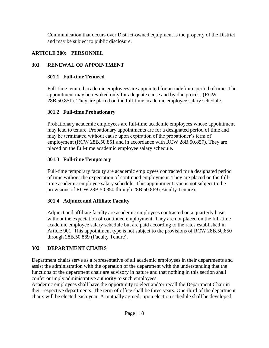Communication that occurs over District-owned equipment is the property of the District and may be subject to public disclosure.

#### <span id="page-18-0"></span>**ARTICLE 300: PERSONNEL**

## <span id="page-18-2"></span><span id="page-18-1"></span>**301 RENEWAL OF APPOINTMENT**

## **301.1 Full-time Tenured**

Full-time tenured academic employees are appointed for an indefinite period of time. The appointment may be revoked only for adequate cause and by due process (RCW 28B.50.851). They are placed on the full-time academic employee salary schedule.

#### <span id="page-18-3"></span>**301.2 Full-time Probationary**

Probationary academic employees are full-time academic employees whose appointment may lead to tenure. Probationary appointments are for a designated period of time and may be terminated without cause upon expiration of the probationer's term of employment (RCW 28B.50.851 and in accordance with RCW 28B.50.857). They are placed on the full-time academic employee salary schedule.

## <span id="page-18-4"></span>**301.3 Full-time Temporary**

Full-time temporary faculty are academic employees contracted for a designated period of time without the expectation of continued employment. They are placed on the fulltime academic employee salary schedule. This appointment type is not subject to the provisions of RCW 28B.50.850 through 28B.50.869 (Faculty Tenure).

## <span id="page-18-5"></span>**301.4 Adjunct and Affiliate Faculty**

Adjunct and affiliate faculty are academic employees contracted on a quarterly basis without the expectation of continued employment. They are not placed on the full-time academic employee salary schedule but are paid according to the rates established in Article 901. This appointment type is not subject to the provisions of RCW 28B.50.850 through 28B.50.869 (Faculty Tenure).

## <span id="page-18-6"></span>**302 DEPARTMENT CHAIRS**

Department chairs serve as a representative of all academic employees in their departments and assist the administration with the operation of the department with the understanding that the functions of the department chair are advisory in nature and that nothing in this section shall confer or imply administrative authority to such employees.

Academic employees shall have the opportunity to elect and/or recall the Department Chair in their respective departments. The term of office shall be three years. One-third of the department chairs will be elected each year. A mutually agreed- upon election schedule shall be developed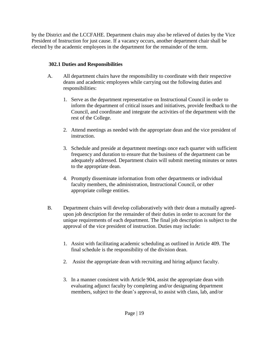by the District and the LCCFAHE. Department chairs may also be relieved of duties by the Vice President of Instruction for just cause. If a vacancy occurs, another department chair shall be elected by the academic employees in the department for the remainder of the term.

#### <span id="page-19-0"></span>**302.1 Duties and Responsibilities**

- A. All department chairs have the responsibility to coordinate with their respective deans and academic employees while carrying out the following duties and responsibilities:
	- 1. Serve as the department representative on Instructional Council in order to inform the department of critical issues and initiatives, provide feedback to the Council, and coordinate and integrate the activities of the department with the rest of the College.
	- 2. Attend meetings as needed with the appropriate dean and the vice president of instruction.
	- 3. Schedule and preside at department meetings once each quarter with sufficient frequency and duration to ensure that the business of the department can be adequately addressed. Department chairs will submit meeting minutes or notes to the appropriate dean.
	- 4. Promptly disseminate information from other departments or individual faculty members, the administration, Instructional Council, or other appropriate college entities.
- B. Department chairs will develop collaboratively with their dean a mutually agreedupon job description for the remainder of their duties in order to account for the unique requirements of each department. The final job description is subject to the approval of the vice president of instruction. Duties may include:
	- 1. Assist with facilitating academic scheduling as outlined in Article 409. The final schedule is the responsibility of the division dean.
	- 2. Assist the appropriate dean with recruiting and hiring adjunct faculty.
	- 3. In a manner consistent with Article 904, assist the appropriate dean with evaluating adjunct faculty by completing and/or designating department members, subject to the dean's approval, to assist with class, lab, and/or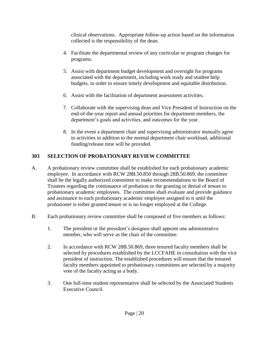clinical observations. Appropriate follow-up action based on the information collected is the responsibility of the dean.

- 4. Facilitate the departmental review of any curricular or program changes for programs.
- 5. Assist with department budget development and oversight for programs associated with the department, including work study and student help budgets, in order to ensure timely development and equitable distribution.
- 6. Assist with the facilitation of department assessment activities.
- 7. Collaborate with the supervising dean and Vice President of Instruction on the end-of-the-year report and annual priorities for department members, the department's goals and activities, and outcomes for the year.
- 8. In the event a department chair and supervising administrator mutually agree to activities in addition to the normal department chair workload, additional funding/release time will be provided.

## <span id="page-20-0"></span>**303 SELECTION OF PROBATIONARY REVIEW COMMITTEE**

- A. A probationary review committee shall be established for each probationary academic employee. In accordance with RCW 28B.50.850 through 28B.50.869, the committee shall be the legally authorized committee to make recommendations to the Board of Trustees regarding the continuance of probation or the granting or denial of tenure to probationary academic employees. The committee shall evaluate and provide guidance and assistance to each probationary academic employee assigned to it until the probationer is either granted tenure or is no longer employed at the College.
- B. Each probationary review committee shall be composed of five members as follows:
	- 1. The president or the president's designee shall appoint one administrative member, who will serve as the chair of the committee.
	- 2. In accordance with RCW 28B.50.869, three tenured faculty members shall be selected by procedures established by the LCCFAHE in consultation with the vice president of instruction. The established procedures will ensure that the tenured faculty members appointed to probationary committees are selected by a majority vote of the faculty acting as a body.
	- 3. One full-time student representative shall be selected by the Associated Students Executive Council.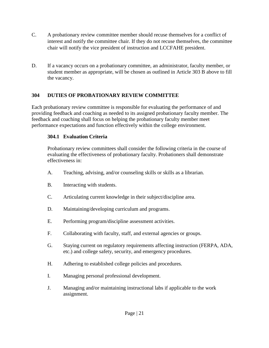- C. A probationary review committee member should recuse themselves for a conflict of interest and notify the committee chair. If they do not recuse themselves, the committee chair will notify the vice president of instruction and LCCFAHE president.
- D. If a vacancy occurs on a probationary committee, an administrator, faculty member, or student member as appropriate, will be chosen as outlined in Article 303 B above to fill the vacancy.

#### <span id="page-21-0"></span>**304 DUTIES OF PROBATIONARY REVIEW COMMITTEE**

Each probationary review committee is responsible for evaluating the performance of and providing feedback and coaching as needed to its assigned probationary faculty member. The feedback and coaching shall focus on helping the probationary faculty member meet performance expectations and function effectively within the college environment.

#### <span id="page-21-1"></span>**304.1 Evaluation Criteria**

Probationary review committees shall consider the following criteria in the course of evaluating the effectiveness of probationary faculty. Probationers shall demonstrate effectiveness in:

- A. Teaching, advising, and/or counseling skills or skills as a librarian.
- B. Interacting with students.
- C. Articulating current knowledge in their subject/discipline area.
- D. Maintaining/developing curriculum and programs.
- E. Performing program/discipline assessment activities.
- F. Collaborating with faculty, staff, and external agencies or groups.
- G. Staying current on regulatory requirements affecting instruction (FERPA, ADA, etc.) and college safety, security, and emergency procedures.
- H. Adhering to established college policies and procedures.
- I. Managing personal professional development.
- J. Managing and/or maintaining instructional labs if applicable to the work assignment.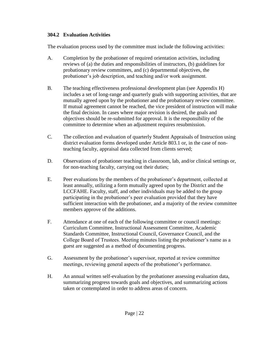#### <span id="page-22-0"></span>**304.2 Evaluation Activities**

The evaluation process used by the committee must include the following activities:

- A. Completion by the probationer of required orientation activities, including reviews of (a) the duties and responsibilities of instructors, (b) guidelines for probationary review committees, and (c) departmental objectives, the probationer's job description, and teaching and/or work assignment.
- B. The teaching effectiveness professional development plan (see Appendix H) includes a set of long-range and quarterly goals with supporting activities, that are mutually agreed upon by the probationer and the probationary review committee. If mutual agreement cannot be reached, the vice president of instruction will make the final decision. In cases where major revision is desired, the goals and objectives should be re-submitted for approval. It is the responsibility of the committee to determine when an adjustment requires resubmission.
- C. The collection and evaluation of quarterly Student Appraisals of Instruction using district evaluation forms developed under Article 803.1 or, in the case of nonteaching faculty, appraisal data collected from clients served;
- D. Observations of probationer teaching in classroom, lab, and/or clinical settings or, for non-teaching faculty, carrying out their duties;
- E. Peer evaluations by the members of the probationer's department, collected at least annually, utilizing a form mutually agreed upon by the District and the LCCFAHE. Faculty, staff, and other individuals may be added to the group participating in the probationer's peer evaluation provided that they have sufficient interaction with the probationer, and a majority of the review committee members approve of the additions.
- F. Attendance at one of each of the following committee or council meetings: Curriculum Committee, Instructional Assessment Committee, Academic Standards Committee, Instructional Council, Governance Council, and the College Board of Trustees. Meeting minutes listing the probationer's name as a guest are suggested as a method of documenting progress.
- G. Assessment by the probationer's supervisor, reported at review committee meetings, reviewing general aspects of the probationer's performance.
- H. An annual written self-evaluation by the probationer assessing evaluation data, summarizing progress towards goals and objectives, and summarizing actions taken or contemplated in order to address areas of concern.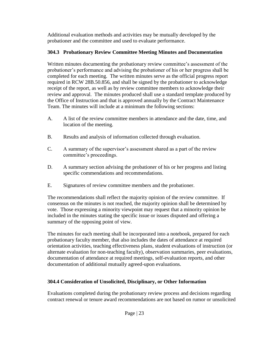Additional evaluation methods and activities may be mutually developed by the probationer and the committee and used to evaluate performance.

## <span id="page-23-0"></span>**304.3 Probationary Review Committee Meeting Minutes and Documentation**

Written minutes documenting the probationary review committee's assessment of the probationer's performance and advising the probationer of his or her progress shall be completed for each meeting. The written minutes serve as the official progress report required in RCW 28B.50.856, and shall be signed by the probationer to acknowledge receipt of the report, as well as by review committee members to acknowledge their review and approval. The minutes produced shall use a standard template produced by the Office of Instruction and that is approved annually by the Contract Maintenance Team. The minutes will include at a minimum the following sections:

- A. A list of the review committee members in attendance and the date, time, and location of the meeting.
- B. Results and analysis of information collected through evaluation.
- C. A summary of the supervisor's assessment shared as a part of the review committee's proceedings.
- D. A summary section advising the probationer of his or her progress and listing specific commendations and recommendations.
- E. Signatures of review committee members and the probationer.

The recommendations shall reflect the majority opinion of the review committee. If consensus on the minutes is not reached, the majority opinion shall be determined by vote. Those expressing a minority viewpoint may request that a minority opinion be included in the minutes stating the specific issue or issues disputed and offering a summary of the opposing point of view.

The minutes for each meeting shall be incorporated into a notebook, prepared for each probationary faculty member, that also includes the dates of attendance at required orientation activities, teaching effectiveness plans, student evaluations of instruction (or alternate evaluation for non-teaching faculty), observation summaries, peer evaluations, documentation of attendance at required meetings, self-evaluation reports, and other documentation of additional mutually agreed-upon evaluations.

## <span id="page-23-1"></span>**304.4 Consideration of Unsolicited, Disciplinary, or Other Information**

Evaluations completed during the probationary review process and decisions regarding contract renewal or tenure award recommendations are not based on rumor or unsolicited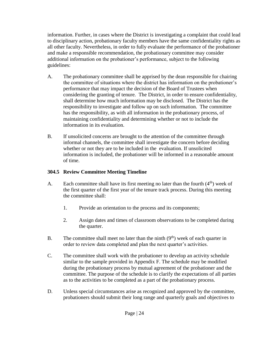information. Further, in cases where the District is investigating a complaint that could lead to disciplinary action, probationary faculty members have the same confidentiality rights as all other faculty. Nevertheless, in order to fully evaluate the performance of the probationer and make a responsible recommendation, the probationary committee may consider additional information on the probationer's performance, subject to the following guidelines:

- A. The probationary committee shall be apprised by the dean responsible for chairing the committee of situations where the district has information on the probationer's performance that may impact the decision of the Board of Trustees when considering the granting of tenure. The District, in order to ensure confidentiality, shall determine how much information may be disclosed. The District has the responsibility to investigate and follow up on such information. The committee has the responsibility, as with all information in the probationary process, of maintaining confidentiality and determining whether or not to include the information in its evaluation.
- B. If unsolicited concerns are brought to the attention of the committee through informal channels, the committee shall investigate the concern before deciding whether or not they are to be included in the evaluation. If unsolicited information is included, the probationer will be informed in a reasonable amount of time.

#### <span id="page-24-0"></span>**304.5 Review Committee Meeting Timeline**

- A. Each committee shall have its first meeting no later than the fourth  $(4<sup>th</sup>)$  week of the first quarter of the first year of the tenure track process. During this meeting the committee shall:
	- 1. Provide an orientation to the process and its components;
	- 2. Assign dates and times of classroom observations to be completed during the quarter.
- B. The committee shall meet no later than the ninth  $(9<sup>th</sup>)$  week of each quarter in order to review data completed and plan the next quarter's activities.
- C. The committee shall work with the probationer to develop an activity schedule similar to the sample provided in Appendix F. The schedule may be modified during the probationary process by mutual agreement of the probationer and the committee. The purpose of the schedule is to clarify the expectations of all parties as to the activities to be completed as a part of the probationary process.
- D. Unless special circumstances arise as recognized and approved by the committee, probationers should submit their long range and quarterly goals and objectives to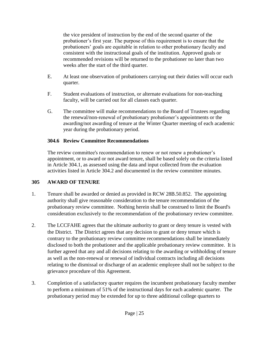the vice president of instruction by the end of the second quarter of the probationer's first year. The purpose of this requirement is to ensure that the probationers' goals are equitable in relation to other probationary faculty and consistent with the instructional goals of the institution. Approved goals or recommended revisions will be returned to the probationer no later than two weeks after the start of the third quarter.

- E. At least one observation of probationers carrying out their duties will occur each quarter.
- F. Student evaluations of instruction, or alternate evaluations for non-teaching faculty, will be carried out for all classes each quarter.
- G. The committee will make recommendations to the Board of Trustees regarding the renewal/non-renewal of probationary probationer's appointments or the awarding/not awarding of tenure at the Winter Quarter meeting of each academic year during the probationary period.

#### <span id="page-25-0"></span>**304.6 Review Committee Recommendations**

The review committee's recommendation to renew or not renew a probationer's appointment, or to award or not award tenure, shall be based solely on the criteria listed in Article 304.1, as assessed using the data and input collected from the evaluation activities listed in Article 304.2 and documented in the review committee minutes.

#### <span id="page-25-1"></span>**305 AWARD OF TENURE**

- 1. Tenure shall be awarded or denied as provided in RCW 28B.50.852. The appointing authority shall give reasonable consideration to the tenure recommendation of the probationary review committee. Nothing herein shall be construed to limit the Board's consideration exclusively to the recommendation of the probationary review committee.
- 2. The LCCFAHE agrees that the ultimate authority to grant or deny tenure is vested with the District. The District agrees that any decision to grant or deny tenure which is contrary to the probationary review committee recommendations shall be immediately disclosed to both the probationer and the applicable probationary review committee. It is further agreed that any and all decisions relating to the awarding or withholding of tenure as well as the non-renewal or renewal of individual contracts including all decisions relating to the dismissal or discharge of an academic employee shall not be subject to the grievance procedure of this Agreement.
- 3. Completion of a satisfactory quarter requires the incumbent probationary faculty member to perform a minimum of 51% of the instructional days for each academic quarter. The probationary period may be extended for up to three additional college quarters to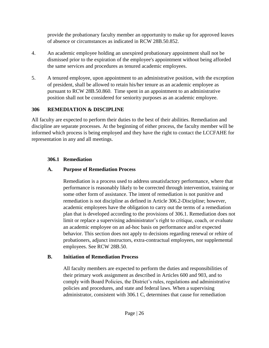provide the probationary faculty member an opportunity to make up for approved leaves of absence or circumstances as indicated in RCW 28B.50.852.

- 4. An academic employee holding an unexpired probationary appointment shall not be dismissed prior to the expiration of the employee's appointment without being afforded the same services and procedures as tenured academic employees.
- 5. A tenured employee, upon appointment to an administrative position, with the exception of president, shall be allowed to retain his/her tenure as an academic employee as pursuant to RCW 28B.50.860. Time spent in an appointment to an administrative position shall not be considered for seniority purposes as an academic employee.

#### <span id="page-26-0"></span>**306 REMEDIATION & DISCIPLINE**

All faculty are expected to perform their duties to the best of their abilities. Remediation and discipline are separate processes. At the beginning of either process, the faculty member will be informed which process is being employed and they have the right to contact the LCCFAHE for representation in any and all meetings.

## <span id="page-26-1"></span>**306.1 Remediation**

## **A. Purpose of Remediation Process**

Remediation is a process used to address unsatisfactory performance, where that performance is reasonably likely to be corrected through intervention, training or some other form of assistance. The intent of remediation is not punitive and remediation is not discipline as defined in Article 306.2-Discipline; however, academic employees have the obligation to carry out the terms of a remediation plan that is developed according to the provisions of 306.1. Remediation does not limit or replace a supervising administrator's right to critique, coach, or evaluate an academic employee on an ad-hoc basis on performance and/or expected behavior. This section does not apply to decisions regarding renewal or rehire of probationers, adjunct instructors, extra-contractual employees, nor supplemental employees. See RCW 28B.50.

## **B. Initiation of Remediation Process**

All faculty members are expected to perform the duties and responsibilities of their primary work assignment as described in Articles 600 and 903, and to comply with Board Policies, the District's rules, regulations and administrative policies and procedures, and state and federal laws. When a supervising administrator, consistent with 306.1 C, determines that cause for remediation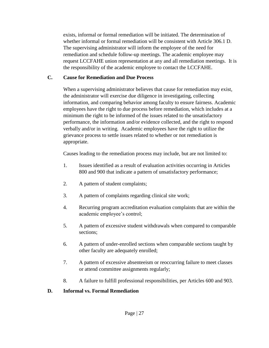exists, informal or formal remediation will be initiated. The determination of whether informal or formal remediation will be consistent with Article 306.1 D. The supervising administrator will inform the employee of the need for remediation and schedule follow-up meetings. The academic employee may request LCCFAHE union representation at any and all remediation meetings. It is the responsibility of the academic employee to contact the LCCFAHE.

#### **C. Cause for Remediation and Due Process**

When a supervising administrator believes that cause for remediation may exist, the administrator will exercise due diligence in investigating, collecting information, and comparing behavior among faculty to ensure fairness. Academic employees have the right to due process before remediation, which includes at a minimum the right to be informed of the issues related to the unsatisfactory performance, the information and/or evidence collected, and the right to respond verbally and/or in writing. Academic employees have the right to utilize the grievance process to settle issues related to whether or not remediation is appropriate.

Causes leading to the remediation process may include, but are not limited to:

- 1. Issues identified as a result of evaluation activities occurring in Articles 800 and 900 that indicate a pattern of unsatisfactory performance;
- 2. A pattern of student complaints;
- 3. A pattern of complaints regarding clinical site work;
- 4. Recurring program accreditation evaluation complaints that are within the academic employee's control;
- 5. A pattern of excessive student withdrawals when compared to comparable sections;
- 6. A pattern of under-enrolled sections when comparable sections taught by other faculty are adequately enrolled;
- 7. A pattern of excessive absenteeism or reoccurring failure to meet classes or attend committee assignments regularly;
- 8. A failure to fulfill professional responsibilities, per Articles 600 and 903.

#### **D. Informal vs. Formal Remediation**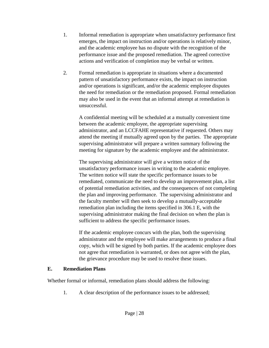- 1. Informal remediation is appropriate when unsatisfactory performance first emerges, the impact on instruction and/or operations is relatively minor, and the academic employee has no dispute with the recognition of the performance issue and the proposed remediation. The agreed corrective actions and verification of completion may be verbal or written.
- 2. Formal remediation is appropriate in situations where a documented pattern of unsatisfactory performance exists, the impact on instruction and/or operations is significant, and/or the academic employee disputes the need for remediation or the remediation proposed. Formal remediation may also be used in the event that an informal attempt at remediation is unsuccessful.

A confidential meeting will be scheduled at a mutually convenient time between the academic employee, the appropriate supervising administrator, and an LCCFAHE representative if requested. Others may attend the meeting if mutually agreed upon by the parties. The appropriate supervising administrator will prepare a written summary following the meeting for signature by the academic employee and the administrator.

The supervising administrator will give a written notice of the unsatisfactory performance issues in writing to the academic employee. The written notice will state the specific performance issues to be remediated, communicate the need to develop an improvement plan, a list of potential remediation activities, and the consequences of not completing the plan and improving performance. The supervising administrator and the faculty member will then seek to develop a mutually-acceptable remediation plan including the items specified in 306.1 E, with the supervising administrator making the final decision on when the plan is sufficient to address the specific performance issues.

If the academic employee concurs with the plan, both the supervising administrator and the employee will make arrangements to produce a final copy, which will be signed by both parties. If the academic employee does not agree that remediation is warranted, or does not agree with the plan, the grievance procedure may be used to resolve these issues.

#### **E. Remediation Plans**

Whether formal or informal, remediation plans should address the following:

1. A clear description of the performance issues to be addressed;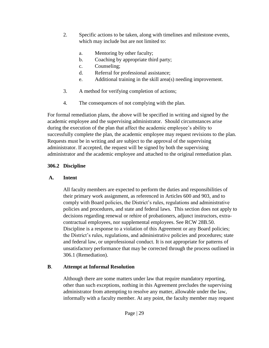- 2. Specific actions to be taken, along with timelines and milestone events, which may include but are not limited to:
	- a. Mentoring by other faculty;
	- b. Coaching by appropriate third party;
	- c. Counseling;
	- d. Referral for professional assistance;
	- e. Additional training in the skill area(s) needing improvement.
- 3. A method for verifying completion of actions;
- 4. The consequences of not complying with the plan.

For formal remediation plans, the above will be specified in writing and signed by the academic employee and the supervising administrator. Should circumstances arise during the execution of the plan that affect the academic employee's ability to successfully complete the plan, the academic employee may request revisions to the plan. Requests must be in writing and are subject to the approval of the supervising administrator. If accepted, the request will be signed by both the supervising administrator and the academic employee and attached to the original remediation plan.

#### <span id="page-29-0"></span>**306.2 Discipline**

#### **A. Intent**

All faculty members are expected to perform the duties and responsibilities of their primary work assignment, as referenced in Articles 600 and 903, and to comply with Board policies, the District's rules, regulations and administrative policies and procedures, and state and federal laws. This section does not apply to decisions regarding renewal or rehire of probationers, adjunct instructors, extracontractual employees, nor supplemental employees. See RCW 28B.50. Discipline is a response to a violation of this Agreement or any Board policies; the District's rules, regulations, and administrative policies and procedures; state and federal law, or unprofessional conduct. It is not appropriate for patterns of unsatisfactory performance that may be corrected through the process outlined in 306.1 (Remediation).

## **B**. **Attempt at Informal Resolution**

Although there are some matters under law that require mandatory reporting, other than such exceptions, nothing in this Agreement precludes the supervising administrator from attempting to resolve any matter, allowable under the law, informally with a faculty member. At any point, the faculty member may request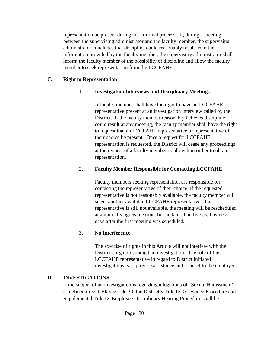representation be present during the informal process. If, during a meeting between the supervising administrator and the faculty member, the supervising administrator concludes that discipline could reasonably result from the information provided by the faculty member, the supervisory administrator shall inform the faculty member of the possibility of discipline and allow the faculty member to seek representation from the LCCFAHE.

#### **C. Right to Representation**

#### 1. **Investigation Interviews and Disciplinary Meetings**

A faculty member shall have the right to have an LCCFAHE representative present at an investigation interview called by the District. If the faculty member reasonably believes discipline could result at any meeting, the faculty member shall have the right to request that an LCCFAHE representative or representative of their choice be present. Once a request for LCCFAHE representation is requested, the District will cease any proceedings at the request of a faculty member to allow him or her to obtain representation.

#### 2. **Faculty Member Responsible for Contacting LCCFAHE**

Faculty members seeking representation are responsible for contacting the representative of their choice. If the requested representative is not reasonably available, the faculty member will select another available LCCFAHE representative. If a representative is still not available, the meeting will be rescheduled at a mutually agreeable time, but no later than five (5) business days after the first meeting was scheduled.

#### 3. **No Interference**

The exercise of rights in this Article will not interfere with the District's right to conduct an investigation. The role of the LCCFAHE representative in regard to District initiated investigations is to provide assistance and counsel to the employee.

#### **D. INVESTIGATIONS**

If the subject of an investigation is regarding allegations of "Sexual Harassment" as defined in 34 CFR sec. 106.30, the District's Title IX Grievance Procedure and Supplemental Title IX Employee Disciplinary Hearing Procedure shall be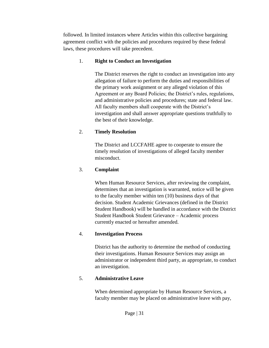followed. In limited instances where Articles within this collective bargaining agreement conflict with the policies and procedures required by these federal laws, these procedures will take precedent.

#### 1. **Right to Conduct an Investigation**

The District reserves the right to conduct an investigation into any allegation of failure to perform the duties and responsibilities of the primary work assignment or any alleged violation of this Agreement or any Board Policies; the District's rules, regulations, and administrative policies and procedures; state and federal law. All faculty members shall cooperate with the District's investigation and shall answer appropriate questions truthfully to the best of their knowledge.

#### 2. **Timely Resolution**

The District and LCCFAHE agree to cooperate to ensure the timely resolution of investigations of alleged faculty member misconduct.

#### 3. **Complaint**

When Human Resource Services, after reviewing the complaint, determines that an investigation is warranted, notice will be given to the faculty member within ten (10) business days of that decision. Student Academic Grievances (defined in the District Student Handbook) will be handled in accordance with the District Student Handbook Student Grievance – Academic process currently enacted or hereafter amended.

#### 4. **Investigation Process**

District has the authority to determine the method of conducting their investigations. Human Resource Services may assign an administrator or independent third party, as appropriate, to conduct an investigation.

## 5. **Administrative Leave**

When determined appropriate by Human Resource Services, a faculty member may be placed on administrative leave with pay,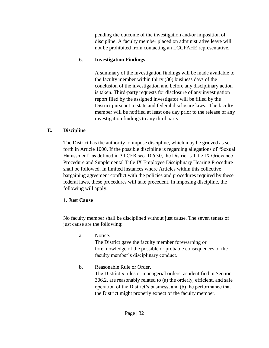pending the outcome of the investigation and/or imposition of discipline. A faculty member placed on administrative leave will not be prohibited from contacting an LCCFAHE representative.

#### 6. **Investigation Findings**

A summary of the investigation findings will be made available to the faculty member within thirty (30) business days of the conclusion of the investigation and before any disciplinary action is taken. Third-party requests for disclosure of any investigation report filed by the assigned investigator will be filled by the District pursuant to state and federal disclosure laws. The faculty member will be notified at least one day prior to the release of any investigation findings to any third party.

#### **E. Discipline**

The District has the authority to impose discipline, which may be grieved as set forth in Article 1000. If the possible discipline is regarding allegations of "Sexual Harassment" as defined in 34 CFR sec. 106.30, the District's Title IX Grievance Procedure and Supplemental Title IX Employee Disciplinary Hearing Procedure shall be followed. In limited instances where Articles within this collective bargaining agreement conflict with the policies and procedures required by these federal laws, these procedures will take precedent. In imposing discipline, the following will apply:

#### 1. **Just Cause**

No faculty member shall be disciplined without just cause. The seven tenets of just cause are the following:

a. Notice.

The District gave the faculty member forewarning or foreknowledge of the possible or probable consequences of the faculty member's disciplinary conduct.

b. Reasonable Rule or Order. The District's rules or managerial orders, as identified in Section 306.2, are reasonably related to (a) the orderly, efficient, and safe operation of the District's business, and (b) the performance that the District might properly expect of the faculty member.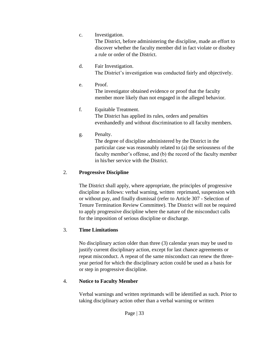c. Investigation.

The District, before administering the discipline, made an effort to discover whether the faculty member did in fact violate or disobey a rule or order of the District.

- d. Fair Investigation. The District's investigation was conducted fairly and objectively.
- e. Proof. The investigator obtained evidence or proof that the faculty member more likely than not engaged in the alleged behavior.

#### f. Equitable Treatment. The District has applied its rules, orders and penalties evenhandedly and without discrimination to all faculty members.

g. Penalty.

The degree of discipline administered by the District in the particular case was reasonably related to (a) the seriousness of the faculty member's offense, and (b) the record of the faculty member in his/her service with the District.

#### 2. **Progressive Discipline**

The District shall apply, where appropriate, the principles of progressive discipline as follows: verbal warning, written reprimand, suspension with or without pay, and finally dismissal (refer to Article 307 - Selection of Tenure Termination Review Committee). The District will not be required to apply progressive discipline where the nature of the misconduct calls for the imposition of serious discipline or discharge.

#### 3. **Time Limitations**

No disciplinary action older than three (3) calendar years may be used to justify current disciplinary action, except for last chance agreements or repeat misconduct. A repeat of the same misconduct can renew the threeyear period for which the disciplinary action could be used as a basis for or step in progressive discipline.

#### 4. **Notice to Faculty Member**

Verbal warnings and written reprimands will be identified as such. Prior to taking disciplinary action other than a verbal warning or written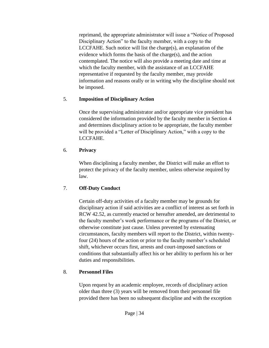reprimand, the appropriate administrator will issue a "Notice of Proposed Disciplinary Action" to the faculty member, with a copy to the LCCFAHE. Such notice will list the charge(s), an explanation of the evidence which forms the basis of the charge(s), and the action contemplated. The notice will also provide a meeting date and time at which the faculty member, with the assistance of an LCCFAHE representative if requested by the faculty member, may provide information and reasons orally or in writing why the discipline should not be imposed.

#### 5. **Imposition of Disciplinary Action**

Once the supervising administrator and/or appropriate vice president has considered the information provided by the faculty member in Section 4 and determines disciplinary action to be appropriate, the faculty member will be provided a "Letter of Disciplinary Action," with a copy to the LCCFAHE.

#### 6. **Privacy**

When disciplining a faculty member, the District will make an effort to protect the privacy of the faculty member, unless otherwise required by law.

## 7. **Off-Duty Conduct**

Certain off-duty activities of a faculty member may be grounds for disciplinary action if said activities are a conflict of interest as set forth in RCW 42.52, as currently enacted or hereafter amended, are detrimental to the faculty member's work performance or the programs of the District, or otherwise constitute just cause. Unless prevented by extenuating circumstances, faculty members will report to the District, within twentyfour (24) hours of the action or prior to the faculty member's scheduled shift, whichever occurs first, arrests and court-imposed sanctions or conditions that substantially affect his or her ability to perform his or her duties and responsibilities.

## 8. **Personnel Files**

Upon request by an academic employee, records of disciplinary action older than three (3) years will be removed from their personnel file provided there has been no subsequent discipline and with the exception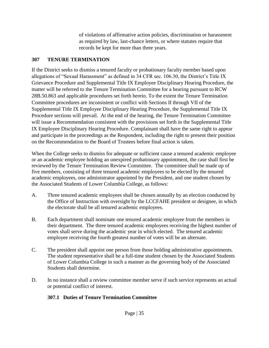of violations of affirmative action policies, discrimination or harassment as required by law, last-chance letters, or where statutes require that records be kept for more than three years.

#### <span id="page-35-0"></span>**307 TENURE TERMINATION**

If the District seeks to dismiss a tenured faculty or probationary faculty member based upon allegations of "Sexual Harassment" as defined in 34 CFR sec. 106.30, the District's Title IX Grievance Procedure and Supplemental Title IX Employee Disciplinary Hearing Procedure, the matter will be referred to the Tenure Termination Committee for a hearing pursuant to RCW 28B.50.863 and applicable procedures set forth herein. To the extent the Tenure Termination Committee procedures are inconsistent or conflict with Sections II through VII of the Supplemental Title IX Employee Disciplinary Hearing Procedure, the Supplemental Title IX Procedure sections will prevail. At the end of the hearing, the Tenure Termination Committee will issue a Recommendation consistent with the provisions set forth in the Supplemental Title IX Employee Disciplinary Hearing Procedure. Complainant shall have the same right to appear and participate in the proceedings as the Respondent, including the right to present their position on the Recommendation to the Board of Trustees before final action is taken.

When the College seeks to dismiss for adequate or sufficient cause a tenured academic employee or an academic employee holding an unexpired probationary appointment, the case shall first be reviewed by the Tenure Termination Review Committee. The committee shall be made up of five members, consisting of three tenured academic employees to be elected by the tenured academic employees, one administrator appointed by the President, and one student chosen by the Associated Students of Lower Columbia College, as follows:

- A. Three tenured academic employees shall be chosen annually by an election conducted by the Office of Instruction with oversight by the LCCFAHE president or designee, in which the electorate shall be all tenured academic employees.
- B. Each department shall nominate one tenured academic employee from the members in their department. The three tenured academic employees receiving the highest number of votes shall serve during the academic year in which elected. The tenured academic employee receiving the fourth greatest number of votes will be an alternate.
- C. The president shall appoint one person from those holding administrative appointments. The student representative shall be a full-time student chosen by the Associated Students of Lower Columbia College in such a manner as the governing body of the Associated Students shall determine.
- <span id="page-35-1"></span>D. In no instance shall a review committee member serve if such service represents an actual or potential conflict of interest.

## **307.1 Duties of Tenure Termination Committee**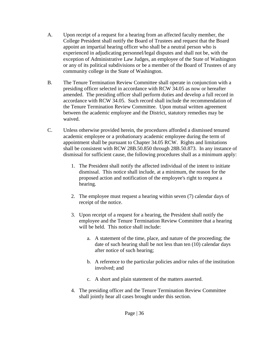- A. Upon receipt of a request for a hearing from an affected faculty member, the College President shall notify the Board of Trustees and request that the Board appoint an impartial hearing officer who shall be a neutral person who is experienced in adjudicating personnel/legal disputes and shall not be, with the exception of Administrative Law Judges, an employee of the State of Washington or any of its political subdivisions or be a member of the Board of Trustees of any community college in the State of Washington.
- B. The Tenure Termination Review Committee shall operate in conjunction with a presiding officer selected in accordance with RCW 34.05 as now or hereafter amended. The presiding officer shall perform duties and develop a full record in accordance with RCW 34.05. Such record shall include the recommendation of the Tenure Termination Review Committee. Upon mutual written agreement between the academic employee and the District, statutory remedies may be waived.
- C. Unless otherwise provided herein, the procedures afforded a dismissed tenured academic employee or a probationary academic employee during the term of appointment shall be pursuant to Chapter 34.05 RCW. Rights and limitations shall be consistent with RCW 28B.50.850 through 28B.50.873. In any instance of dismissal for sufficient cause, the following procedures shall as a minimum apply:
	- 1. The President shall notify the affected individual of the intent to initiate dismissal. This notice shall include, at a minimum, the reason for the proposed action and notification of the employee's right to request a hearing.
	- 2. The employee must request a hearing within seven (7) calendar days of receipt of the notice.
	- 3. Upon receipt of a request for a hearing, the President shall notify the employee and the Tenure Termination Review Committee that a hearing will be held. This notice shall include:
		- a. A statement of the time, place, and nature of the proceeding; the date of such hearing shall be not less than ten (10) calendar days after notice of such hearing;
		- b. A reference to the particular policies and/or rules of the institution involved; and
		- c. A short and plain statement of the matters asserted.
	- 4. The presiding officer and the Tenure Termination Review Committee shall jointly hear all cases brought under this section.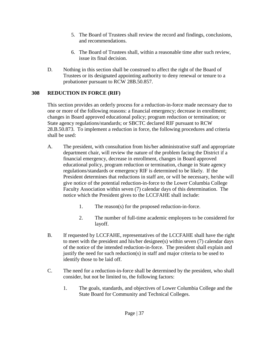- 5. The Board of Trustees shall review the record and findings, conclusions, and recommendations.
- 6. The Board of Trustees shall, within a reasonable time after such review, issue its final decision.
- D. Nothing in this section shall be construed to affect the right of the Board of Trustees or its designated appointing authority to deny renewal or tenure to a probationer pursuant to RCW 28B.50.857.

### **308 REDUCTION IN FORCE (RIF)**

This section provides an orderly process for a reduction-in-force made necessary due to one or more of the following reasons: a financial emergency; decrease in enrollment; changes in Board approved educational policy; program reduction or termination; or State agency regulations/standards; or SBCTC declared RIF pursuant to RCW 28.B.50.873. To implement a reduction in force, the following procedures and criteria shall be used:

- A. The president, with consultation from his/her administrative staff and appropriate department chair, will review the nature of the problem facing the District if a financial emergency, decrease in enrollment, changes in Board approved educational policy, program reduction or termination, change in State agency regulations/standards or emergency RIF is determined to be likely. If the President determines that reductions in staff are, or will be necessary, he/she will give notice of the potential reduction-in-force to the Lower Columbia College Faculty Association within seven (7) calendar days of this determination. The notice which the President gives to the LCCFAHE shall include:
	- 1. The reason(s) for the proposed reduction-in-force.
	- 2. The number of full-time academic employees to be considered for layoff.
- B. If requested by LCCFAHE, representatives of the LCCFAHE shall have the right to meet with the president and his/her designee(s) within seven (7) calendar days of the notice of the intended reduction-in-force. The president shall explain and justify the need for such reduction(s) in staff and major criteria to be used to identify those to be laid off.
- C. The need for a reduction-in-force shall be determined by the president, who shall consider, but not be limited to, the following factors:
	- 1. The goals, standards, and objectives of Lower Columbia College and the State Board for Community and Technical Colleges.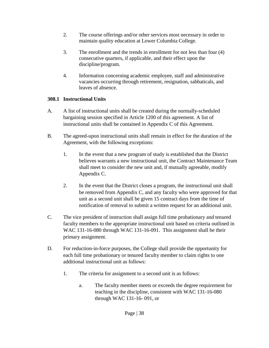- 2. The course offerings and/or other services most necessary in order to maintain quality education at Lower Columbia College.
- 3. The enrollment and the trends in enrollment for not less than four (4) consecutive quarters, if applicable, and their effect upon the discipline/program.
- 4. Information concerning academic employee, staff and administrative vacancies occurring through retirement, resignation, sabbaticals, and leaves of absence.

### **308.1 Instructional Units**

- A. A list of instructional units shall be created during the normally-scheduled bargaining session specified in Article 1200 of this agreement. A list of instructional units shall be contained in Appendix C of this Agreement.
- B. The agreed-upon instructional units shall remain in effect for the duration of the Agreement, with the following exceptions:
	- 1. In the event that a new program of study is established that the District believes warrants a new instructional unit, the Contract Maintenance Team shall meet to consider the new unit and, if mutually agreeable, modify Appendix C.
	- 2. In the event that the District closes a program, the instructional unit shall be removed from Appendix C, and any faculty who were approved for that unit as a second unit shall be given 15 contract days from the time of notification of removal to submit a written request for an additional unit.
- C. The vice president of instruction shall assign full time probationary and tenured faculty members to the appropriate instructional unit based on criteria outlined in WAC 131-16-080 through WAC 131-16-091. This assignment shall be their primary assignment.
- D. For reduction-in-force purposes, the College shall provide the opportunity for each full time probationary or tenured faculty member to claim rights to one additional instructional unit as follows:
	- 1. The criteria for assignment to a second unit is as follows:
		- a. The faculty member meets or exceeds the degree requirement for teaching in the discipline, consistent with WAC 131-16-080 through WAC 131-16- 091, or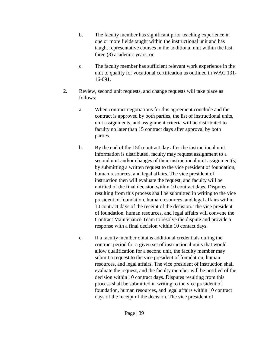- b. The faculty member has significant prior teaching experience in one or more fields taught within the instructional unit and has taught representative courses in the additional unit within the last three (3) academic years, or
- c. The faculty member has sufficient relevant work experience in the unit to qualify for vocational certification as outlined in WAC 131- 16-091.
- 2. Review, second unit requests, and change requests will take place as follows:
	- a. When contract negotiations for this agreement conclude and the contract is approved by both parties, the list of instructional units, unit assignments, and assignment criteria will be distributed to faculty no later than 15 contract days after approval by both parties.
	- b. By the end of the 15th contract day after the instructional unit information is distributed, faculty may request assignment to a second unit and/or changes of their instructional unit assignment(s) by submitting a written request to the vice president of foundation, human resources, and legal affairs. The vice president of instruction then will evaluate the request, and faculty will be notified of the final decision within 10 contract days. Disputes resulting from this process shall be submitted in writing to the vice president of foundation, human resources, and legal affairs within 10 contract days of the receipt of the decision. The vice president of foundation, human resources, and legal affairs will convene the Contract Maintenance Team to resolve the dispute and provide a response with a final decision within 10 contact days.
	- c. If a faculty member obtains additional credentials during the contract period for a given set of instructional units that would allow qualification for a second unit, the faculty member may submit a request to the vice president of foundation, human resources, and legal affairs. The vice president of instruction shall evaluate the request, and the faculty member will be notified of the decision within 10 contract days. Disputes resulting from this process shall be submitted in writing to the vice president of foundation, human resources, and legal affairs within 10 contract days of the receipt of the decision. The vice president of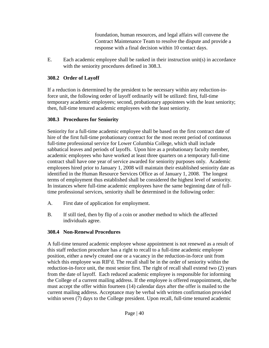foundation, human resources, and legal affairs will convene the Contract Maintenance Team to resolve the dispute and provide a response with a final decision within 10 contact days.

E. Each academic employee shall be ranked in their instruction unit(s) in accordance with the seniority procedures defined in 308.3.

#### **308.2 Order of Layoff**

If a reduction is determined by the president to be necessary within any reduction-inforce unit, the following order of layoff ordinarily will be utilized: first, full-time temporary academic employees; second, probationary appointees with the least seniority; then, full-time tenured academic employees with the least seniority.

### **308.3 Procedures for Seniority**

Seniority for a full-time academic employee shall be based on the first contract date of hire of the first full-time probationary contract for the most recent period of continuous full-time professional service for Lower Columbia College, which shall include sabbatical leaves and periods of layoffs. Upon hire as a probationary faculty member, academic employees who have worked at least three quarters on a temporary full-time contract shall have one year of service awarded for seniority purposes only. Academic employees hired prior to January 1, 2008 will maintain their established seniority date as identified in the Human Resource Services Office as of January 1, 2008. The longest terms of employment thus established shall be considered the highest level of seniority. In instances where full-time academic employees have the same beginning date of fulltime professional services, seniority shall be determined in the following order:

- A. First date of application for employment.
- B. If still tied, then by flip of a coin or another method to which the affected individuals agree.

### **308.4 Non-Renewal Procedures**

A full-time tenured academic employee whose appointment is not renewed as a result of this staff reduction procedure has a right to recall to a full-time academic employee position, either a newly created one or a vacancy in the reduction-in-force unit from which this employee was RIF'd. The recall shall be in the order of seniority within the reduction-in-force unit, the most senior first. The right of recall shall extend two (2) years from the date of layoff. Each reduced academic employee is responsible for informing the College of a current mailing address. If the employee is offered reappointment, she/he must accept the offer within fourteen (14) calendar days after the offer is mailed to the current mailing address. Acceptance may be verbal with written confirmation provided within seven (7) days to the College president. Upon recall, full-time tenured academic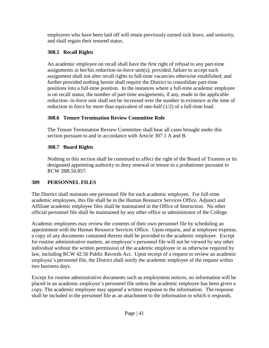employees who have been laid off will retain previously earned sick leave, and seniority, and shall regain their tenured status.

### **308.5 Recall Rights**

An academic employee on recall shall have the first right of refusal to any part-time assignments in her/his reduction-in-force unit(s); provided, failure to accept such assignment shall not alter recall rights to full-time vacancies otherwise established; and further provided nothing herein shall require the District to consolidate part-time positions into a full-time position. In the instances where a full-time academic employee is on recall status, the number of part-time assignments, if any, made in the applicable reduction- in-force unit shall not be increased over the number in existence at the time of reduction in force by more than equivalent of one-half (1/2) of a full-time load.

# **308.6 Tenure Termination Review Committee Role**

The Tenure Termination Review Committee shall hear all cases brought under this section pursuant to and in accordance with Article 307.1 A and B.

# **308.7 Board Rights**

Nothing in this section shall be construed to affect the right of the Board of Trustees or its designated appointing authority to deny renewal or tenure to a probationer pursuant to RCW 28B.50.857.

# **309 PERSONNEL FILES**

The District shall maintain one personnel file for each academic employee. For full-time academic employees, this file shall be in the Human Resource Services Office. Adjunct and Affiliate academic employee files shall be maintained in the Office of Instruction. No other official personnel file shall be maintained by any other office or administrator of the College.

Academic employees may review the contents of their own personnel file by scheduling an appointment with the Human Resource Services Office. Upon request, and at employee expense, a copy of any documents contained therein shall be provided to the academic employee. Except for routine administrative matters, an employee's personnel file will not be viewed by any other individual without the written permission of the academic employee or as otherwise required by law, including RCW 42.56 Public Records Act. Upon receipt of a request to review an academic employee's personnel file, the District shall notify the academic employee of the request within two business days.

Except for routine administrative documents such as employment notices, no information will be placed in an academic employee's personnel file unless the academic employee has been given a copy. The academic employee may append a written response to the information. The response shall be included in the personnel file as an attachment to the information to which it responds.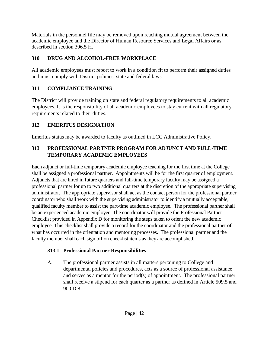Materials in the personnel file may be removed upon reaching mutual agreement between the academic employee and the Director of Human Resource Services and Legal Affairs or as described in section 306.5 H.

# **310 DRUG AND ALCOHOL-FREE WORKPLACE**

All academic employees must report to work in a condition fit to perform their assigned duties and must comply with District policies, state and federal laws.

# **311 COMPLIANCE TRAINING**

The District will provide training on state and federal regulatory requirements to all academic employees. It is the responsibility of all academic employees to stay current with all regulatory requirements related to their duties.

# **312 EMERITUS DESIGNATION**

Emeritus status may be awarded to faculty as outlined in LCC Administrative Policy.

# **313 PROFESSIONAL PARTNER PROGRAM FOR ADJUNCT AND FULL-TIME TEMPORARY ACADEMIC EMPLOYEES**

Each adjunct or full-time temporary academic employee teaching for the first time at the College shall be assigned a professional partner. Appointments will be for the first quarter of employment. Adjuncts that are hired in future quarters and full-time temporary faculty may be assigned a professional partner for up to two additional quarters at the discretion of the appropriate supervising administrator. The appropriate supervisor shall act as the contact person for the professional partner coordinator who shall work with the supervising administrator to identify a mutually acceptable, qualified faculty member to assist the part-time academic employee. The professional partner shall be an experienced academic employee. The coordinator will provide the Professional Partner Checklist provided in Appendix D for monitoring the steps taken to orient the new academic employee. This checklist shall provide a record for the coordinator and the professional partner of what has occurred in the orientation and mentoring processes. The professional partner and the faculty member shall each sign off on checklist items as they are accomplished.

# **313.1 Professional Partner Responsibilities**

A. The professional partner assists in all matters pertaining to College and departmental policies and procedures, acts as a source of professional assistance and serves as a mentor for the period(s) of appointment. The professional partner shall receive a stipend for each quarter as a partner as defined in Article 509.5 and 900.D.8.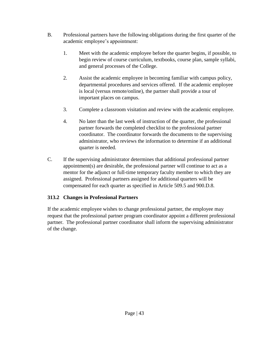- B. Professional partners have the following obligations during the first quarter of the academic employee's appointment:
	- 1. Meet with the academic employee before the quarter begins, if possible, to begin review of course curriculum, textbooks, course plan, sample syllabi, and general processes of the College.
	- 2. Assist the academic employee in becoming familiar with campus policy, departmental procedures and services offered. If the academic employee is local (versus remote/online), the partner shall provide a tour of important places on campus.
	- 3. Complete a classroom visitation and review with the academic employee.
	- 4. No later than the last week of instruction of the quarter, the professional partner forwards the completed checklist to the professional partner coordinator. The coordinator forwards the documents to the supervising administrator, who reviews the information to determine if an additional quarter is needed.
- C. If the supervising administrator determines that additional professional partner appointment(s) are desirable, the professional partner will continue to act as a mentor for the adjunct or full-time temporary faculty member to which they are assigned. Professional partners assigned for additional quarters will be compensated for each quarter as specified in Article 509.5 and 900.D.8.

### **313.2 Changes in Professional Partners**

If the academic employee wishes to change professional partner, the employee may request that the professional partner program coordinator appoint a different professional partner. The professional partner coordinator shall inform the supervising administrator of the change.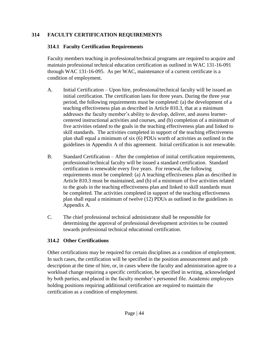### **314 FACULTY CERTIFICATION REQUIREMENTS**

### **314.1 Faculty Certification Requirements**

Faculty members teaching in professional/technical programs are required to acquire and maintain professional technical education certification as outlined in WAC 131-16-091 through WAC 131-16-095. As per WAC, maintenance of a current certificate is a condition of employment.

- A. Initial Certification Upon hire, professional/technical faculty will be issued an initial certification. The certification lasts for three years. During the three year period, the following requirements must be completed: (a) the development of a teaching effectiveness plan as described in Article 810.3, that at a minimum addresses the faculty member's ability to develop, deliver, and assess learnercentered instructional activities and courses, and (b) completion of a minimum of five activities related to the goals in the teaching effectiveness plan and linked to skill standards. The activities completed in support of the teaching effectiveness plan shall equal a minimum of six (6) PDUs worth of activities as outlined in the guidelines in Appendix A of this agreement. Initial certification is not renewable.
- B. Standard Certification After the completion of initial certification requirements, professional/technical faculty will be issued a standard certification. Standard certification is renewable every five years. For renewal, the following requirements must be completed: (a) A teaching effectiveness plan as described in Article 810.3 must be maintained, and (b) of a minimum of five activities related to the goals in the teaching effectiveness plan and linked to skill standards must be completed. The activities completed in support of the teaching effectiveness plan shall equal a minimum of twelve (12) PDUs as outlined in the guidelines in Appendix A.
- C. The chief professional technical administrator shall be responsible for determining the approval of professional development activities to be counted towards professional technical educational certification.

# **314.2 Other Certifications**

Other certifications may be required for certain disciplines as a condition of employment. In such cases, the certification will be specified in the position announcement and job description at the time of hire, or, in cases where the faculty and administration agree to a workload change requiring a specific certification, be specified in writing, acknowledged by both parties, and placed in the faculty member's personnel file. Academic employees holding positions requiring additional certification are required to maintain the certification as a condition of employment.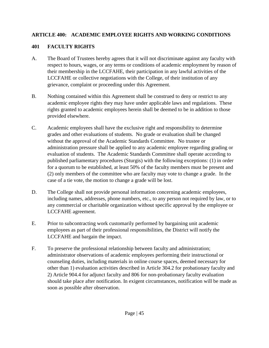#### **ARTICLE 400: ACADEMIC EMPLOYEE RIGHTS AND WORKING CONDITIONS**

#### **401 FACULTY RIGHTS**

- A. The Board of Trustees hereby agrees that it will not discriminate against any faculty with respect to hours, wages, or any terms or conditions of academic employment by reason of their membership in the LCCFAHE, their participation in any lawful activities of the LCCFAHE or collective negotiations with the College, of their institution of any grievance, complaint or proceeding under this Agreement.
- B. Nothing contained within this Agreement shall be construed to deny or restrict to any academic employee rights they may have under applicable laws and regulations. These rights granted to academic employees herein shall be deemed to be in addition to those provided elsewhere.
- C. Academic employees shall have the exclusive right and responsibility to determine grades and other evaluations of students. No grade or evaluation shall be changed without the approval of the Academic Standards Committee. No trustee or administration pressure shall be applied to any academic employee regarding grading or evaluation of students. The Academic Standards Committee shall operate according to published parliamentary procedures (Sturgis) with the following exceptions: (1) in order for a quorum to be established, at least 50% of the faculty members must be present and (2) only members of the committee who are faculty may vote to change a grade. In the case of a tie vote, the motion to change a grade will be lost.
- D. The College shall not provide personal information concerning academic employees, including names, addresses, phone numbers, etc., to any person not required by law, or to any commercial or charitable organization without specific approval by the employee or LCCFAHE agreement.
- E. Prior to subcontracting work customarily performed by bargaining unit academic employees as part of their professional responsibilities, the District will notify the LCCFAHE and bargain the impact.
- F. To preserve the professional relationship between faculty and administration; administrator observations of academic employees performing their instructional or counseling duties, including materials in online course spaces, deemed necessary for other than 1) evaluation activities described in Article 304.2 for probationary faculty and 2) Article 904.4 for adjunct faculty and 806 for non-probationary faculty evaluation should take place after notification. In exigent circumstances, notification will be made as soon as possible after observation.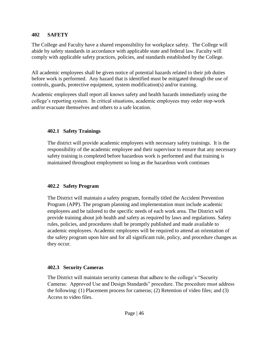#### **402 SAFETY**

The College and Faculty have a shared responsibility for workplace safety. The College will abide by safety standards in accordance with applicable state and federal law. Faculty will comply with applicable safety practices, policies, and standards established by the College.

All academic employees shall be given notice of potential hazards related to their job duties before work is performed. Any hazard that is identified must be mitigated through the use of controls, guards, protective equipment, system modification(s) and/or training.

Academic employees shall report all known safety and health hazards immediately using the college's reporting system. In critical situations, academic employees may order stop-work and/or evacuate themselves and others to a safe location.

#### **402.1 Safety Trainings**

The district will provide academic employees with necessary safety trainings. It is the responsibility of the academic employee and their supervisor to ensure that any necessary safety training is completed before hazardous work is performed and that training is maintained throughout employment so long as the hazardous work continues

### **402.2 Safety Program**

The District will maintain a safety program, formally titled the Accident Prevention Program (APP). The program planning and implementation must include academic employees and be tailored to the specific needs of each work area. The District will provide training about job health and safety as required by laws and regulations. Safety rules, policies, and procedures shall be promptly published and made available to academic employees. Academic employees will be required to attend an orientation of the safety program upon hire and for all significant rule, policy, and procedure changes as they occur.

#### **402.3 Security Cameras**

The District will maintain security cameras that adhere to the college's "Security Cameras: Approved Use and Design Standards" procedure. The procedure must address the following: (1) Placement process for cameras; (2) Retention of video files; and (3) Access to video files.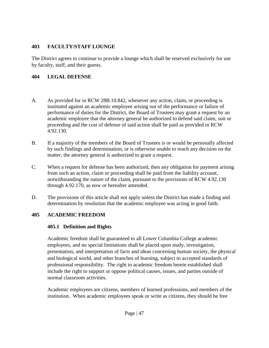#### **403 FACULTY/STAFF LOUNGE**

The District agrees to continue to provide a lounge which shall be reserved exclusively for use by faculty, staff, and their guests.

### **404 LEGAL DEFENSE**

- A. As provided for in RCW 28B.10.842, whenever any action, claim, or proceeding is instituted against an academic employee arising out of the performance or failure of performance of duties for the District, the Board of Trustees may grant a request by an academic employee that the attorney general be authorized to defend said claim, suit or proceeding and the cost of defense of said action shall be paid as provided in RCW 4.92.130.
- B. If a majority of the members of the Board of Trustees is or would be personally affected by such findings and determination, or is otherwise unable to reach any decision on the matter, the attorney general is authorized to grant a request.
- C. When a request for defense has been authorized, then any obligation for payment arising from such an action, claim or proceeding shall be paid from the liability account, notwithstanding the nature of the claim, pursuant to the provisions of RCW 4.92.130 through 4.92.170, as now or hereafter amended.
- D. The provisions of this article shall not apply unless the District has made a finding and determination by resolution that the academic employee was acting in good faith.

### **405 ACADEMIC FREEDOM**

### **405.1 Definition and Rights**

Academic freedom shall be guaranteed to all Lower Columbia College academic employees, and no special limitations shall be placed upon study, investigation, presentation, and interpretation of facts and ideas concerning human society, the physical and biological world, and other branches of learning, subject to accepted standards of professional responsibility. The right to academic freedom herein established shall include the right to support or oppose political causes, issues, and parties outside of normal classroom activities.

Academic employees are citizens, members of learned professions, and members of the institution. When academic employees speak or write as citizens, they should be free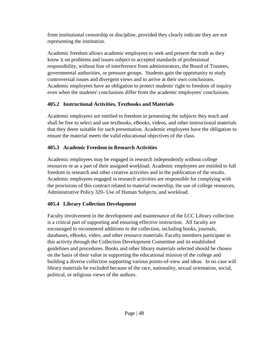from institutional censorship or discipline, provided they clearly indicate they are not representing the institution.

Academic freedom allows academic employees to seek and present the truth as they know it on problems and issues subject to accepted standards of professional responsibility, without fear of interference from administrators, the Board of Trustees, governmental authorities, or pressure groups. Students gain the opportunity to study controversial issues and divergent views and to arrive at their own conclusions. Academic employees have an obligation to protect students' right to freedom of inquiry even when the students' conclusions differ from the academic employees' conclusions.

### **405.2 Instructional Activities, Textbooks and Materials**

Academic employees are entitled to freedom in presenting the subjects they teach and shall be free to select and use textbooks, eBooks, videos, and other instructional materials that they deem suitable for such presentation. Academic employees have the obligation to ensure the material meets the valid educational objectives of the class.

# **405.3 Academic Freedom in Research Activities**

Academic employees may be engaged in research independently without college resources or as a part of their assigned workload. Academic employees are entitled to full freedom in research and other creative activities and in the publication of the results. Academic employees engaged in research activities are responsible for complying with the provisions of this contract related to material ownership, the use of college resources, Administrative Policy 320- Use of Human Subjects, and workload.

# **405.4 Library Collection Development**

Faculty involvement in the development and maintenance of the LCC Library collection is a critical part of supporting and ensuring effective instruction. All faculty are encouraged to recommend additions to the collection, including books, journals, databases, eBooks, video, and other resource materials. Faculty members participate in this activity through the Collection Development Committee and its established guidelines and procedures. Books and other library materials selected should be chosen on the basis of their value in supporting the educational mission of the college and building a diverse collection supporting various points-of-view and ideas. In no case will library materials be excluded because of the race, nationality, sexual orientation, social, political, or religious views of the authors.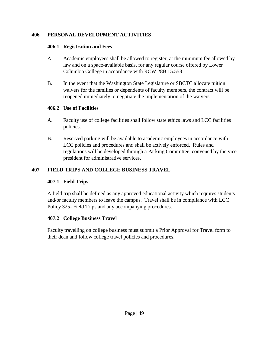#### **406 PERSONAL DEVELOPMENT ACTIVITIES**

#### **406.1 Registration and Fees**

- A. Academic employees shall be allowed to register, at the minimum fee allowed by law and on a space-available basis, for any regular course offered by Lower Columbia College in accordance with RCW 28B.15.558
- B. In the event that the Washington State Legislature or SBCTC allocate tuition waivers for the families or dependents of faculty members, the contract will be reopened immediately to negotiate the implementation of the waivers

### **406.2 Use of Facilities**

- A. Faculty use of college facilities shall follow state ethics laws and LCC facilities policies.
- B. Reserved parking will be available to academic employees in accordance with LCC policies and procedures and shall be actively enforced. Rules and regulations will be developed through a Parking Committee, convened by the vice president for administrative services.

### **407 FIELD TRIPS AND COLLEGE BUSINESS TRAVEL**

### **407.1 Field Trips**

A field trip shall be defined as any approved educational activity which requires students and/or faculty members to leave the campus. Travel shall be in compliance with LCC Policy 325- Field Trips and any accompanying procedures.

### **407.2 College Business Travel**

Faculty travelling on college business must submit a Prior Approval for Travel form to their dean and follow college travel policies and procedures.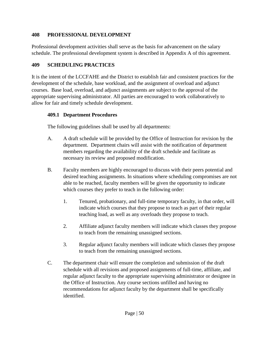#### **408 PROFESSIONAL DEVELOPMENT**

Professional development activities shall serve as the basis for advancement on the salary schedule. The professional development system is described in Appendix A of this agreement.

### **409 SCHEDULING PRACTICES**

It is the intent of the LCCFAHE and the District to establish fair and consistent practices for the development of the schedule, base workload, and the assignment of overload and adjunct courses. Base load, overload, and adjunct assignments are subject to the approval of the appropriate supervising administrator. All parties are encouraged to work collaboratively to allow for fair and timely schedule development.

### **409.1 Department Procedures**

The following guidelines shall be used by all departments:

- A. A draft schedule will be provided by the Office of Instruction for revision by the department. Department chairs will assist with the notification of department members regarding the availability of the draft schedule and facilitate as necessary its review and proposed modification.
- B. Faculty members are highly encouraged to discuss with their peers potential and desired teaching assignments. In situations where scheduling compromises are not able to be reached, faculty members will be given the opportunity to indicate which courses they prefer to teach in the following order:
	- 1. Tenured, probationary, and full-time temporary faculty, in that order, will indicate which courses that they propose to teach as part of their regular teaching load, as well as any overloads they propose to teach.
	- 2. Affiliate adjunct faculty members will indicate which classes they propose to teach from the remaining unassigned sections.
	- 3. Regular adjunct faculty members will indicate which classes they propose to teach from the remaining unassigned sections.
- C. The department chair will ensure the completion and submission of the draft schedule with all revisions and proposed assignments of full-time, affiliate, and regular adjunct faculty to the appropriate supervising administrator or designee in the Office of Instruction. Any course sections unfilled and having no recommendations for adjunct faculty by the department shall be specifically identified.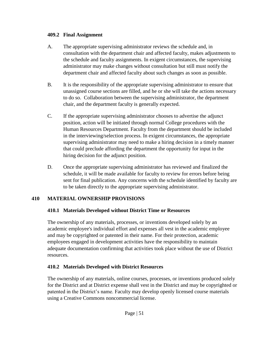#### **409.2 Final Assignment**

- A. The appropriate supervising administrator reviews the schedule and, in consultation with the department chair and affected faculty, makes adjustments to the schedule and faculty assignments. In exigent circumstances, the supervising administrator may make changes without consultation but still must notify the department chair and affected faculty about such changes as soon as possible.
- B. It is the responsibility of the appropriate supervising administrator to ensure that unassigned course sections are filled, and he or she will take the actions necessary to do so. Collaboration between the supervising administrator, the department chair, and the department faculty is generally expected.
- C. If the appropriate supervising administrator chooses to advertise the adjunct position, action will be initiated through normal College procedures with the Human Resources Department. Faculty from the department should be included in the interviewing/selection process. In exigent circumstances, the appropriate supervising administrator may need to make a hiring decision in a timely manner that could preclude affording the department the opportunity for input in the hiring decision for the adjunct position.
- D. Once the appropriate supervising administrator has reviewed and finalized the schedule, it will be made available for faculty to review for errors before being sent for final publication. Any concerns with the schedule identified by faculty are to be taken directly to the appropriate supervising administrator.

### **410 MATERIAL OWNERSHIP PROVISIONS**

### **410.1 Materials Developed without District Time or Resources**

The ownership of any materials, processes, or inventions developed solely by an academic employee's individual effort and expenses all vest in the academic employee and may be copyrighted or patented in their name. For their protection, academic employees engaged in development activities have the responsibility to maintain adequate documentation confirming that activities took place without the use of District resources.

### **410.2 Materials Developed with District Resources**

The ownership of any materials, online courses, processes, or inventions produced solely for the District and at District expense shall vest in the District and may be copyrighted or patented in the District's name. Faculty may develop openly licensed course materials using a Creative Commons noncommercial license.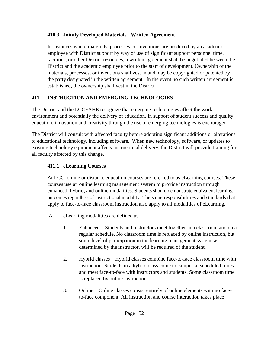### **410.3 Jointly Developed Materials - Written Agreement**

In instances where materials, processes, or inventions are produced by an academic employee with District support by way of use of significant support personnel time, facilities, or other District resources, a written agreement shall be negotiated between the District and the academic employee prior to the start of development. Ownership of the materials, processes, or inventions shall vest in and may be copyrighted or patented by the party designated in the written agreement. In the event no such written agreement is established, the ownership shall vest in the District.

### **411 INSTRUCTION AND EMERGING TECHNOLOGIES**

The District and the LCCFAHE recognize that emerging technologies affect the work environment and potentially the delivery of education. In support of student success and quality education, innovation and creativity through the use of emerging technologies is encouraged.

The District will consult with affected faculty before adopting significant additions or alterations to educational technology, including software. When new technology, software, or updates to existing technology equipment affects instructional delivery, the District will provide training for all faculty affected by this change.

### **411.1 eLearning Courses**

At LCC, online or distance education courses are referred to as eLearning courses. These courses use an online learning management system to provide instruction through enhanced, hybrid, and online modalities. Students should demonstrate equivalent learning outcomes regardless of instructional modality. The same responsibilities and standards that apply to face-to-face classroom instruction also apply to all modalities of eLearning.

- A. eLearning modalities are defined as:
	- 1. Enhanced Students and instructors meet together in a classroom and on a regular schedule. No classroom time is replaced by online instruction, but some level of participation in the learning management system, as determined by the instructor, will be required of the student.
	- 2. Hybrid classes Hybrid classes combine face-to-face classroom time with instruction. Students in a hybrid class come to campus at scheduled times and meet face-to-face with instructors and students. Some classroom time is replaced by online instruction.
	- 3. Online Online classes consist entirely of online elements with no faceto-face component. All instruction and course interaction takes place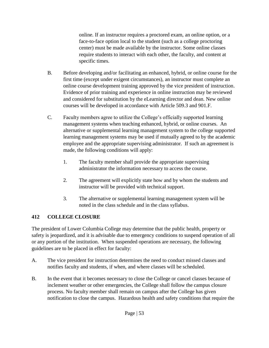online. If an instructor requires a proctored exam, an online option, or a face-to-face option local to the student (such as a college proctoring center) must be made available by the instructor. Some online classes require students to interact with each other, the faculty, and content at specific times.

- B. Before developing and/or facilitating an enhanced, hybrid, or online course for the first time (except under exigent circumstances), an instructor must complete an online course development training approved by the vice president of instruction. Evidence of prior training and experience in online instruction may be reviewed and considered for substitution by the eLearning director and dean. New online courses will be developed in accordance with Article 509.3 and 901.F.
- C. Faculty members agree to utilize the College's officially supported learning management systems when teaching enhanced, hybrid, or online courses. An alternative or supplemental learning management system to the college supported learning management systems may be used if mutually agreed to by the academic employee and the appropriate supervising administrator. If such an agreement is made, the following conditions will apply:
	- 1. The faculty member shall provide the appropriate supervising administrator the information necessary to access the course.
	- 2. The agreement will explicitly state how and by whom the students and instructor will be provided with technical support.
	- 3. The alternative or supplemental learning management system will be noted in the class schedule and in the class syllabus.

### **412 COLLEGE CLOSURE**

The president of Lower Columbia College may determine that the public health, property or safety is jeopardized, and it is advisable due to emergency conditions to suspend operation of all or any portion of the institution. When suspended operations are necessary, the following guidelines are to be placed in effect for faculty:

- A. The vice president for instruction determines the need to conduct missed classes and notifies faculty and students, if when, and where classes will be scheduled.
- B. In the event that it becomes necessary to close the College or cancel classes because of inclement weather or other emergencies, the College shall follow the campus closure process. No faculty member shall remain on campus after the College has given notification to close the campus. Hazardous health and safety conditions that require the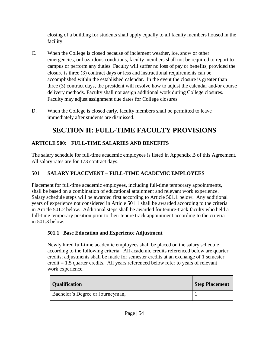closing of a building for students shall apply equally to all faculty members housed in the facility.

- C. When the College is closed because of inclement weather, ice, snow or other emergencies, or hazardous conditions, faculty members shall not be required to report to campus or perform any duties. Faculty will suffer no loss of pay or benefits, provided the closure is three (3) contract days or less and instructional requirements can be accomplished within the established calendar. In the event the closure is greater than three (3) contract days, the president will resolve how to adjust the calendar and/or course delivery methods. Faculty shall not assign additional work during College closures. Faculty may adjust assignment due dates for College closures.
- D. When the College is closed early, faculty members shall be permitted to leave immediately after students are dismissed.

# **SECTION II: FULL-TIME FACULTY PROVISIONS**

### **ARTICLE 500: FULL-TIME SALARIES AND BENEFITS**

The salary schedule for full-time academic employees is listed in Appendix B of this Agreement. All salary rates are for 173 contract days.

### **501 SALARY PLACEMENT – FULL-TIME ACADEMIC EMPLOYEES**

Placement for full-time academic employees, including full-time temporary appointments, shall be based on a combination of educational attainment and relevant work experience. Salary schedule steps will be awarded first according to Article 501.1 below. Any additional years of experience not considered in Article 501.1 shall be awarded according to the criteria in Article 501.2 below.Additional steps shall be awarded for tenure-track faculty who held a full-time temporary position prior to their tenure track appointment according to the criteria in 501.3 below.

### **501.1 Base Education and Experience Adjustment**

Newly hired full-time academic employees shall be placed on the salary schedule according to the following criteria. All academic credits referenced below are quarter credits; adjustments shall be made for semester credits at an exchange of 1 semester credit = 1.5 quarter credits. All years referenced below refer to years of relevant work experience.

| <b>Qualification</b>             | <b>Step Placement</b> |
|----------------------------------|-----------------------|
| Bachelor's Degree or Journeyman, |                       |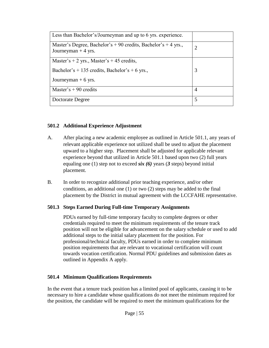| Less than Bachelor's/Journeyman and up to 6 yrs. experience.                           |   |
|----------------------------------------------------------------------------------------|---|
| Master's Degree, Bachelor's + 90 credits, Bachelor's + 4 yrs.,<br>Journeyman $+4$ yrs. | 2 |
| Master's + 2 yrs., Master's + 45 credits,                                              |   |
| Bachelor's + 135 credits, Bachelor's + 6 yrs.,                                         | 3 |
| Journeyman $+ 6$ yrs.                                                                  |   |
| Master's $+90$ credits                                                                 | 4 |
| Doctorate Degree                                                                       | 5 |

#### **501.2 Additional Experience Adjustment**

- A. After placing a new academic employee as outlined in Article 501.1, any years of relevant applicable experience not utilized shall be used to adjust the placement upward to a higher step. Placement shall be adjusted for applicable relevant experience beyond that utilized in Article 501.1 based upon two (2) full years equaling one (1) step not to exceed *six (6)* years (*3* steps) beyond initial placement.
- B. In order to recognize additional prior teaching experience, and/or other conditions, an additional one (1) or two (2) steps may be added to the final placement by the District in mutual agreement with the LCCFAHE representative.

#### **501.3 Steps Earned During Full-time Temporary Assignments**

PDUs earned by full-time temporary faculty to complete degrees or other credentials required to meet the minimum requirements of the tenure track position will not be eligible for advancement on the salary schedule or used to add additional steps to the initial salary placement for the position. For professional/technical faculty, PDUs earned in order to complete minimum position requirements that are relevant to vocational certification will count towards vocation certification. Normal PDU guidelines and submission dates as outlined in Appendix A apply.

### **501.4 Minimum Qualifications Requirements**

In the event that a tenure track position has a limited pool of applicants, causing it to be necessary to hire a candidate whose qualifications do not meet the minimum required for the position, the candidate will be required to meet the minimum qualifications for the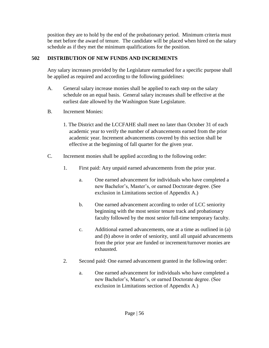position they are to hold by the end of the probationary period. Minimum criteria must be met before the award of tenure. The candidate will be placed when hired on the salary schedule as if they met the minimum qualifications for the position.

### **502 DISTRIBUTION OF NEW FUNDS AND INCREMENTS**

Any salary increases provided by the Legislature earmarked for a specific purpose shall be applied as required and according to the following guidelines:

- A. General salary increase monies shall be applied to each step on the salary schedule on an equal basis. General salary increases shall be effective at the earliest date allowed by the Washington State Legislature.
- B. Increment Monies:
	- 1. The District and the LCCFAHE shall meet no later than October 31 of each academic year to verify the number of advancements earned from the prior academic year. Increment advancements covered by this section shall be effective at the beginning of fall quarter for the given year.
- C. Increment monies shall be applied according to the following order:
	- 1. First paid: Any unpaid earned advancements from the prior year.
		- a. One earned advancement for individuals who have completed a new Bachelor's, Master's, or earned Doctorate degree. (See exclusion in Limitations section of Appendix A.)
		- b. One earned advancement according to order of LCC seniority beginning with the most senior tenure track and probationary faculty followed by the most senior full-time temporary faculty.
		- c. Additional earned advancements, one at a time as outlined in (a) and (b) above in order of seniority, until all unpaid advancements from the prior year are funded or increment/turnover monies are exhausted.
	- 2. Second paid: One earned advancement granted in the following order:
		- a. One earned advancement for individuals who have completed a new Bachelor's, Master's, or earned Doctorate degree. (See exclusion in Limitations section of Appendix A.)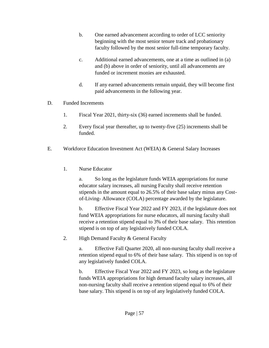- b. One earned advancement according to order of LCC seniority beginning with the most senior tenure track and probationary faculty followed by the most senior full-time temporary faculty.
- c. Additional earned advancements, one at a time as outlined in (a) and (b) above in order of seniority, until all advancements are funded or increment monies are exhausted.
- d. If any earned advancements remain unpaid, they will become first paid advancements in the following year.
- D. Funded Increments
	- 1. Fiscal Year 2021, thirty-six (36) earned increments shall be funded.
	- 2. Every fiscal year thereafter, up to twenty-five (25) increments shall be funded.
- E. Workforce Education Investment Act (WEIA) & General Salary Increases
	- 1. Nurse Educator

a. So long as the legislature funds WEIA appropriations for nurse educator salary increases, all nursing Faculty shall receive retention stipends in the amount equal to 26.5% of their base salary minus any Costof-Living- Allowance (COLA) percentage awarded by the legislature.

b. Effective Fiscal Year 2022 and FY 2023, if the legislature does not fund WEIA appropriations for nurse educators, all nursing faculty shall receive a retention stipend equal to 3% of their base salary. This retention stipend is on top of any legislatively funded COLA.

2. High Demand Faculty & General Faculty

a. Effective Fall Quarter 2020, all non-nursing faculty shall receive a retention stipend equal to 6% of their base salary. This stipend is on top of any legislatively funded COLA.

b. Effective Fiscal Year 2022 and FY 2023, so long as the legislature funds WEIA appropriations for high demand faculty salary increases, all non-nursing faculty shall receive a retention stipend equal to 6% of their base salary. This stipend is on top of any legislatively funded COLA.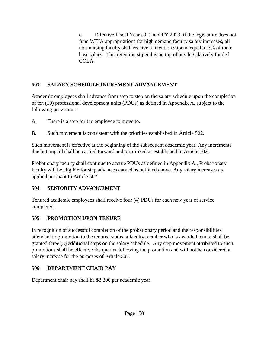c. Effective Fiscal Year 2022 and FY 2023, if the legislature does not fund WEIA appropriations for high demand faculty salary increases, all non-nursing faculty shall receive a retention stipend equal to 3% of their base salary. This retention stipend is on top of any legislatively funded COLA.

# **503 SALARY SCHEDULE INCREMENT ADVANCEMENT**

Academic employees shall advance from step to step on the salary schedule upon the completion of ten (10) professional development units (PDUs) as defined in Appendix A, subject to the following provisions:

- A. There is a step for the employee to move to.
- B. Such movement is consistent with the priorities established in Article 502.

Such movement is effective at the beginning of the subsequent academic year. Any increments due but unpaid shall be carried forward and prioritized as established in Article 502.

Probationary faculty shall continue to accrue PDUs as defined in Appendix A., Probationary faculty will be eligible for step advances earned as outlined above. Any salary increases are applied pursuant to Article 502.

### **504 SENIORITY ADVANCEMENT**

Tenured academic employees shall receive four (4) PDUs for each new year of service completed.

### **505 PROMOTION UPON TENURE**

In recognition of successful completion of the probationary period and the responsibilities attendant to promotion to the tenured status, a faculty member who is awarded tenure shall be granted three (3) additional steps on the salary schedule. Any step movement attributed to such promotions shall be effective the quarter following the promotion and will not be considered a salary increase for the purposes of Article 502.

# **506 DEPARTMENT CHAIR PAY**

Department chair pay shall be \$3,300 per academic year.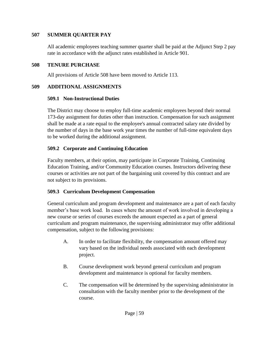#### **507 SUMMER QUARTER PAY**

All academic employees teaching summer quarter shall be paid at the Adjunct Step 2 pay rate in accordance with the adjunct rates established in Article 901.

#### **508 TENURE PURCHASE**

All provisions of Article 508 have been moved to Article 113.

#### **509 ADDITIONAL ASSIGNMENTS**

#### **509.1 Non-Instructional Duties**

The District may choose to employ full-time academic employees beyond their normal 173-day assignment for duties other than instruction. Compensation for such assignment shall be made at a rate equal to the employee's annual contracted salary rate divided by the number of days in the base work year times the number of full-time equivalent days to be worked during the additional assignment.

#### **509.2 Corporate and Continuing Education**

Faculty members, at their option, may participate in Corporate Training, Continuing Education Training, and/or Community Education courses. Instructors delivering these courses or activities are not part of the bargaining unit covered by this contract and are not subject to its provisions.

#### **509.3 Curriculum Development Compensation**

General curriculum and program development and maintenance are a part of each faculty member's base work load. In cases where the amount of work involved in developing a new course or series of courses exceeds the amount expected as a part of general curriculum and program maintenance, the supervising administrator may offer additional compensation, subject to the following provisions:

- A. In order to facilitate flexibility, the compensation amount offered may vary based on the individual needs associated with each development project.
- B. Course development work beyond general curriculum and program development and maintenance is optional for faculty members.
- C. The compensation will be determined by the supervising administrator in consultation with the faculty member prior to the development of the course.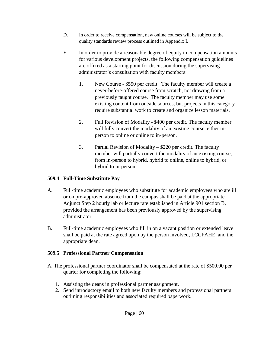- D. In order to receive compensation, new online courses will be subject to the quality standards review process outlined in Appendix I.
- E. In order to provide a reasonable degree of equity in compensation amounts for various development projects, the following compensation guidelines are offered as a starting point for discussion during the supervising administrator's consultation with faculty members:
	- 1. New Course \$550 per credit. The faculty member will create a never-before-offered course from scratch, not drawing from a previously taught course. The faculty member may use some existing content from outside sources, but projects in this category require substantial work to create and organize lesson materials.
	- 2. Full Revision of Modality \$400 per credit. The faculty member will fully convert the modality of an existing course, either inperson to online or online to in-person.
	- 3. Partial Revision of Modality \$220 per credit. The faculty member will partially convert the modality of an existing course, from in-person to hybrid, hybrid to online, online to hybrid, or hybrid to in-person.

### **509.4 Full-Time Substitute Pay**

- A. Full-time academic employees who substitute for academic employees who are ill or on pre-approved absence from the campus shall be paid at the appropriate Adjunct Step 2 hourly lab or lecture rate established in Article 901 section B, provided the arrangement has been previously approved by the supervising administrator.
- B. Full-time academic employees who fill in on a vacant position or extended leave shall be paid at the rate agreed upon by the person involved, LCCFAHE, and the appropriate dean.

### **509.5 Professional Partner Compensation**

- A. The professional partner coordinator shall be compensated at the rate of \$500.00 per quarter for completing the following:
	- 1. Assisting the deans in professional partner assignment.
	- 2. Send introductory email to both new faculty members and professional partners outlining responsibilities and associated required paperwork.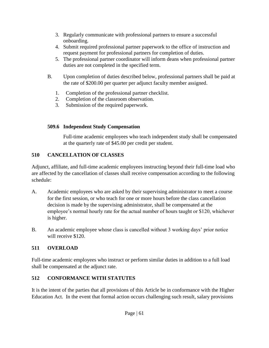- 3. Regularly communicate with professional partners to ensure a successful onboarding.
- 4. Submit required professional partner paperwork to the office of instruction and request payment for professional partners for completion of duties.
- 5. The professional partner coordinator will inform deans when professional partner duties are not completed in the specified term.
- B. Upon completion of duties described below, professional partners shall be paid at the rate of \$200.00 per quarter per adjunct faculty member assigned.
	- 1. Completion of the professional partner checklist.
	- 2. Completion of the classroom observation.
	- 3. Submission of the required paperwork.

### **509.6 Independent Study Compensation**

Full-time academic employees who teach independent study shall be compensated at the quarterly rate of \$45.00 per credit per student.

# **510 CANCELLATION OF CLASSES**

Adjunct, affiliate, and full-time academic employees instructing beyond their full-time load who are affected by the cancellation of classes shall receive compensation according to the following schedule:

- A. Academic employees who are asked by their supervising administrator to meet a course for the first session, or who teach for one or more hours before the class cancellation decision is made by the supervising administrator, shall be compensated at the employee's normal hourly rate for the actual number of hours taught or \$120, whichever is higher.
- B. An academic employee whose class is cancelled without 3 working days' prior notice will receive \$120.

# **511 OVERLOAD**

Full-time academic employees who instruct or perform similar duties in addition to a full load shall be compensated at the adjunct rate.

# **512 CONFORMANCE WITH STATUTES**

It is the intent of the parties that all provisions of this Article be in conformance with the Higher Education Act. In the event that formal action occurs challenging such result, salary provisions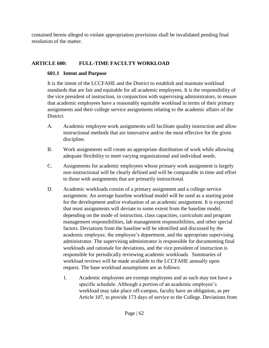contained herein alleged to violate appropriation provisions shall be invalidated pending final resolution of the matter.

### **ARTICLE 600: FULL-TIME FACULTY WORKLOAD**

# **601.1 Intent and Purpose**

It is the intent of the LCCFAHE and the District to establish and maintain workload standards that are fair and equitable for all academic employees. It is the responsibility of the vice president of instruction, in conjunction with supervising administrators, to ensure that academic employees have a reasonably equitable workload in terms of their primary assignments and their college service assignments relating to the academic affairs of the District.

- A. Academic employee work assignments will facilitate quality instruction and allow instructional methods that are innovative and/or the most effective for the given discipline.
- B. Work assignments will create an appropriate distribution of work while allowing adequate flexibility to meet varying organizational and individual needs.
- C. Assignments for academic employees whose primary work assignment is largely non-instructional will be clearly defined and will be comparable in time and effort to those with assignments that are primarily instructional.
- D. Academic workloads consist of a primary assignment and a college service assignment. An average baseline workload model will be used as a starting point for the development and/or evaluation of an academic assignment. It is expected that most assignments will deviate to some extent from the baseline model, depending on the mode of instruction, class capacities, curriculum and program management responsibilities, lab management responsibilities, and other special factors. Deviations from the baseline will be identified and discussed by the academic employee, the employee's department, and the appropriate supervising administrator. The supervising administrator is responsible for documenting final workloads and rationale for deviations, and the vice president of instruction is responsible for periodically reviewing academic workloads. Summaries of workload reviews will be made available to the LCCFAHE annually upon request. The base workload assumptions are as follows:
	- 1. Academic employees are exempt employees and as such may not have a specific schedule. Although a portion of an academic employee's workload may take place off-campus, faculty have an obligation, as per Article 107, to provide 173 days of service to the College. Deviations from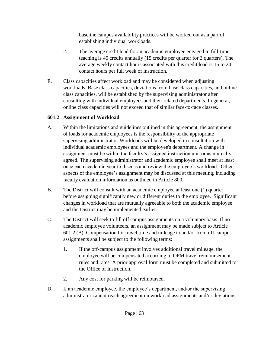baseline campus availability practices will be worked out as a part of establishing individual workloads.

- 2. The average credit load for an academic employee engaged in full-time teaching is 45 credits annually (15 credits per quarter for 3 quarters). The average weekly contact hours associated with this credit load is 15 to 24 contact hours per full week of instruction.
- E. Class capacities affect workload and may be considered when adjusting workloads. Base class capacities, deviations from base class capacities, and online class capacities, will be established by the supervising administrator after consulting with individual employees and their related departments. In general, online class capacities will not exceed that of similar face-to-face classes.

### **601.2 Assignment of Workload**

- A. Within the limitations and guidelines outlined in this agreement, the assignment of loads for academic employees is the responsibility of the appropriate supervising administrator. Workloads will be developed in consultation with individual academic employees and the employee's department. A change in assignment must be within the faculty's assigned instruction unit or as mutually agreed. The supervising administrator and academic employee shall meet at least once each academic year to discuss and review the employee's workload. Other aspects of the employee's assignment may be discussed at this meeting, including faculty evaluation information as outlined in Article 800.
- B. The District will consult with an academic employee at least one (1) quarter before assigning significantly new or different duties to the employee. Significant changes in workload that are mutually agreeable to both the academic employee and the District may be implemented earlier.
- C. The District will seek to fill off campus assignments on a voluntary basis. If no academic employee volunteers, an assignment may be made subject to Article 601.2 (B). Compensation for travel time and mileage to and/or from off campus assignments shall be subject to the following terms:
	- 1. If the off-campus assignment involves additional travel mileage, the employee will be compensated according to OFM travel reimbursement rules and rates. A prior approval form must be completed and submitted to the Office of Instruction.
	- 2. Any cost for parking will be reimbursed.
- D. If an academic employee, the employee's department, and/or the supervising administrator cannot reach agreement on workload assignments and/or deviations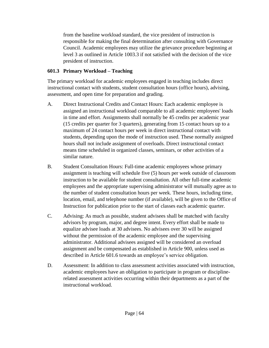from the baseline workload standard, the vice president of instruction is responsible for making the final determination after consulting with Governance Council. Academic employees may utilize the grievance procedure beginning at level 3 as outlined in Article 1003.3 if not satisfied with the decision of the vice president of instruction.

### **601.3 Primary Workload – Teaching**

The primary workload for academic employees engaged in teaching includes direct instructional contact with students, student consultation hours (office hours), advising, assessment, and open time for preparation and grading.

- A. Direct Instructional Credits and Contact Hours: Each academic employee is assigned an instructional workload comparable to all academic employees' loads in time and effort. Assignments shall normally be 45 credits per academic year (15 credits per quarter for 3 quarters), generating from 15 contact hours up to a maximum of 24 contact hours per week in direct instructional contact with students, depending upon the mode of instruction used. These normally assigned hours shall not include assignment of overloads. Direct instructional contact means time scheduled in organized classes, seminars, or other activities of a similar nature.
- B. Student Consultation Hours: Full-time academic employees whose primary assignment is teaching will schedule five (5) hours per week outside of classroom instruction to be available for student consultation. All other full-time academic employees and the appropriate supervising administrator will mutually agree as to the number of student consultation hours per week. These hours, including time, location, email, and telephone number (if available), will be given to the Office of Instruction for publication prior to the start of classes each academic quarter.
- C. Advising: As much as possible, student advisees shall be matched with faculty advisors by program, major, and degree intent. Every effort shall be made to equalize advisee loads at 30 advisees. No advisees over 30 will be assigned without the permission of the academic employee and the supervising administrator. Additional advisees assigned will be considered an overload assignment and be compensated as established in Article 900, unless used as described in Article 601.6 towards an employee's service obligation.
- D. Assessment: In addition to class assessment activities associated with instruction, academic employees have an obligation to participate in program or disciplinerelated assessment activities occurring within their departments as a part of the instructional workload.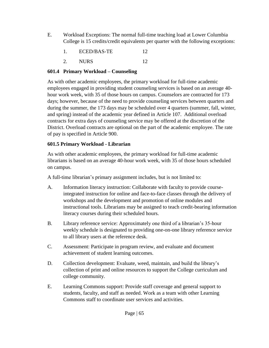- E. Workload Exceptions: The normal full-time teaching load at Lower Columbia College is 15 credits/credit equivalents per quarter with the following exceptions:
	- 1. ECED/BAS-TE 12
	- 2. NURS 12

### **601.4 Primary Workload – Counseling**

As with other academic employees, the primary workload for full-time academic employees engaged in providing student counseling services is based on an average 40 hour work week, with 35 of those hours on campus. Counselors are contracted for 173 days; however, because of the need to provide counseling services between quarters and during the summer, the 173 days may be scheduled over 4 quarters (summer, fall, winter, and spring) instead of the academic year defined in Article 107. Additional overload contracts for extra days of counseling service may be offered at the discretion of the District. Overload contracts are optional on the part of the academic employee. The rate of pay is specified in Article 900.

### **601.5 Primary Workload - Librarian**

As with other academic employees, the primary workload for full-time academic librarians is based on an average 40-hour work week, with 35 of those hours scheduled on campus.

A full-time librarian's primary assignment includes, but is not limited to:

- A. Information literacy instruction: Collaborate with faculty to provide courseintegrated instruction for online and face-to-face classes through the delivery of workshops and the development and promotion of online modules and instructional tools. Librarians may be assigned to teach credit-bearing information literacy courses during their scheduled hours.
- B. Library reference service: Approximately one third of a librarian's 35-hour weekly schedule is designated to providing one-on-one library reference service to all library users at the reference desk.
- C. Assessment: Participate in program review, and evaluate and document achievement of student learning outcomes.
- D. Collection development: Evaluate, weed, maintain, and build the library's collection of print and online resources to support the College curriculum and college community.
- E. Learning Commons support: Provide staff coverage and general support to students, faculty, and staff as needed. Work as a team with other Learning Commons staff to coordinate user services and activities.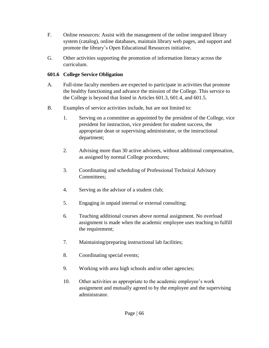- F. Online resources: Assist with the management of the online integrated library system (catalog), online databases, maintain library web pages, and support and promote the library's Open Educational Resources initiative.
- G. Other activities supporting the promotion of information literacy across the curriculum.

### **601.6 College Service Obligation**

- A. Full-time faculty members are expected to participate in activities that promote the healthy functioning and advance the mission of the College. This service to the College is beyond that listed in Articles 601.3, 601.4, and 601.5.
- B. Examples of service activities include, but are not limited to:
	- 1. Serving on a committee as appointed by the president of the College, vice president for instruction, vice president for student success, the appropriate dean or supervising administrator, or the instructional department;
	- 2. Advising more than 30 active advisees, without additional compensation, as assigned by normal College procedures;
	- 3. Coordinating and scheduling of Professional Technical Advisory Committees;
	- 4. Serving as the advisor of a student club;
	- 5. Engaging in unpaid internal or external consulting;
	- 6. Teaching additional courses above normal assignment. No overload assignment is made when the academic employee uses teaching to fulfill the requirement;
	- 7. Maintaining/preparing instructional lab facilities;
	- 8. Coordinating special events;
	- 9. Working with area high schools and/or other agencies;
	- 10. Other activities as appropriate to the academic employee's work assignment and mutually agreed to by the employee and the supervising administrator.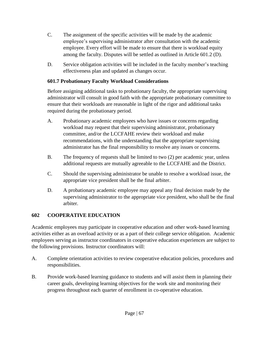- C. The assignment of the specific activities will be made by the academic employee's supervising administrator after consultation with the academic employee. Every effort will be made to ensure that there is workload equity among the faculty. Disputes will be settled as outlined in Article 601.2 (D).
- D. Service obligation activities will be included in the faculty member's teaching effectiveness plan and updated as changes occur.

### **601.7 Probationary Faculty Workload Considerations**

Before assigning additional tasks to probationary faculty, the appropriate supervising administrator will consult in good faith with the appropriate probationary committee to ensure that their workloads are reasonable in light of the rigor and additional tasks required during the probationary period.

- A. Probationary academic employees who have issues or concerns regarding workload may request that their supervising administrator, probationary committee, and/or the LCCFAHE review their workload and make recommendations, with the understanding that the appropriate supervising administrator has the final responsibility to resolve any issues or concerns.
- B. The frequency of requests shall be limited to two (2) per academic year, unless additional requests are mutually agreeable to the LCCFAHE and the District.
- C. Should the supervising administrator be unable to resolve a workload issue, the appropriate vice president shall be the final arbiter.
- D. A probationary academic employee may appeal any final decision made by the supervising administrator to the appropriate vice president, who shall be the final arbiter.

### **602 COOPERATIVE EDUCATION**

Academic employees may participate in cooperative education and other work-based learning activities either as an overload activity or as a part of their college service obligation. Academic employees serving as instructor coordinators in cooperative education experiences are subject to the following provisions. Instructor coordinators will:

- A. Complete orientation activities to review cooperative education policies, procedures and responsibilities.
- B. Provide work-based learning guidance to students and will assist them in planning their career goals, developing learning objectives for the work site and monitoring their progress throughout each quarter of enrollment in co-operative education.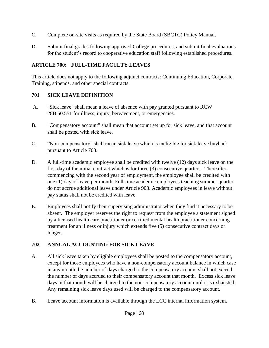- C. Complete on-site visits as required by the State Board (SBCTC) Policy Manual.
- D. Submit final grades following approved College procedures, and submit final evaluations for the student's record to cooperative education staff following established procedures.

### **ARTICLE 700: FULL-TIME FACULTY LEAVES**

This article does not apply to the following adjunct contracts: Continuing Education, Corporate Training, stipends, and other special contracts.

### **701 SICK LEAVE DEFINITION**

- A. "Sick leave" shall mean a leave of absence with pay granted pursuant to RCW 28B.50.551 for illness, injury, bereavement, or emergencies.
- B. "Compensatory account" shall mean that account set up for sick leave, and that account shall be posted with sick leave.
- C. "Non-compensatory" shall mean sick leave which is ineligible for sick leave buyback pursuant to Article 703.
- D. A full-time academic employee shall be credited with twelve (12) days sick leave on the first day of the initial contract which is for three (3) consecutive quarters. Thereafter, commencing with the second year of employment, the employee shall be credited with one (1) day of leave per month. Full-time academic employees teaching summer quarter do not accrue additional leave under Article 903. Academic employees in leave without pay status shall not be credited with leave.
- E. Employees shall notify their supervising administrator when they find it necessary to be absent. The employer reserves the right to request from the employee a statement signed by a licensed health care practitioner or certified mental health practitioner concerning treatment for an illness or injury which extends five (5) consecutive contract days or longer.

### **702 ANNUAL ACCOUNTING FOR SICK LEAVE**

- A. All sick leave taken by eligible employees shall be posted to the compensatory account, except for those employees who have a non-compensatory account balance in which case in any month the number of days charged to the compensatory account shall not exceed the number of days accrued to their compensatory account that month. Excess sick leave days in that month will be charged to the non-compensatory account until it is exhausted. Any remaining sick leave days used will be charged to the compensatory account.
- B. Leave account information is available through the LCC internal information system.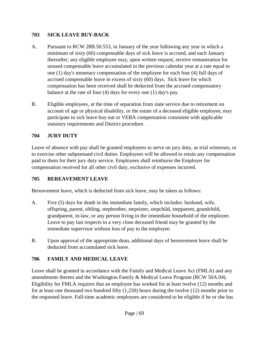### **703 SICK LEAVE BUY-BACK**

- A. Pursuant to RCW 28B.50.553, in January of the year following any year in which a minimum of sixty (60) compensable days of sick leave is accrued, and each January thereafter, any eligible employee may, upon written request, receive remuneration for unused compensable leave accumulated in the previous calendar year at a rate equal to one (1) day's monetary compensation of the employee for each four (4) full days of accrued compensable leave in excess of sixty (60) days. Sick leave for which compensation has been received shall be deducted from the accrued compensatory balance at the rate of four (4) days for every one (1) day's pay.
- B. Eligible employees, at the time of separation from state service due to retirement on account of age or physical disability, or the estate of a deceased eligible employee, may participate in sick leave buy out or VEBA compensation consistent with applicable statutory requirements and District procedure.

### **704 JURY DUTY**

Leave of absence with pay shall be granted employees to serve on jury duty, as trial witnesses, or to exercise other subpoenaed civil duties. Employees will be allowed to retain any compensation paid to them for their jury duty service. Employees shall reimburse the Employer for compensation received for all other civil duty, exclusive of expenses incurred.

### **705 BEREAVEMENT LEAVE**

Bereavement leave, which is deducted from sick leave, may be taken as follows:

- A. Five (5) days for death in the immediate family, which includes: husband, wife, offspring, parent, sibling, stepbrother, stepsister, stepchild, stepparent, grandchild, grandparent, in-law, or any person living in the immediate household of the employee. Leave to pay last respects to a very close deceased friend may be granted by the immediate supervisor without loss of pay to the employee.
- B. Upon approval of the appropriate dean, additional days of bereavement leave shall be deducted from accumulated sick leave.

### **706 FAMILY AND MEDICAL LEAVE**

Leave shall be granted in accordance with the Family and Medical Leave Act (FMLA) and any amendments thereto and the Washington Family & Medical Leave Program (RCW 50A.04). Eligibility for FMLA requires that an employee has worked for at least twelve (12) months and for at least one thousand two hundred fifty (1,250) hours during the twelve (12) months prior to the requested leave. Full-time academic employees are considered to be eligible if he or she has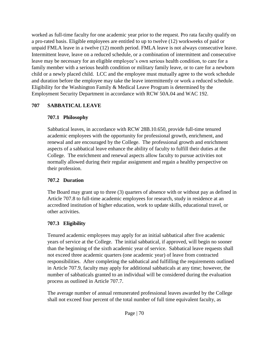worked as full-time faculty for one academic year prior to the request. Pro rata faculty qualify on a pro-rated basis. Eligible employees are entitled to up to twelve (12) workweeks of paid or unpaid FMLA leave in a twelve (12) month period. FMLA leave is not always consecutive leave. Intermittent leave, leave on a reduced schedule, or a combination of intermittent and consecutive leave may be necessary for an eligible employee's own serious health condition, to care for a family member with a serious health condition or military family leave, or to care for a newborn child or a newly placed child. LCC and the employee must mutually agree to the work schedule and duration before the employee may take the leave intermittently or work a reduced schedule. Eligibility for the Washington Family & Medical Leave Program is determined by the Employment Security Department in accordance with RCW 50A.04 and WAC 192.

### **707 SABBATICAL LEAVE**

### **707.1 Philosophy**

Sabbatical leaves, in accordance with RCW 28B.10.650, provide full-time tenured academic employees with the opportunity for professional growth, enrichment, and renewal and are encouraged by the College. The professional growth and enrichment aspects of a sabbatical leave enhance the ability of faculty to fulfill their duties at the College. The enrichment and renewal aspects allow faculty to pursue activities not normally allowed during their regular assignment and regain a healthy perspective on their profession.

### **707.2 Duration**

The Board may grant up to three (3) quarters of absence with or without pay as defined in Article 707.8 to full-time academic employees for research, study in residence at an accredited institution of higher education, work to update skills, educational travel, or other activities.

### **707.3 Eligibility**

Tenured academic employees may apply for an initial sabbatical after five academic years of service at the College. The initial sabbatical, if approved, will begin no sooner than the beginning of the sixth academic year of service. Sabbatical leave requests shall not exceed three academic quarters (one academic year) of leave from contracted responsibilities. After completing the sabbatical and fulfilling the requirements outlined in Article 707.9, faculty may apply for additional sabbaticals at any time; however, the number of sabbaticals granted to an individual will be considered during the evaluation process as outlined in Article 707.7.

The average number of annual remunerated professional leaves awarded by the College shall not exceed four percent of the total number of full time equivalent faculty, as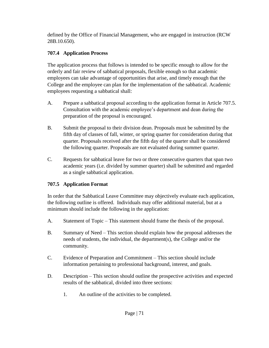defined by the Office of Financial Management, who are engaged in instruction (RCW 28B.10.650).

# **707.4 Application Process**

The application process that follows is intended to be specific enough to allow for the orderly and fair review of sabbatical proposals, flexible enough so that academic employees can take advantage of opportunities that arise, and timely enough that the College and the employee can plan for the implementation of the sabbatical. Academic employees requesting a sabbatical shall:

- A. Prepare a sabbatical proposal according to the application format in Article 707.5. Consultation with the academic employee's department and dean during the preparation of the proposal is encouraged.
- B. Submit the proposal to their division dean. Proposals must be submitted by the fifth day of classes of fall, winter, or spring quarter for consideration during that quarter. Proposals received after the fifth day of the quarter shall be considered the following quarter. Proposals are not evaluated during summer quarter.
- C. Requests for sabbatical leave for two or three consecutive quarters that span two academic years (i.e. divided by summer quarter) shall be submitted and regarded as a single sabbatical application.

### **707.5 Application Format**

In order that the Sabbatical Leave Committee may objectively evaluate each application, the following outline is offered. Individuals may offer additional material, but at a minimum should include the following in the application:

- A. Statement of Topic This statement should frame the thesis of the proposal.
- B. Summary of Need This section should explain how the proposal addresses the needs of students, the individual, the department(s), the College and/or the community.
- C. Evidence of Preparation and Commitment This section should include information pertaining to professional background, interest, and goals.
- D. Description This section should outline the prospective activities and expected results of the sabbatical, divided into three sections:
	- 1. An outline of the activities to be completed.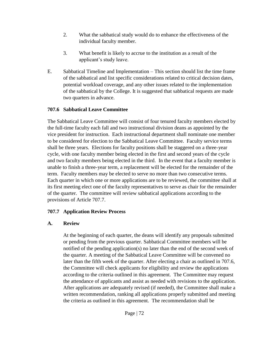- 2. What the sabbatical study would do to enhance the effectiveness of the individual faculty member.
- 3. What benefit is likely to accrue to the institution as a result of the applicant's study leave.
- E. Sabbatical Timeline and Implementation This section should list the time frame of the sabbatical and list specific considerations related to critical decision dates, potential workload coverage, and any other issues related to the implementation of the sabbatical by the College. It is suggested that sabbatical requests are made two quarters in advance.

#### **707.6 Sabbatical Leave Committee**

The Sabbatical Leave Committee will consist of four tenured faculty members elected by the full-time faculty each fall and two instructional division deans as appointed by the vice president for instruction. Each instructional department shall nominate one member to be considered for election to the Sabbatical Leave Committee. Faculty service terms shall be three years. Elections for faculty positions shall be staggered on a three-year cycle, with one faculty member being elected in the first and second years of the cycle and two faculty members being elected in the third. In the event that a faculty member is unable to finish a three-year term, a replacement will be elected for the remainder of the term. Faculty members may be elected to serve no more than two consecutive terms. Each quarter in which one or more applications are to be reviewed, the committee shall at its first meeting elect one of the faculty representatives to serve as chair for the remainder of the quarter. The committee will review sabbatical applications according to the provisions of Article 707.7.

#### **707.7 Application Review Process**

#### **A. Review**

At the beginning of each quarter, the deans will identify any proposals submitted or pending from the previous quarter. Sabbatical Committee members will be notified of the pending application(s) no later than the end of the second week of the quarter. A meeting of the Sabbatical Leave Committee will be convened no later than the fifth week of the quarter. After electing a chair as outlined in 707.6, the Committee will check applicants for eligibility and review the applications according to the criteria outlined in this agreement. The Committee may request the attendance of applicants and assist as needed with revisions to the application. After applications are adequately revised (if needed), the Committee shall make a written recommendation, ranking all applications properly submitted and meeting the criteria as outlined in this agreement. The recommendation shall be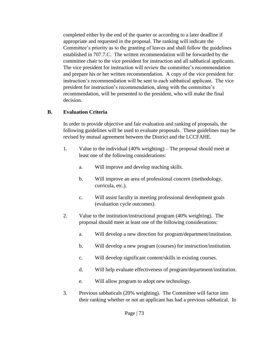completed either by the end of the quarter or according to a later deadline if appropriate and requested in the proposal. The ranking will indicate the Committee's priority as to the granting of leaves and shall follow the guidelines established in 707.7.C. The written recommendation will be forwarded by the committee chair to the vice president for instruction and all sabbatical applicants. The vice president for instruction will review the committee's recommendation and prepare his or her written recommendation. A copy of the vice president for instruction's recommendation will be sent to each sabbatical applicant. The vice president for instruction's recommendation, along with the committee's recommendation, will be presented to the president, who will make the final decision.

#### **B. Evaluation Criteria**

In order to provide objective and fair evaluation and ranking of proposals, the following guidelines will be used to evaluate proposals. These guidelines may be revised by mutual agreement between the District and the LCCFAHE.

- 1. Value to the individual (40% weighting) The proposal should meet at least one of the following considerations:
	- a. Will improve and develop teaching skills.
	- b. Will improve an area of professional concern (methodology, curricula, etc.).
	- c. Will assist faculty in meeting professional development goals (evaluation cycle outcomes).
- 2. Value to the institution/instructional program (40% weighting). The proposal should meet at least one of the following considerations:
	- a. Will develop a new direction for program/department/institution.
	- b. Will develop a new program (courses) for instruction/institution.
	- c. Will develop significant content/skills in existing courses.
	- d. Will help evaluate effectiveness of program/department/institution.
	- e. Will allow program to adopt new technology.
- 3. Previous sabbaticals (20% weighting). The Committee will factor into their ranking whether or not an applicant has had a previous sabbatical. In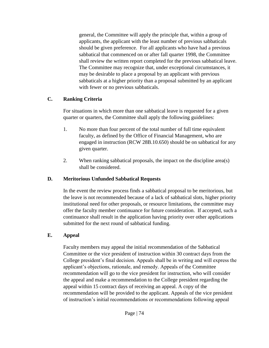general, the Committee will apply the principle that, within a group of applicants, the applicant with the least number of previous sabbaticals should be given preference. For all applicants who have had a previous sabbatical that commenced on or after fall quarter 1998, the Committee shall review the written report completed for the previous sabbatical leave. The Committee may recognize that, under exceptional circumstances, it may be desirable to place a proposal by an applicant with previous sabbaticals at a higher priority than a proposal submitted by an applicant with fewer or no previous sabbaticals.

#### **C. Ranking Criteria**

For situations in which more than one sabbatical leave is requested for a given quarter or quarters, the Committee shall apply the following guidelines:

- 1. No more than four percent of the total number of full time equivalent faculty, as defined by the Office of Financial Management, who are engaged in instruction (RCW 28B.10.650) should be on sabbatical for any given quarter.
- 2. When ranking sabbatical proposals, the impact on the discipline area(s) shall be considered.

#### **D. Meritorious Unfunded Sabbatical Requests**

In the event the review process finds a sabbatical proposal to be meritorious, but the leave is not recommended because of a lack of sabbatical slots, higher priority institutional need for other proposals, or resource limitations, the committee may offer the faculty member continuance for future consideration. If accepted, such a continuance shall result in the application having priority over other applications submitted for the next round of sabbatical funding.

#### **E. Appeal**

Faculty members may appeal the initial recommendation of the Sabbatical Committee or the vice president of instruction within 30 contract days from the College president's final decision. Appeals shall be in writing and will express the applicant's objections, rationale, and remedy. Appeals of the Committee recommendation will go to the vice president for instruction, who will consider the appeal and make a recommendation to the College president regarding the appeal within 15 contract days of receiving an appeal. A copy of the recommendation will be provided to the applicant. Appeals of the vice president of instruction's initial recommendations or recommendations following appeal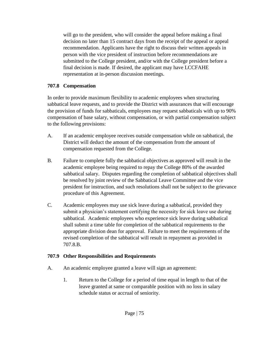will go to the president, who will consider the appeal before making a final decision no later than 15 contract days from the receipt of the appeal or appeal recommendation. Applicants have the right to discuss their written appeals in person with the vice president of instruction before recommendations are submitted to the College president, and/or with the College president before a final decision is made. If desired, the applicant may have LCCFAHE representation at in-person discussion meetings.

#### **707.8 Compensation**

In order to provide maximum flexibility to academic employees when structuring sabbatical leave requests, and to provide the District with assurances that will encourage the provision of funds for sabbaticals, employees may request sabbaticals with up to 90% compensation of base salary, without compensation, or with partial compensation subject to the following provisions:

- A. If an academic employee receives outside compensation while on sabbatical, the District will deduct the amount of the compensation from the amount of compensation requested from the College.
- B. Failure to complete fully the sabbatical objectives as approved will result in the academic employee being required to repay the College 80% of the awarded sabbatical salary. Disputes regarding the completion of sabbatical objectives shall be resolved by joint review of the Sabbatical Leave Committee and the vice president for instruction, and such resolutions shall not be subject to the grievance procedure of this Agreement.
- C. Academic employees may use sick leave during a sabbatical, provided they submit a physician's statement certifying the necessity for sick leave use during sabbatical. Academic employees who experience sick leave during sabbatical shall submit a time table for completion of the sabbatical requirements to the appropriate division dean for approval. Failure to meet the requirements of the revised completion of the sabbatical will result in repayment as provided in 707.8.B.

#### **707.9 Other Responsibilities and Requirements**

- A. An academic employee granted a leave will sign an agreement:
	- 1. Return to the College for a period of time equal in length to that of the leave granted at same or comparable position with no loss in salary schedule status or accrual of seniority.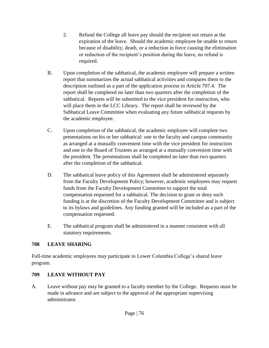- 2. Refund the College all leave pay should the recipient not return at the expiration of the leave. Should the academic employee be unable to return because of disability, death, or a reduction in force causing the elimination or reduction of the recipient's position during the leave, no refund is required.
- B. Upon completion of the sabbatical, the academic employee will prepare a written report that summarizes the actual sabbatical activities and compares them to the description outlined as a part of the application process in Article 707.4. The report shall be completed no later than two quarters after the completion of the sabbatical. Reports will be submitted to the vice president for instruction, who will place them in the LCC Library. The report shall be reviewed by the Sabbatical Leave Committee when evaluating any future sabbatical requests by the academic employee.
- C. Upon completion of the sabbatical, the academic employee will complete two presentations on his or her sabbatical: one to the faculty and campus community as arranged at a mutually convenient time with the vice president for instruction and one to the Board of Trustees as arranged at a mutually convenient time with the president. The presentations shall be completed no later than two quarters after the completion of the sabbatical.
- D. The sabbatical leave policy of this Agreement shall be administered separately from the Faculty Development Policy; however, academic employees may request funds from the Faculty Development Committee to support the total compensation requested for a sabbatical. The decision to grant or deny such funding is at the discretion of the Faculty Development Committee and is subject to its bylaws and guidelines. Any funding granted will be included as a part of the compensation requested.
- E. The sabbatical program shall be administered in a manner consistent with all statutory requirements.

#### **708 LEAVE SHARING**

Full-time academic employees may participate in Lower Columbia College's shared leave program.

#### **709 LEAVE WITHOUT PAY**

A. Leave without pay may be granted to a faculty member by the College. Requests must be made in advance and are subject to the approval of the appropriate supervising administrator.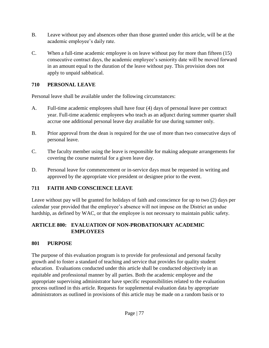- B. Leave without pay and absences other than those granted under this article, will be at the academic employee's daily rate.
- C. When a full-time academic employee is on leave without pay for more than fifteen (15) consecutive contract days, the academic employee's seniority date will be moved forward in an amount equal to the duration of the leave without pay. This provision does not apply to unpaid sabbatical.

# **710 PERSONAL LEAVE**

Personal leave shall be available under the following circumstances:

- A. Full-time academic employees shall have four (4) days of personal leave per contract year. Full-time academic employees who teach as an adjunct during summer quarter shall accrue one additional personal leave day available for use during summer only.
- B. Prior approval from the dean is required for the use of more than two consecutive days of personal leave.
- C. The faculty member using the leave is responsible for making adequate arrangements for covering the course material for a given leave day.
- D. Personal leave for commencement or in-service days must be requested in writing and approved by the appropriate vice president or designee prior to the event.

# **711 FAITH AND CONSCIENCE LEAVE**

Leave without pay will be granted for holidays of faith and conscience for up to two (2) days per calendar year provided that the employee's absence will not impose on the District an undue hardship, as defined by WAC, or that the employee is not necessary to maintain public safety.

# **ARTICLE 800: EVALUATION OF NON-PROBATIONARY ACADEMIC EMPLOYEES**

# **801 PURPOSE**

The purpose of this evaluation program is to provide for professional and personal faculty growth and to foster a standard of teaching and service that provides for quality student education. Evaluations conducted under this article shall be conducted objectively in an equitable and professional manner by all parties. Both the academic employee and the appropriate supervising administrator have specific responsibilities related to the evaluation process outlined in this article. Requests for supplemental evaluation data by appropriate administrators as outlined in provisions of this article may be made on a random basis or to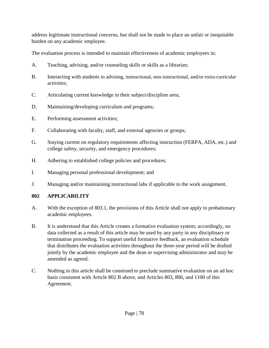address legitimate instructional concerns, but shall not be made to place an unfair or inequitable burden on any academic employee.

The evaluation process is intended to maintain effectiveness of academic employees in:

- A. Teaching, advising, and/or counseling skills or skills as a librarian;
- B. Interacting with students in advising, instructional, non-instructional, and/or extra-curricular activities;
- C. Articulating current knowledge in their subject/discipline area;
- D. Maintaining/developing curriculum and programs;
- E. Performing assessment activities;
- F. Collaborating with faculty, staff, and external agencies or groups;
- G. Staying current on regulatory requirements affecting instruction (FERPA, ADA, etc.) and college safety, security, and emergency procedures;
- H. Adhering to established college policies and procedures;
- I. Managing personal professional development; and
- J. Managing and/or maintaining instructional labs if applicable to the work assignment.

# **802 APPLICABILITY**

- A. With the exception of 803.1, the provisions of this Article shall not apply to probationary academic employees.
- B. It is understood that this Article creates a formative evaluation system; accordingly, no data collected as a result of this article may be used by any party in any disciplinary or termination proceeding. To support useful formative feedback, an evaluation schedule that distributes the evaluation activities throughout the three-year period will be drafted jointly by the academic employee and the dean or supervising administrator and may be amended as agreed.
- C. Nothing in this article shall be construed to preclude summative evaluation on an ad hoc basis consistent with Article 802 B above, and Articles 803, 806, and 1100 of this Agreement.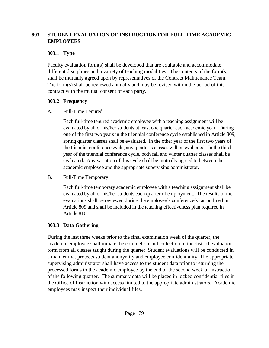#### **803 STUDENT EVALUATION OF INSTRUCTION FOR FULL-TIME ACADEMIC EMPLOYEES**

#### **803.1 Type**

Faculty evaluation form(s) shall be developed that are equitable and accommodate different disciplines and a variety of teaching modalities. The contents of the form(s) shall be mutually agreed upon by representatives of the Contract Maintenance Team. The form(s) shall be reviewed annually and may be revised within the period of this contract with the mutual consent of each party.

# **803.2 Frequency**

# A. Full-Time Tenured

Each full-time tenured academic employee with a teaching assignment will be evaluated by all of his/her students at least one quarter each academic year. During one of the first two years in the triennial conference cycle established in Article 809, spring quarter classes shall be evaluated. In the other year of the first two years of the triennial conference cycle, any quarter's classes will be evaluated. In the third year of the triennial conference cycle, both fall and winter quarter classes shall be evaluated. Any variation of this cycle shall be mutually agreed to between the academic employee and the appropriate supervising administrator.

B. Full-Time Temporary

Each full-time temporary academic employee with a teaching assignment shall be evaluated by all of his/her students each quarter of employment. The results of the evaluations shall be reviewed during the employee's conference(s) as outlined in Article 809 and shall be included in the teaching effectiveness plan required in Article 810.

# **803.3 Data Gathering**

During the last three weeks prior to the final examination week of the quarter, the academic employee shall initiate the completion and collection of the district evaluation form from all classes taught during the quarter. Student evaluations will be conducted in a manner that protects student anonymity and employee confidentiality. The appropriate supervising administrator shall have access to the student data prior to returning the processed forms to the academic employee by the end of the second week of instruction of the following quarter. The summary data will be placed in locked confidential files in the Office of Instruction with access limited to the appropriate administrators. Academic employees may inspect their individual files.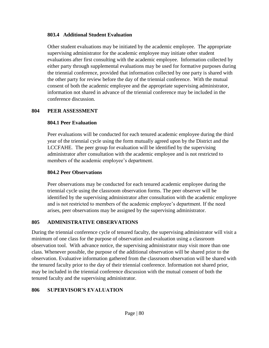#### **803.4 Additional Student Evaluation**

Other student evaluations may be initiated by the academic employee. The appropriate supervising administrator for the academic employee may initiate other student evaluations after first consulting with the academic employee. Information collected by either party through supplemental evaluations may be used for formative purposes during the triennial conference, provided that information collected by one party is shared with the other party for review before the day of the triennial conference. With the mutual consent of both the academic employee and the appropriate supervising administrator, information not shared in advance of the triennial conference may be included in the conference discussion.

#### **804 PEER ASSESSMENT**

### **804.1 Peer Evaluation**

Peer evaluations will be conducted for each tenured academic employee during the third year of the triennial cycle using the form mutually agreed upon by the District and the LCCFAHE. The peer group for evaluation will be identified by the supervising administrator after consultation with the academic employee and is not restricted to members of the academic employee's department.

#### **804.2 Peer Observations**

Peer observations may be conducted for each tenured academic employee during the triennial cycle using the classroom observation forms. The peer observer will be identified by the supervising administrator after consultation with the academic employee and is not restricted to members of the academic employee's department. If the need arises, peer observations may be assigned by the supervising administrator.

# **805 ADMINISTRATIVE OBSERVATIONS**

During the triennial conference cycle of tenured faculty, the supervising administrator will visit a minimum of one class for the purpose of observation and evaluation using a classroom observation tool. With advance notice, the supervising administrator may visit more than one class. Whenever possible, the purpose of the additional observation will be shared prior to the observation. Evaluative information gathered from the classroom observation will be shared with the tenured faculty prior to the day of their triennial conference. Information not shared prior, may be included in the triennial conference discussion with the mutual consent of both the tenured faculty and the supervising administrator.

# **806 SUPERVISOR'S EVALUATION**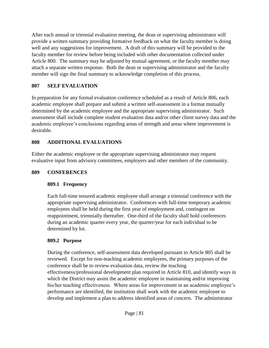After each annual or triennial evaluation meeting, the dean or supervising administrator will provide a written summary providing formative feedback on what the faculty member is doing well and any suggestions for improvement. A draft of this summary will be provided to the faculty member for review before being included with other documentation collected under Article 800. The summary may be adjusted by mutual agreement, or the faculty member may attach a separate written response. Both the dean or supervising administrator and the faculty member will sign the final summary to acknowledge completion of this process.

#### **807 SELF EVALUATION**

In preparation for any formal evaluation conference scheduled as a result of Article 806, each academic employee shall prepare and submit a written self-assessment in a format mutually determined by the academic employee and the appropriate supervising administrator. Such assessment shall include complete student evaluation data and/or other client survey data and the academic employee's conclusions regarding areas of strength and areas where improvement is desirable.

# **808 ADDITIONAL EVALUATIONS**

Either the academic employee or the appropriate supervising administrator may request evaluative input from advisory committees, employers and other members of the community.

#### **809 CONFERENCES**

# **809.1 Frequency**

Each full-time tenured academic employee shall arrange a triennial conference with the appropriate supervising administrator. Conferences with full-time temporary academic employees shall be held during the first year of employment and, contingent on reappointment, triennially thereafter. One-third of the faculty shall hold conferences during an academic quarter every year, the quarter/year for each individual to be determined by lot.

# **809.2 Purpose**

During the conference, self-assessment data developed pursuant to Article 805 shall be reviewed. Except for non-teaching academic employees, the primary purposes of the conference shall be to review evaluation data, review the teaching effectiveness/professional development plan required in Article 810, and identify ways in which the District may assist the academic employee in maintaining and/or improving his/her teaching effectiveness. Where areas for improvement in an academic employee's performance are identified, the institution shall work with the academic employee to develop and implement a plan to address identified areas of concern. The administrator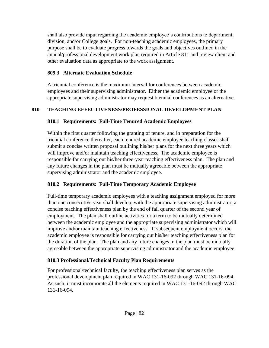shall also provide input regarding the academic employee's contributions to department, division, and/or College goals. For non-teaching academic employees, the primary purpose shall be to evaluate progress towards the goals and objectives outlined in the annual/professional development work plan required in Article 811 and review client and other evaluation data as appropriate to the work assignment.

#### **809.3 Alternate Evaluation Schedule**

A triennial conference is the maximum interval for conferences between academic employees and their supervising administrator. Either the academic employee or the appropriate supervising administrator may request biennial conferences as an alternative.

### **810 TEACHING EFFECTIVENESS/PROFESSIONAL DEVELOPMENT PLAN**

#### **810.1 Requirements: Full-Time Tenured Academic Employees**

Within the first quarter following the granting of tenure, and in preparation for the triennial conference thereafter, each tenured academic employee teaching classes shall submit a concise written proposal outlining his/her plans for the next three years which will improve and/or maintain teaching effectiveness. The academic employee is responsible for carrying out his/her three-year teaching effectiveness plan. The plan and any future changes in the plan must be mutually agreeable between the appropriate supervising administrator and the academic employee.

# **810.2 Requirements: Full-Time Temporary Academic Employee**

Full-time temporary academic employees with a teaching assignment employed for more than one consecutive year shall develop, with the appropriate supervising administrator, a concise teaching effectiveness plan by the end of fall quarter of the second year of employment. The plan shall outline activities for a term to be mutually determined between the academic employee and the appropriate supervising administrator which will improve and/or maintain teaching effectiveness. If subsequent employment occurs, the academic employee is responsible for carrying out his/her teaching effectiveness plan for the duration of the plan. The plan and any future changes in the plan must be mutually agreeable between the appropriate supervising administrator and the academic employee.

#### **810.3 Professional/Technical Faculty Plan Requirements**

For professional/technical faculty, the teaching effectiveness plan serves as the professional development plan required in WAC 131-16-092 through WAC 131-16-094. As such, it must incorporate all the elements required in WAC 131-16-092 through WAC 131-16-094.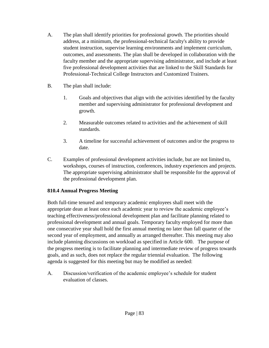- A. The plan shall identify priorities for professional growth. The priorities should address, at a minimum, the professional-technical faculty's ability to provide student instruction, supervise learning environments and implement curriculum, outcomes, and assessments. The plan shall be developed in collaboration with the faculty member and the appropriate supervising administrator, and include at least five professional development activities that are linked to the Skill Standards for Professional-Technical College Instructors and Customized Trainers.
- B. The plan shall include:
	- 1. Goals and objectives that align with the activities identified by the faculty member and supervising administrator for professional development and growth.
	- 2. Measurable outcomes related to activities and the achievement of skill standards.
	- 3. A timeline for successful achievement of outcomes and/or the progress to date.
- C. Examples of professional development activities include, but are not limited to, workshops, courses of instruction, conferences, industry experiences and projects. The appropriate supervising administrator shall be responsible for the approval of the professional development plan.

# **810.4 Annual Progress Meeting**

Both full-time tenured and temporary academic employees shall meet with the appropriate dean at least once each academic year to review the academic employee's teaching effectiveness/professional development plan and facilitate planning related to professional development and annual goals. Temporary faculty employed for more than one consecutive year shall hold the first annual meeting no later than fall quarter of the second year of employment, and annually as arranged thereafter. This meeting may also include planning discussions on workload as specified in Article 600. The purpose of the progress meeting is to facilitate planning and intermediate review of progress towards goals, and as such, does not replace the regular triennial evaluation. The following agenda is suggested for this meeting but may be modified as needed:

A. Discussion/verification of the academic employee's schedule for student evaluation of classes.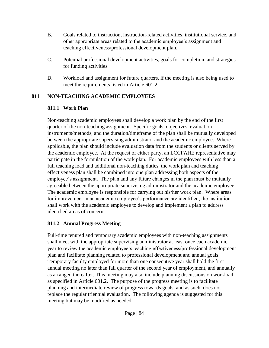- B. Goals related to instruction, instruction-related activities, institutional service, and other appropriate areas related to the academic employee's assignment and teaching effectiveness/professional development plan.
- C. Potential professional development activities, goals for completion, and strategies for funding activities.
- D. Workload and assignment for future quarters, if the meeting is also being used to meet the requirements listed in Article 601.2.

### **811 NON-TEACHING ACADEMIC EMPLOYEES**

### **811.1 Work Plan**

Non-teaching academic employees shall develop a work plan by the end of the first quarter of the non-teaching assignment. Specific goals, objectives, evaluation instruments/methods, and the duration/timeframe of the plan shall be mutually developed between the appropriate supervising administrator and the academic employee. Where applicable, the plan should include evaluation data from the students or clients served by the academic employee. At the request of either party, an LCCFAHE representative may participate in the formulation of the work plan. For academic employees with less than a full teaching load and additional non-teaching duties, the work plan and teaching effectiveness plan shall be combined into one plan addressing both aspects of the employee's assignment. The plan and any future changes in the plan must be mutually agreeable between the appropriate supervising administrator and the academic employee. The academic employee is responsible for carrying out his/her work plan. Where areas for improvement in an academic employee's performance are identified, the institution shall work with the academic employee to develop and implement a plan to address identified areas of concern.

# **811.2 Annual Progress Meeting**

Full-time tenured and temporary academic employees with non-teaching assignments shall meet with the appropriate supervising administrator at least once each academic year to review the academic employee's teaching effectiveness/professional development plan and facilitate planning related to professional development and annual goals. Temporary faculty employed for more than one consecutive year shall hold the first annual meeting no later than fall quarter of the second year of employment, and annually as arranged thereafter. This meeting may also include planning discussions on workload as specified in Article 601.2. The purpose of the progress meeting is to facilitate planning and intermediate review of progress towards goals, and as such, does not replace the regular triennial evaluation. The following agenda is suggested for this meeting but may be modified as needed: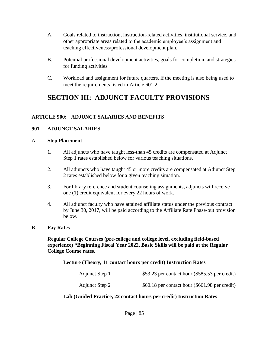- A. Goals related to instruction, instruction-related activities, institutional service, and other appropriate areas related to the academic employee's assignment and teaching effectiveness/professional development plan.
- B. Potential professional development activities, goals for completion, and strategies for funding activities.
- C. Workload and assignment for future quarters, if the meeting is also being used to meet the requirements listed in Article 601.2.

# **SECTION III: ADJUNCT FACULTY PROVISIONS**

#### **ARTICLE 900: ADJUNCT SALARIES AND BENEFITS**

#### **901 ADJUNCT SALARIES**

#### A. **Step Placement**

- 1. All adjuncts who have taught less-than 45 credits are compensated at Adjunct Step 1 rates established below for various teaching situations.
- 2. All adjuncts who have taught 45 or more credits are compensated at Adjunct Step 2 rates established below for a given teaching situation.
- 3. For library reference and student counseling assignments, adjuncts will receive one (1) credit equivalent for every 22 hours of work.
- 4. All adjunct faculty who have attained affiliate status under the previous contract by June 30, 2017, will be paid according to the Affiliate Rate Phase-out provision below.

#### B. **Pay Rates**

**Regular College Courses (pre-college and college level, excluding field-based experience) \*Beginning Fiscal Year 2022, Basic Skills will be paid at the Regular College Course rates.**

**Lecture (Theory, 11 contact hours per credit) Instruction Rates** 

| Adjunct Step 1 | \$53.23 per contact hour $(\$585.53$ per credit) |
|----------------|--------------------------------------------------|
| Adjunct Step 2 | $$60.18$ per contact hour (\$661.98 per credit)  |

#### **Lab (Guided Practice, 22 contact hours per credit) Instruction Rates**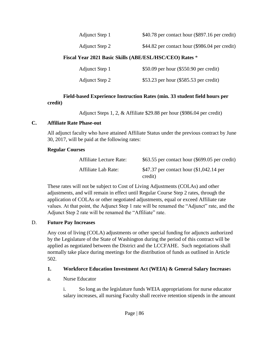Adjunct Step 1  $$40.78$  per contact hour (\$897.16 per credit)

Adjunct Step 2  $$44.82$  per contact hour (\$986.04 per credit)

#### **Fiscal Year 2021 Basic Skills (ABE/ESL/HSC/CEO) Rates** \*

| Adjunct Step 1 | \$50.09 per hour $(\$550.90$ per credit) |
|----------------|------------------------------------------|
| Adjunct Step 2 | \$53.23 per hour (\$585.53 per credit)   |

#### **Field-based Experience Instruction Rates (min. 33 student field hours per credit)**

Adjunct Steps 1, 2, & Affiliate \$29.88 per hour (\$986.04 per credit)

#### **C. Affiliate Rate Phase-out**

All adjunct faculty who have attained Affiliate Status under the previous contract by June 30, 2017, will be paid at the following rates:

#### **Regular Courses**

| Affiliate Lecture Rate: | $$63.55$ per contact hour (\$699.05 per credit)     |
|-------------------------|-----------------------------------------------------|
| Affiliate Lab Rate:     | \$47.37 per contact hour (\$1,042.14 per<br>credit) |

These rates will not be subject to Cost of Living Adjustments (COLAs) and other adjustments, and will remain in effect until Regular Course Step 2 rates, through the application of COLAs or other negotiated adjustments, equal or exceed Affiliate rate values. At that point, the Adjunct Step 1 rate will be renamed the "Adjunct" rate, and the Adjunct Step 2 rate will be renamed the "Affiliate" rate.

#### D. **Future Pay Increases**

Any cost of living (COLA) adjustments or other special funding for adjuncts authorized by the Legislature of the State of Washington during the period of this contract will be applied as negotiated between the District and the LCCFAHE. Such negotiations shall normally take place during meetings for the distribution of funds as outlined in Article 502.

#### **1. Workforce Education Investment Act (WEIA) & General Salary Increase**s

a. Nurse Educator

i. So long as the legislature funds WEIA appropriations for nurse educator salary increases, all nursing Faculty shall receive retention stipends in the amount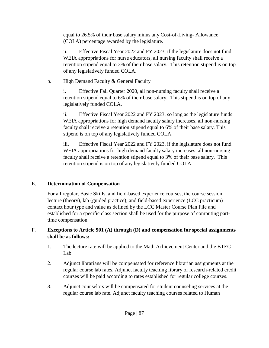equal to 26.5% of their base salary minus any Cost-of-Living- Allowance (COLA) percentage awarded by the legislature.

ii. Effective Fiscal Year 2022 and FY 2023, if the legislature does not fund WEIA appropriations for nurse educators, all nursing faculty shall receive a retention stipend equal to 3% of their base salary. This retention stipend is on top of any legislatively funded COLA.

b. High Demand Faculty & General Faculty

i. Effective Fall Quarter 2020, all non-nursing faculty shall receive a retention stipend equal to 6% of their base salary. This stipend is on top of any legislatively funded COLA.

ii. Effective Fiscal Year 2022 and FY 2023, so long as the legislature funds WEIA appropriations for high demand faculty salary increases, all non-nursing faculty shall receive a retention stipend equal to 6% of their base salary. This stipend is on top of any legislatively funded COLA.

iii. Effective Fiscal Year 2022 and FY 2023, if the legislature does not fund WEIA appropriations for high demand faculty salary increases, all non-nursing faculty shall receive a retention stipend equal to 3% of their base salary. This retention stipend is on top of any legislatively funded COLA.

# E. **Determination of Compensation**

For all regular, Basic Skills, and field-based experience courses, the course session lecture (theory), lab (guided practice), and field-based experience (LCC practicum) contact hour type and value as defined by the LCC Master Course Plan File and established for a specific class section shall be used for the purpose of computing parttime compensation.

### F. **Exceptions to Article 901 (A) through (D) and compensation for special assignments shall be as follows:**

- 1. The lecture rate will be applied to the Math Achievement Center and the BTEC Lab.
- 2. Adjunct librarians will be compensated for reference librarian assignments at the regular course lab rates. Adjunct faculty teaching library or research-related credit courses will be paid according to rates established for regular college courses.
- 3. Adjunct counselors will be compensated for student counseling services at the regular course lab rate. Adjunct faculty teaching courses related to Human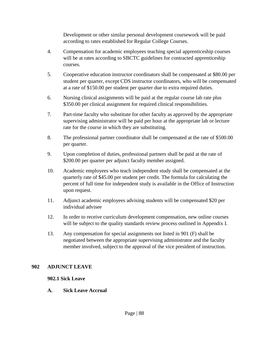Development or other similar personal development coursework will be paid according to rates established for Regular College Courses.

- 4. Compensation for academic employees teaching special apprenticeship courses will be at rates according to SBCTC guidelines for contracted apprenticeship courses.
- 5. Cooperative education instructor coordinators shall be compensated at \$80.00 per student per quarter, except CDS instructor coordinators, who will be compensated at a rate of \$150.00 per student per quarter due to extra required duties.
- 6. Nursing clinical assignments will be paid at the regular course lab rate plus \$350.00 per clinical assignment for required clinical responsibilities.
- 7. Part-time faculty who substitute for other faculty as approved by the appropriate supervising administrator will be paid per hour at the appropriate lab or lecture rate for the course in which they are substituting.
- 8. The professional partner coordinator shall be compensated at the rate of \$500.00 per quarter.
- 9. Upon completion of duties, professional partners shall be paid at the rate of \$200.00 per quarter per adjunct faculty member assigned.
- 10. Academic employees who teach independent study shall be compensated at the quarterly rate of \$45.00 per student per credit. The formula for calculating the percent of full time for independent study is available in the Office of Instruction upon request.
- 11. Adjunct academic employees advising students will be compensated \$20 per individual advisee
- 12. In order to receive curriculum development compensation, new online courses will be subject to the quality standards review process outlined in Appendix I.
- 13. Any compensation for special assignments not listed in 901 (F) shall be negotiated between the appropriate supervising administrator and the faculty member involved, subject to the approval of the vice president of instruction.

#### **902 ADJUNCT LEAVE**

#### **902.1 Sick Leave**

#### **A. Sick Leave Accrual**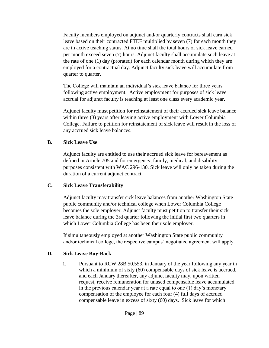Faculty members employed on adjunct and/or quarterly contracts shall earn sick leave based on their contracted FTEF multiplied by seven (7) for each month they are in active teaching status. At no time shall the total hours of sick leave earned per month exceed seven (7) hours. Adjunct faculty shall accumulate such leave at the rate of one (1) day (prorated) for each calendar month during which they are employed for a contractual day. Adjunct faculty sick leave will accumulate from quarter to quarter.

The College will maintain an individual's sick leave balance for three years following active employment. Active employment for purposes of sick leave accrual for adjunct faculty is teaching at least one class every academic year.

Adjunct faculty must petition for reinstatement of their accrued sick leave balance within three (3) years after leaving active employment with Lower Columbia College. Failure to petition for reinstatement of sick leave will result in the loss of any accrued sick leave balances.

#### **B. Sick Leave Use**

Adjunct faculty are entitled to use their accrued sick leave for bereavement as defined in Article 705 and for emergency, family, medical, and disability purposes consistent with WAC 296-130. Sick leave will only be taken during the duration of a current adjunct contract.

#### **C. Sick Leave Transferability**

Adjunct faculty may transfer sick leave balances from another Washington State public community and/or technical college when Lower Columbia College becomes the sole employer. Adjunct faculty must petition to transfer their sick leave balance during the 3rd quarter following the initial first two quarters in which Lower Columbia College has been their sole employer.

If simultaneously employed at another Washington State public community and/or technical college, the respective campus' negotiated agreement will apply.

#### **D. Sick Leave Buy-Back**

1. Pursuant to RCW 28B.50.553, in January of the year following any year in which a minimum of sixty (60) compensable days of sick leave is accrued, and each January thereafter, any adjunct faculty may, upon written request, receive remuneration for unused compensable leave accumulated in the previous calendar year at a rate equal to one (1) day's monetary compensation of the employee for each four (4) full days of accrued compensable leave in excess of sixty (60) days. Sick leave for which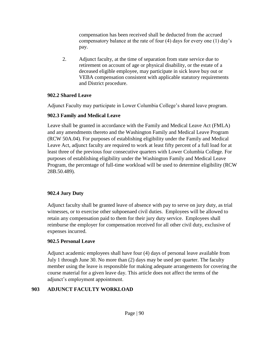compensation has been received shall be deducted from the accrued compensatory balance at the rate of four (4) days for every one (1) day's pay.

2. Adjunct faculty, at the time of separation from state service due to retirement on account of age or physical disability, or the estate of a deceased eligible employee, may participate in sick leave buy out or VEBA compensation consistent with applicable statutory requirements and District procedure.

#### **902.2 Shared Leave**

Adjunct Faculty may participate in Lower Columbia College's shared leave program.

### **902.3 Family and Medical Leave**

Leave shall be granted in accordance with the Family and Medical Leave Act (FMLA) and any amendments thereto and the Washington Family and Medical Leave Program (RCW 50A.04). For purposes of establishing eligibility under the Family and Medical Leave Act, adjunct faculty are required to work at least fifty percent of a full load for at least three of the previous four consecutive quarters with Lower Columbia College. For purposes of establishing eligibility under the Washington Family and Medical Leave Program, the percentage of full-time workload will be used to determine eligibility (RCW 28B.50.489).

# **902.4 Jury Duty**

Adjunct faculty shall be granted leave of absence with pay to serve on jury duty, as trial witnesses, or to exercise other subpoenaed civil duties. Employees will be allowed to retain any compensation paid to them for their jury duty service. Employees shall reimburse the employer for compensation received for all other civil duty, exclusive of expenses incurred.

# **902.5 Personal Leave**

Adjunct academic employees shall have four (4) days of personal leave available from July 1 through June 30. No more than (2) days may be used per quarter. The faculty member using the leave is responsible for making adequate arrangements for covering the course material for a given leave day. This article does not affect the terms of the adjunct's employment appointment.

# **903 ADJUNCT FACULTY WORKLOAD**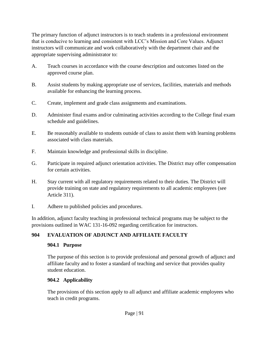The primary function of adjunct instructors is to teach students in a professional environment that is conducive to learning and consistent with LCC's Mission and Core Values. Adjunct instructors will communicate and work collaboratively with the department chair and the appropriate supervising administrator to:

- A. Teach courses in accordance with the course description and outcomes listed on the approved course plan.
- B. Assist students by making appropriate use of services, facilities, materials and methods available for enhancing the learning process.
- C. Create, implement and grade class assignments and examinations.
- D. Administer final exams and/or culminating activities according to the College final exam schedule and guidelines.
- E. Be reasonably available to students outside of class to assist them with learning problems associated with class materials.
- F. Maintain knowledge and professional skills in discipline.
- G. Participate in required adjunct orientation activities. The District may offer compensation for certain activities.
- H. Stay current with all regulatory requirements related to their duties. The District will provide training on state and regulatory requirements to all academic employees (see Article 311).
- I. Adhere to published policies and procedures.

In addition, adjunct faculty teaching in professional technical programs may be subject to the provisions outlined in WAC 131-16-092 regarding certification for instructors.

# **904 EVALUATION OF ADJUNCT AND AFFILIATE FACULTY**

# **904.1 Purpose**

The purpose of this section is to provide professional and personal growth of adjunct and affiliate faculty and to foster a standard of teaching and service that provides quality student education.

# **904.2 Applicability**

The provisions of this section apply to all adjunct and affiliate academic employees who teach in credit programs.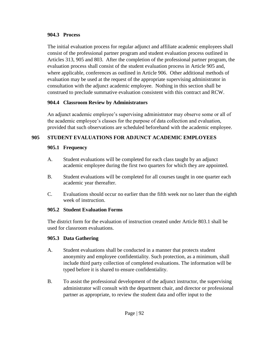#### **904.3 Process**

The initial evaluation process for regular adjunct and affiliate academic employees shall consist of the professional partner program and student evaluation process outlined in Articles 313, 905 and 803. After the completion of the professional partner program, the evaluation process shall consist of the student evaluation process in Article 905 and, where applicable, conferences as outlined in Article 906. Other additional methods of evaluation may be used at the request of the appropriate supervising administrator in consultation with the adjunct academic employee. Nothing in this section shall be construed to preclude summative evaluation consistent with this contract and RCW.

#### **904.4 Classroom Review by Administrators**

An adjunct academic employee's supervising administrator may observe some or all of the academic employee's classes for the purpose of data collection and evaluation, provided that such observations are scheduled beforehand with the academic employee.

#### **905 STUDENT EVALUATIONS FOR ADJUNCT ACADEMIC EMPLOYEES**

#### **905.1 Frequency**

- A. Student evaluations will be completed for each class taught by an adjunct academic employee during the first two quarters for which they are appointed.
- B. Student evaluations will be completed for all courses taught in one quarter each academic year thereafter.
- C. Evaluations should occur no earlier than the fifth week nor no later than the eighth week of instruction.

#### **905.2 Student Evaluation Forms**

The district form for the evaluation of instruction created under Article 803.1 shall be used for classroom evaluations.

#### **905.3 Data Gathering**

- A. Student evaluations shall be conducted in a manner that protects student anonymity and employee confidentiality. Such protection, as a minimum, shall include third party collection of completed evaluations. The information will be typed before it is shared to ensure confidentiality.
- B. To assist the professional development of the adjunct instructor, the supervising administrator will consult with the department chair, and director or professional partner as appropriate, to review the student data and offer input to the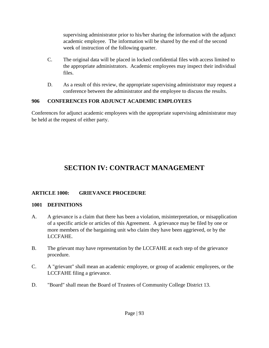supervising administrator prior to his/her sharing the information with the adjunct academic employee. The information will be shared by the end of the second week of instruction of the following quarter.

- C. The original data will be placed in locked confidential files with access limited to the appropriate administrators. Academic employees may inspect their individual files.
- D. As a result of this review, the appropriate supervising administrator may request a conference between the administrator and the employee to discuss the results.

#### **906 CONFERENCES FOR ADJUNCT ACADEMIC EMPLOYEES**

Conferences for adjunct academic employees with the appropriate supervising administrator may be held at the request of either party.

# **SECTION IV: CONTRACT MANAGEMENT**

#### **ARTICLE 1000: GRIEVANCE PROCEDURE**

#### **1001 DEFINITIONS**

- A. A grievance is a claim that there has been a violation, misinterpretation, or misapplication of a specific article or articles of this Agreement. A grievance may be filed by one or more members of the bargaining unit who claim they have been aggrieved, or by the LCCFAHE.
- B. The grievant may have representation by the LCCFAHE at each step of the grievance procedure.
- C. A "grievant" shall mean an academic employee, or group of academic employees, or the LCCFAHE filing a grievance.
- D. "Board" shall mean the Board of Trustees of Community College District 13.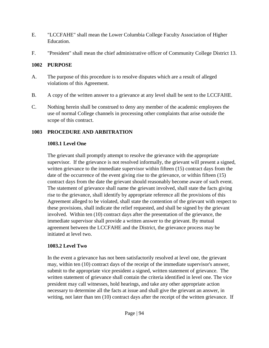- E. "LCCFAHE" shall mean the Lower Columbia College Faculty Association of Higher Education.
- F. "President" shall mean the chief administrative officer of Community College District 13.

#### **1002 PURPOSE**

- A. The purpose of this procedure is to resolve disputes which are a result of alleged violations of this Agreement.
- B. A copy of the written answer to a grievance at any level shall be sent to the LCCFAHE.
- C. Nothing herein shall be construed to deny any member of the academic employees the use of normal College channels in processing other complaints that arise outside the scope of this contract.

# **1003 PROCEDURE AND ARBITRATION**

# **1003.1 Level One**

The grievant shall promptly attempt to resolve the grievance with the appropriate supervisor. If the grievance is not resolved informally, the grievant will present a signed, written grievance to the immediate supervisor within fifteen (15) contract days from the date of the occurrence of the event giving rise to the grievance, or within fifteen (15) contract days from the date the grievant should reasonably become aware of such event. The statement of grievance shall name the grievant involved, shall state the facts giving rise to the grievance, shall identify by appropriate reference all the provisions of this Agreement alleged to be violated, shall state the contention of the grievant with respect to these provisions, shall indicate the relief requested, and shall be signed by the grievant involved. Within ten (10) contract days after the presentation of the grievance, the immediate supervisor shall provide a written answer to the grievant. By mutual agreement between the LCCFAHE and the District, the grievance process may be initiated at level two.

# **1003.2 Level Two**

In the event a grievance has not been satisfactorily resolved at level one, the grievant may, within ten (10) contract days of the receipt of the immediate supervisor's answer, submit to the appropriate vice president a signed, written statement of grievance. The written statement of grievance shall contain the criteria identified in level one. The vice president may call witnesses, hold hearings, and take any other appropriate action necessary to determine all the facts at issue and shall give the grievant an answer, in writing, not later than ten (10) contract days after the receipt of the written grievance. If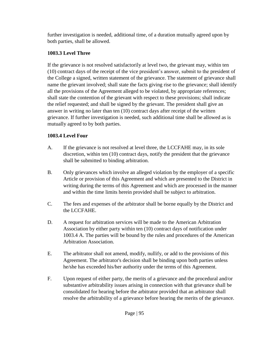further investigation is needed, additional time, of a duration mutually agreed upon by both parties, shall be allowed.

# **1003.3 Level Three**

If the grievance is not resolved satisfactorily at level two, the grievant may, within ten (10) contract days of the receipt of the vice president's answer, submit to the president of the College a signed, written statement of the grievance. The statement of grievance shall name the grievant involved; shall state the facts giving rise to the grievance; shall identify all the provisions of the Agreement alleged to be violated, by appropriate references; shall state the contention of the grievant with respect to these provisions; shall indicate the relief requested; and shall be signed by the grievant. The president shall give an answer in writing no later than ten (10) contract days after receipt of the written grievance. If further investigation is needed, such additional time shall be allowed as is mutually agreed to by both parties.

# **1003.4 Level Four**

- A. If the grievance is not resolved at level three, the LCCFAHE may, in its sole discretion, within ten (10) contract days, notify the president that the grievance shall be submitted to binding arbitration.
- B. Only grievances which involve an alleged violation by the employer of a specific Article or provision of this Agreement and which are presented to the District in writing during the terms of this Agreement and which are processed in the manner and within the time limits herein provided shall be subject to arbitration.
- C. The fees and expenses of the arbitrator shall be borne equally by the District and the LCCFAHE.
- D. A request for arbitration services will be made to the American Arbitration Association by either party within ten (10) contract days of notification under 1003.4 A. The parties will be bound by the rules and procedures of the American Arbitration Association.
- E. The arbitrator shall not amend, modify, nullify, or add to the provisions of this Agreement. The arbitrator's decision shall be binding upon both parties unless he/she has exceeded his/her authority under the terms of this Agreement.
- F. Upon request of either party, the merits of a grievance and the procedural and/or substantive arbitrability issues arising in connection with that grievance shall be consolidated for hearing before the arbitrator provided that an arbitrator shall resolve the arbitrability of a grievance before hearing the merits of the grievance.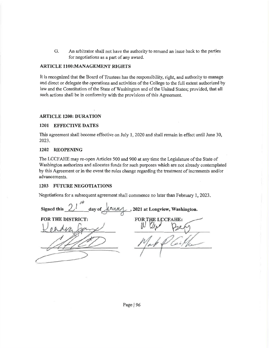G. An arbitrator shall not have the authority to remand an issue back to the parties for negotiations as a part of any award.

#### **ARTICLE 1100:MANAGEMENT RIGHTS**

It is recognized that the Board of Trustees has the responsibility, right, and authority to manage and direct or delegate the operations and activities of the College to the full extent authorized by law and the Constitution of the State of Washington and of the United States; provided, that all such actions shall be in conformity with the provisions of this Agreement.

#### **ARTICLE 1200: DURATION**

#### **1201 EFFECTIVE DATES**

This agreement shall become effective on July 1, 2020 and shall remain in effect until June 30, 2023.

#### 1202 REOPENING

The LCCFAHE may re-open Articles 500 and 900 at any time the Legislature of the State of Washington authorizes and allocates funds for such purposes which are not already contemplated by this Agreement or in the event the rules change regarding the treatment of increments and/or advancements.

#### **1203 FUTURE NEGOTIATIONS**

Negotiations for a subsequent agreement shall commence no later than February 1, 2023.

Signed this , 2021 at Longview, Washington. day of **FOR THE DISTRICT: FOR THE LCCFAHE:** 

Page | 96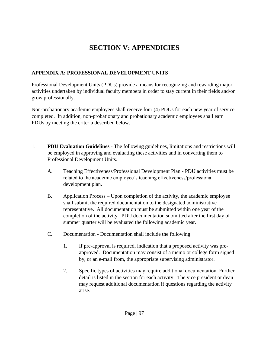# **SECTION V: APPENDICIES**

#### **APPENDIX A: PROFESSIONAL DEVELOPMENT UNITS**

Professional Development Units (PDUs) provide a means for recognizing and rewarding major activities undertaken by individual faculty members in order to stay current in their fields and/or grow professionally.

Non-probationary academic employees shall receive four (4) PDUs for each new year of service completed. In addition, non-probationary and probationary academic employees shall earn PDUs by meeting the criteria described below.

- 1. **PDU Evaluation Guidelines** The following guidelines, limitations and restrictions will be employed in approving and evaluating these activities and in converting them to Professional Development Units.
	- A. Teaching Effectiveness/Professional Development Plan PDU activities must be related to the academic employee's teaching effectiveness/professional development plan.
	- B. Application Process Upon completion of the activity, the academic employee shall submit the required documentation to the designated administrative representative. All documentation must be submitted within one year of the completion of the activity. PDU documentation submitted after the first day of summer quarter will be evaluated the following academic year.
	- C. Documentation Documentation shall include the following:
		- 1. If pre-approval is required, indication that a proposed activity was preapproved. Documentation may consist of a memo or college form signed by, or an e-mail from, the appropriate supervising administrator.
		- 2. Specific types of activities may require additional documentation. Further detail is listed in the section for each activity. The vice president or dean may request additional documentation if questions regarding the activity arise.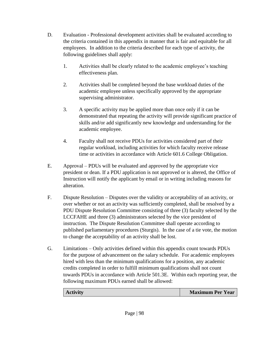- D. Evaluation Professional development activities shall be evaluated according to the criteria contained in this appendix in manner that is fair and equitable for all employees. In addition to the criteria described for each type of activity, the following guidelines shall apply:
	- 1. Activities shall be clearly related to the academic employee's teaching effectiveness plan.
	- 2. Activities shall be completed beyond the base workload duties of the academic employee unless specifically approved by the appropriate supervising administrator.
	- 3. A specific activity may be applied more than once only if it can be demonstrated that repeating the activity will provide significant practice of skills and/or add significantly new knowledge and understanding for the academic employee.
	- 4. Faculty shall not receive PDUs for activities considered part of their regular workload, including activities for which faculty receive release time or activities in accordance with Article 601.6 College Obligation.
- E. Approval PDUs will be evaluated and approved by the appropriate vice president or dean. If a PDU application is not approved or is altered, the Office of Instruction will notify the applicant by email or in writing including reasons for alteration.
- F. Dispute Resolution Disputes over the validity or acceptability of an activity, or over whether or not an activity was sufficiently completed, shall be resolved by a PDU Dispute Resolution Committee consisting of three (3) faculty selected by the LCCFAHE and three (3) administrators selected by the vice president of instruction. The Dispute Resolution Committee shall operate according to published parliamentary procedures (Sturgis). In the case of a tie vote, the motion to change the acceptability of an activity shall be lost.
- G. Limitations Only activities defined within this appendix count towards PDUs for the purpose of advancement on the salary schedule. For academic employees hired with less than the minimum qualifications for a position, any academic credits completed in order to fulfill minimum qualifications shall not count towards PDUs in accordance with Article 501.3E. Within each reporting year, the following maximum PDUs earned shall be allowed:

| <b>Maximum Per Year</b><br><b>Activity</b> |
|--------------------------------------------|
|--------------------------------------------|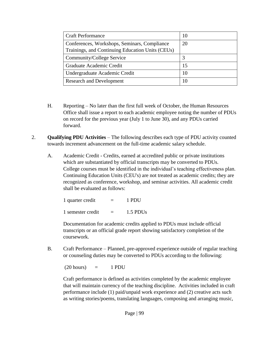| <b>Craft Performance</b>                         | 10 |
|--------------------------------------------------|----|
| Conferences, Workshops, Seminars, Compliance     | 20 |
| Trainings, and Continuing Education Units (CEUs) |    |
| Community/College Service                        | 3  |
| Graduate Academic Credit                         | 15 |
| Undergraduate Academic Credit                    | 10 |
| <b>Research and Development</b>                  | 10 |

- H. Reporting No later than the first full week of October, the Human Resources Office shall issue a report to each academic employee noting the number of PDUs on record for the previous year (July 1 to June 30), and any PDUs carried forward.
- 2. **Qualifying PDU Activities** The following describes each type of PDU activity counted towards increment advancement on the full-time academic salary schedule.
	- A. Academic Credit Credits, earned at accredited public or private institutions which are substantiated by official transcripts may be converted to PDUs. College courses must be identified in the individual's teaching effectiveness plan. Continuing Education Units (CEU's) are not treated as academic credits; they are recognized as conference, workshop, and seminar activities. All academic credit shall be evaluated as follows:

| 1 quarter credit  | $\equiv$ | 1 PDU                |  |
|-------------------|----------|----------------------|--|
| 1 semester credit |          | 1.5 PDU <sub>s</sub> |  |

Documentation for academic credits applied to PDUs must include official transcripts or an official grade report showing satisfactory completion of the coursework.

B. Craft Performance – Planned, pre-approved experience outside of regular teaching or counseling duties may be converted to PDUs according to the following:

 $(20 \text{ hours}) = 1 \text{ PDU}$ 

Craft performance is defined as activities completed by the academic employee that will maintain currency of the teaching discipline. Activities included in craft performance include (1) paid/unpaid work experience and (2) creative acts such as writing stories/poems, translating languages, composing and arranging music,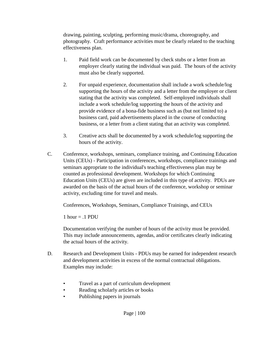drawing, painting, sculpting, performing music/drama, choreography, and photography. Craft performance activities must be clearly related to the teaching effectiveness plan.

- 1. Paid field work can be documented by check stubs or a letter from an employer clearly stating the individual was paid. The hours of the activity must also be clearly supported.
- 2. For unpaid experience, documentation shall include a work schedule/log supporting the hours of the activity and a letter from the employer or client stating that the activity was completed. Self-employed individuals shall include a work schedule/log supporting the hours of the activity and provide evidence of a bona-fide business such as (but not limited to) a business card, paid advertisements placed in the course of conducting business, or a letter from a client stating that an activity was completed.
- 3. Creative acts shall be documented by a work schedule/log supporting the hours of the activity.
- C. Conference, workshops, seminars, compliance training, and Continuing Education Units (CEUs) - Participation in conferences, workshops, compliance trainings and seminars appropriate to the individual's teaching effectiveness plan may be counted as professional development. Workshops for which Continuing Education Units (CEUs) are given are included in this type of activity. PDUs are awarded on the basis of the actual hours of the conference, workshop or seminar activity, excluding time for travel and meals.

Conferences, Workshops, Seminars, Compliance Trainings, and CEUs

1 hour  $= .1$  PDU

Documentation verifying the number of hours of the activity must be provided. This may include announcements, agendas, and/or certificates clearly indicating the actual hours of the activity.

- D. Research and Development Units PDUs may be earned for independent research and development activities in excess of the normal contractual obligations. Examples may include:
	- Travel as a part of curriculum development
	- Reading scholarly articles or books
	- Publishing papers in journals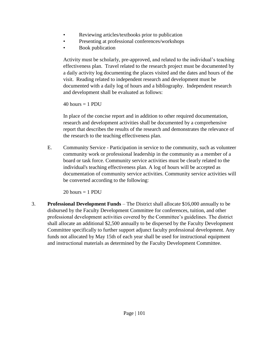- Reviewing articles/textbooks prior to publication
- Presenting at professional conferences/workshops
- Book publication

Activity must be scholarly, pre-approved, and related to the individual's teaching effectiveness plan. Travel related to the research project must be documented by a daily activity log documenting the places visited and the dates and hours of the visit. Reading related to independent research and development must be documented with a daily log of hours and a bibliography. Independent research and development shall be evaluated as follows:

 $40$  hours = 1 PDU

In place of the concise report and in addition to other required documentation, research and development activities shall be documented by a comprehensive report that describes the results of the research and demonstrates the relevance of the research to the teaching effectiveness plan.

E. Community Service - Participation in service to the community, such as volunteer community work or professional leadership in the community as a member of a board or task force. Community service activities must be clearly related to the individual's teaching effectiveness plan. A log of hours will be accepted as documentation of community service activities. Community service activities will be converted according to the following:

 $20$  hours = 1 PDU

3. **Professional Development Funds** – The District shall allocate \$16,000 annually to be disbursed by the Faculty Development Committee for conferences, tuition, and other professional development activities covered by the Committee's guidelines. The district shall allocate an additional \$2,500 annually to be dispersed by the Faculty Development Committee specifically to further support adjunct faculty professional development. Any funds not allocated by May 15th of each year shall be used for instructional equipment and instructional materials as determined by the Faculty Development Committee.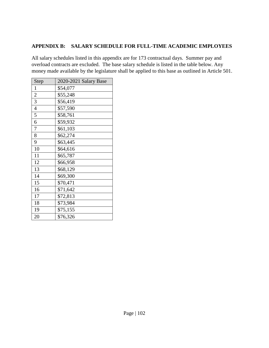#### **APPENDIX B: SALARY SCHEDULE FOR FULL-TIME ACADEMIC EMPLOYEES**

All salary schedules listed in this appendix are for 173 contractual days. Summer pay and overload contracts are excluded. The base salary schedule is listed in the table below. Any money made available by the legislature shall be applied to this base as outlined in Article 501.

| Step           | 2020-2021 Salary Base |
|----------------|-----------------------|
| 1              | \$54,077              |
| $\overline{2}$ | \$55,248              |
| 3              | \$56,419              |
| $\overline{4}$ | \$57,590              |
| 5              | \$58,761              |
| 6              | \$59,932              |
| 7              | \$61,103              |
| 8              | \$62,274              |
| 9              | \$63,445              |
| 10             | \$64,616              |
| 11             | \$65,787              |
| 12             | \$66,958              |
| 13             | \$68,129              |
| 14             | \$69,300              |
| 15             | \$70,471              |
| 16             | \$71,642              |
| 17             | \$72,813              |
| 18             | \$73,984              |
| 19             | \$75,155              |
| 20             | \$76,326              |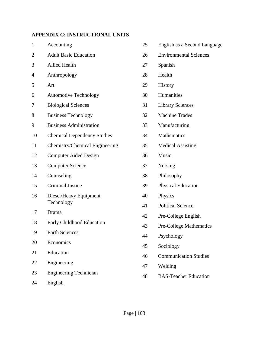# **APPENDIX C: INSTRUCTIONAL UNITS**

| $\mathbf{1}$   | Accounting                         | 25 | English as a Second Language   |
|----------------|------------------------------------|----|--------------------------------|
| $\overline{2}$ | <b>Adult Basic Education</b>       | 26 | <b>Environmental Sciences</b>  |
| 3              | <b>Allied Health</b>               | 27 | Spanish                        |
| 4              | Anthropology                       | 28 | Health                         |
| 5              | Art                                | 29 | History                        |
| 6              | <b>Automotive Technology</b>       | 30 | Humanities                     |
| 7              | <b>Biological Sciences</b>         | 31 | <b>Library Sciences</b>        |
| 8              | <b>Business Technology</b>         | 32 | <b>Machine Trades</b>          |
| 9              | <b>Business Administration</b>     | 33 | Manufacturing                  |
| 10             | <b>Chemical Dependency Studies</b> | 34 | Mathematics                    |
| 11             | Chemistry/Chemical Engineering     | 35 | <b>Medical Assisting</b>       |
| 12             | <b>Computer Aided Design</b>       | 36 | Music                          |
| 13             | <b>Computer Science</b>            | 37 | <b>Nursing</b>                 |
| 14             | Counseling                         | 38 | Philosophy                     |
| 15             | <b>Criminal Justice</b>            | 39 | <b>Physical Education</b>      |
| 16             | Diesel/Heavy Equipment             | 40 | Physics                        |
|                | Technology                         | 41 | <b>Political Science</b>       |
| 17             | Drama                              | 42 | Pre-College English            |
| 18             | Early Childhood Education          | 43 | <b>Pre-College Mathematics</b> |
| 19             | <b>Earth Sciences</b>              | 44 | Psychology                     |
| 20             | Economics                          | 45 | Sociology                      |
| 21             | Education                          | 46 | <b>Communication Studies</b>   |
| 22             | Engineering                        | 47 | Welding                        |
| 23             | <b>Engineering Technician</b>      | 48 | <b>BAS-Teacher Education</b>   |
| 24             | English                            |    |                                |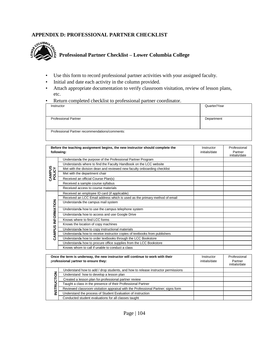#### **APPENDIX D: PROFESSIONAL PARTNER CHECKLIST**



- Use this form to record professional partner activities with your assigned faculty.
- Initial and date each activity in the column provided.
- Attach appropriate documentation to verify classroom visitation, review of lesson plans, etc.
- Return completed checklist to professional partner coordinator.

| Instructor                                     | Quarter/Year |
|------------------------------------------------|--------------|
| <b>Professional Partner</b>                    | Department   |
| Professional Partner recommendations/comments: |              |

| Before the teaching assignment begins, the new instructor should complete the<br>following: |                                                                            | Instructor<br>initials/date | Professional<br>Partner<br>initials/date |
|---------------------------------------------------------------------------------------------|----------------------------------------------------------------------------|-----------------------------|------------------------------------------|
|                                                                                             | Understands the purpose of the Professional Partner Program                |                             |                                          |
|                                                                                             | Understands where to find the Faculty Handbook on the LCC website          |                             |                                          |
|                                                                                             | Met with the division dean and reviewed new faculty onboarding checklist   |                             |                                          |
| CAMPUS<br>POLICY                                                                            | Met with the department chair                                              |                             |                                          |
|                                                                                             | Received an official Course Plan(s)                                        |                             |                                          |
|                                                                                             | Received a sample course syllabus                                          |                             |                                          |
|                                                                                             | Received access to course materials                                        |                             |                                          |
|                                                                                             | Received an employee ID card (if applicable)                               |                             |                                          |
|                                                                                             | Received an LCC Email address which is used as the primary method of email |                             |                                          |
|                                                                                             | Understands the campus mail system                                         |                             |                                          |
|                                                                                             | Understands how to use the campus telephone system                         |                             |                                          |
|                                                                                             | Understands how to access and use Google Drive                             |                             |                                          |
|                                                                                             | Knows where to find LCC forms                                              |                             |                                          |
| CAMPUS INFORMATION                                                                          | Knows the location of copy machines                                        |                             |                                          |
|                                                                                             | Understands how to copy instructional materials                            |                             |                                          |
|                                                                                             | Understands how to receive instructor copies of textbooks from publishers  |                             |                                          |
|                                                                                             | Understands how to order textbooks through the LCC Bookstore               |                             |                                          |
|                                                                                             | Understands how to procure office supplies from the LCC Bookstore          |                             |                                          |
|                                                                                             | Knows whom to call if unable to conduct a class                            |                             |                                          |

|    | Once the term is underway, the new instructor will continue to work with their<br>professional partner to ensure they: | Instructor<br>initials/date | Professional<br>Partner<br>initials/date |
|----|------------------------------------------------------------------------------------------------------------------------|-----------------------------|------------------------------------------|
|    | Understand how to add / drop students, and how to release instructor permissions                                       |                             |                                          |
|    | Understand how to develop a lesson plan                                                                                |                             |                                          |
|    | Created a lesson plan for-professional partner review                                                                  |                             |                                          |
|    | Taught a class in the presence of their Professional Partner                                                           |                             |                                          |
| 'n | Reviewed classroom visitation appraisal with the Professional Partner; signs form                                      |                             |                                          |
|    | Understand the process of Student Evaluation of instruction                                                            |                             |                                          |
|    | Conducted student evaluations for all classes taught                                                                   |                             |                                          |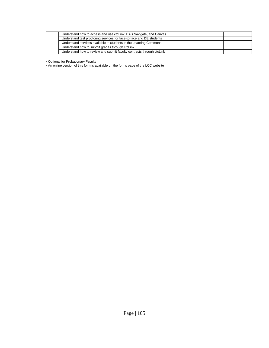| Understand how to access and use ctcLink, EAB Navigate, and Canvas    |  |
|-----------------------------------------------------------------------|--|
| Understand test proctoring services for face-to-face and DE students  |  |
| Understand services available to students in the Learning Commons     |  |
| Understand how to submit grades through ctcLink                       |  |
| Understand how to review and submit faculty contracts through ctcLink |  |

• Optional for Probationary Faculty

• An online version of this form is available on the forms page of the LCC website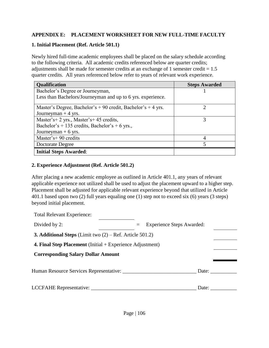#### **APPENDIX E: PLACEMENT WORKSHEET FOR NEW FULL-TIME FACULTY**

#### **1. Initial Placement (Ref. Article 501.1)**

Newly hired full-time academic employees shall be placed on the salary schedule according to the following criteria. All academic credits referenced below are quarter credits; adjustments shall be made for semester credits at an exchange of 1 semester credit  $= 1.5$ quarter credits. All years referenced below refer to years of relevant work experience.

| Qualification                                                | <b>Steps Awarded</b> |
|--------------------------------------------------------------|----------------------|
| Bachelor's Degree or Journeyman,                             |                      |
| Less than Bachelors/Journeyman and up to 6 yrs. experience.  |                      |
| Master's Degree, Bachelor's + 90 credit, Bachelor's + 4 yrs. |                      |
| Journeyman $+4$ yrs.                                         |                      |
| Master's+2 yrs., Master's+45 credits,                        |                      |
| Bachelor's + 135 credits, Bachelor's + 6 yrs.,               |                      |
| Journeyman $+ 6$ yrs.                                        |                      |
| Master's+90 credits                                          |                      |
| Doctorate Degree                                             |                      |
| <b>Initial Steps Awarded:</b>                                |                      |

#### **2. Experience Adjustment (Ref. Article 501.2)**

After placing a new academic employee as outlined in Article 401.1, any years of relevant applicable experience not utilized shall be used to adjust the placement upward to a higher step. Placement shall be adjusted for applicable relevant experience beyond that utilized in Article 401.1 based upon two (2) full years equaling one (1) step not to exceed six (6) years (3 steps) beyond initial placement.

| <b>Total Relevant Experience:</b>                                 |                                  |  |
|-------------------------------------------------------------------|----------------------------------|--|
| Divided by 2:                                                     | <b>Experience Steps Awarded:</b> |  |
| <b>3. Additional Steps</b> (Limit two $(2)$ – Ref. Article 501.2) |                                  |  |
| 4. Final Step Placement (Initial + Experience Adjustment)         |                                  |  |
| <b>Corresponding Salary Dollar Amount</b>                         |                                  |  |
|                                                                   | Date:                            |  |
| LCCFAHE Representative: ___                                       | Date:                            |  |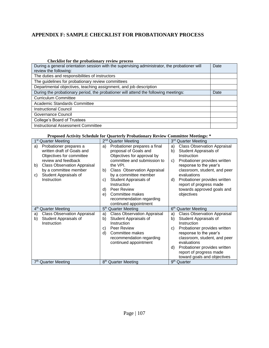### **APPENDIX F: SAMPLE CHECKLIST FOR PROBATIONARY PROCESS**

| Checklist for the probationary review process                                                 |      |
|-----------------------------------------------------------------------------------------------|------|
| During a general orientation session with the supervising administrator, the probationer will | Date |
| review the following:                                                                         |      |
| The duties and responsibilities of instructors                                                |      |
| The guidelines for probationary review committees                                             |      |
| Departmental objectives, teaching assignment, and job description                             |      |
| During the probationary period, the probationer will attend the following meetings:           | Date |
| <b>Curriculum Committee</b>                                                                   |      |
| Academic Standards Committee                                                                  |      |
| <b>Instructional Council</b>                                                                  |      |
| Governance Council                                                                            |      |
| College's Board of Trustees                                                                   |      |
| Instructional Assessment Committee                                                            |      |

#### **Proposed Activity Schedule for Quarterly Probationary Review Committee Meetings: \***

| 1 <sup>st</sup><br><b>Quarter Meeting</b> | 2 <sup>nd</sup><br><b>Quarter Meeting</b> | 3 <sup>rd</sup><br><b>Quarter Meeting</b>              |
|-------------------------------------------|-------------------------------------------|--------------------------------------------------------|
| Probationer prepares a<br>a)              | Probationer prepares a final<br>a)        | <b>Class Observation Appraisal</b><br>a)               |
| written draft of Goals and                | proposal of Goals and                     | b)<br>Student Appraisals of                            |
| Objectives for committee                  | Objectives for approval by                | Instruction                                            |
| review and feedback                       | committee and submission to               | Probationer provides written<br>C)                     |
| <b>Class Observation Appraisal</b><br>b)  | the VPI.                                  | response to the year's                                 |
| by a committee member                     | Class Observation Appraisal<br>b)         | classroom, student, and peer                           |
| Student Appraisals of<br>C)               | by a committee member                     | evaluations                                            |
| Instruction                               | Student Appraisals of<br>C)               | Probationer provides written<br>d)                     |
|                                           | Instruction                               | report of progress made                                |
|                                           | Peer Review<br>d)                         | towards approved goals and                             |
|                                           | Committee makes<br>e)                     | objectives                                             |
|                                           | recommendation regarding                  |                                                        |
|                                           | continued appointment                     |                                                        |
| 4 <sup>th</sup> Quarter Meeting           | 5 <sup>th</sup> Quarter Meeting           | 6 <sup>th</sup> Quarter Meeting                        |
| <b>Class Observation Appraisal</b><br>a)  | <b>Class Observation Appraisal</b><br>a)  | <b>Class Observation Appraisal</b><br>a)               |
| Student Appraisals of<br>b)               | Student Appraisals of<br>b)               | Student Appraisals of<br>b)                            |
| Instruction                               | Instruction                               | Instruction                                            |
|                                           | Peer Review<br>C)                         | Probationer provides written<br>C)                     |
|                                           |                                           |                                                        |
|                                           | Committee makes<br>d)                     | response to the year's                                 |
|                                           | recommendation regarding                  | classroom, student, and peer                           |
|                                           | continued appointment                     | evaluations                                            |
|                                           |                                           | Probationer provides written<br>d)                     |
|                                           |                                           | report of progress made                                |
| 7 <sup>th</sup> Quarter Meeting           | 8 <sup>th</sup> Quarter Meeting           | toward goals and objectives<br>9 <sup>th</sup> Quarter |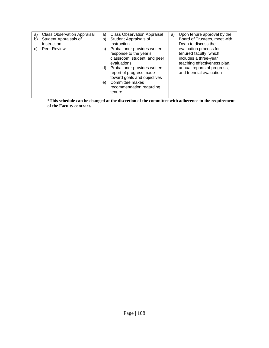| a)<br>b)<br>C) | <b>Class Observation Appraisal</b><br>Student Appraisals of<br>Instruction<br>Peer Review | a)<br>b)<br>C) | <b>Class Observation Appraisal</b><br>Student Appraisals of<br>Instruction<br>Probationer provides written<br>response to the year's<br>classroom, student, and peer<br>evaluations | a) | Upon tenure approval by the<br>Board of Trustees, meet with<br>Dean to discuss the<br>evaluation process for<br>tenured faculty, which<br>includes a three-year<br>teaching effectiveness plan, |
|----------------|-------------------------------------------------------------------------------------------|----------------|-------------------------------------------------------------------------------------------------------------------------------------------------------------------------------------|----|-------------------------------------------------------------------------------------------------------------------------------------------------------------------------------------------------|
|                |                                                                                           | d)<br>e)       | Probationer provides written<br>report of progress made<br>toward goals and objectives<br>Committee makes<br>recommendation regarding<br>tenure                                     |    | annual reports of progress,<br>and triennial evaluation                                                                                                                                         |

\***This schedule can be changed at the discretion of the committee with adherence to the requirements of the Faculty contract.**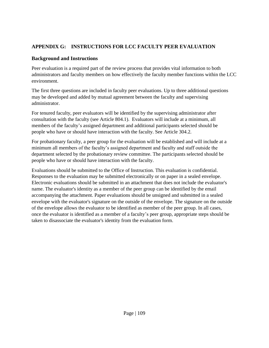#### **APPENDIX G: INSTRUCTIONS FOR LCC FACULTY PEER EVALUATION**

#### **Background and Instructions**

Peer evaluation is a required part of the review process that provides vital information to both administrators and faculty members on how effectively the faculty member functions within the LCC environment.

The first three questions are included in faculty peer evaluations. Up to three additional questions may be developed and added by mutual agreement between the faculty and supervising administrator.

For tenured faculty, peer evaluators will be identified by the supervising administrator after consultation with the faculty (see Article 804.1). Evaluators will include at a minimum, all members of the faculty's assigned department and additional participants selected should be people who have or should have interaction with the faculty. See Article 304.2.

For probationary faculty, a peer group for the evaluation will be established and will include at a minimum all members of the faculty's assigned department and faculty and staff outside the department selected by the probationary review committee. The participants selected should be people who have or should have interaction with the faculty.

Evaluations should be submitted to the Office of Instruction. This evaluation is confidential. Responses to the evaluation may be submitted electronically or on paper in a sealed envelope. Electronic evaluations should be submitted in an attachment that does not include the evaluator's name. The evaluator's identity as a member of the peer group can be identified by the email accompanying the attachment. Paper evaluations should be unsigned and submitted in a sealed envelope with the evaluator's signature on the outside of the envelope. The signature on the outside of the envelope allows the evaluator to be identified as member of the peer group. In all cases, once the evaluator is identified as a member of a faculty's peer group, appropriate steps should be taken to disassociate the evaluator's identity from the evaluation form.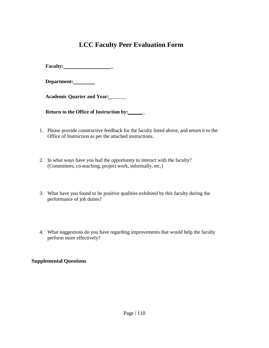# **LCC Faculty Peer Evaluation Form**

**Faculty: \_** 

**Department:**

**Academic Quarter and Year:** \_\_\_\_\_\_

**Return to the Office of Instruction by:** \_

- 1. Please provide constructive feedback for the faculty listed above, and return it to the Office of Instruction as per the attached instructions.
- 2. In what ways have you had the opportunity to interact with the faculty? (Committees, co-teaching, project work, informally, etc.)
- 3. What have you found to be positive qualities exhibited by this faculty during the performance of job duties?
- 4. What suggestions do you have regarding improvements that would help the faculty perform more effectively?

#### **Supplemental Questions**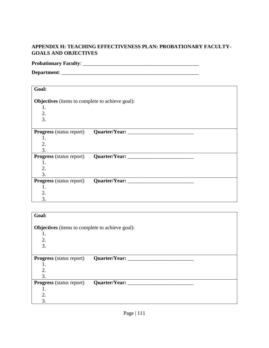#### **APPENDIX H: TEACHING EFFECTIVENESS PLAN: PROBATIONARY FACULTY-GOALS AND OBJECTIVES**

## **Probationary Faculty**: \_\_\_\_\_\_\_\_\_\_\_\_\_\_\_\_\_\_\_\_\_\_\_\_\_\_\_\_\_\_\_\_\_\_\_\_\_\_\_\_\_\_\_\_

**Department**: \_\_\_\_\_\_\_\_\_\_\_\_\_\_\_\_\_\_\_\_\_\_\_\_\_\_\_\_\_\_\_\_\_\_\_\_\_\_\_\_\_\_\_\_\_\_\_\_\_\_\_\_

| Goal:                                                  |  |
|--------------------------------------------------------|--|
|                                                        |  |
| <b>Objectives</b> (items to complete to achieve goal): |  |
| 1.                                                     |  |
| 2.                                                     |  |
| $\overline{3}$ .                                       |  |
|                                                        |  |
|                                                        |  |
| 1.                                                     |  |
| $\overline{2}$ .                                       |  |
| 3.                                                     |  |
|                                                        |  |
| 1.                                                     |  |
| $\overline{2}$ .                                       |  |
| $\overline{3}$                                         |  |
|                                                        |  |
| 1.                                                     |  |
| 2.                                                     |  |
| 3.                                                     |  |

| Goal:                                                  |                    |  |  |
|--------------------------------------------------------|--------------------|--|--|
| <b>Objectives</b> (items to complete to achieve goal): |                    |  |  |
| 1.                                                     |                    |  |  |
| 2.                                                     |                    |  |  |
| 3.                                                     |                    |  |  |
|                                                        |                    |  |  |
| <b>Progress</b> (status report)                        | Quarter/Year:      |  |  |
| 1.                                                     |                    |  |  |
| 2.                                                     |                    |  |  |
| 3.                                                     |                    |  |  |
| <b>Progress</b> (status report)                        | Quarter/Year: ____ |  |  |
| 1.                                                     |                    |  |  |
| 2.                                                     |                    |  |  |
| 3.                                                     |                    |  |  |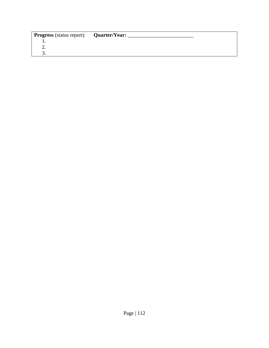| <b>Progress</b> (status report) | Quarter/Year: |  |
|---------------------------------|---------------|--|
| . .                             |               |  |
| ـ.                              |               |  |
| J.                              |               |  |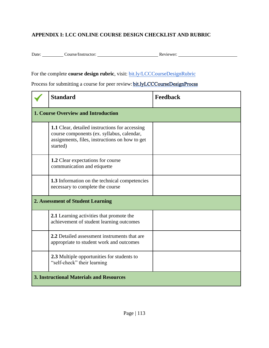### **APPENDIX I: LCC ONLINE COURSE DESIGN CHECKLIST AND RUBRIC**

Date: Course/Instructor: Course/Instructor: Reviewer: Reviewer:

For the complete **course design rubric**, visit: [bit.ly/LCCCourseDesignRubric](http://bit.ly/LCCCourseDesignRubric)

Process for submitting a course for peer review: [bit.lyLCCCourseDesignProcss](https://docs.google.com/document/d/1Iq-Gnrx4QoGHO9uqsX9kyf92Y72Dz8Sw/edit)

| <b>Standard</b>                                                                                                                                                   | Feedback |  |  |
|-------------------------------------------------------------------------------------------------------------------------------------------------------------------|----------|--|--|
| <b>1. Course Overview and Introduction</b>                                                                                                                        |          |  |  |
| <b>1.1</b> Clear, detailed instructions for accessing<br>course components (ex. syllabus, calendar,<br>assignments, files, instructions on how to get<br>started) |          |  |  |
| <b>1.2</b> Clear expectations for course<br>communication and etiquette                                                                                           |          |  |  |
| <b>1.3</b> Information on the technical competencies<br>necessary to complete the course                                                                          |          |  |  |
| 2. Assessment of Student Learning                                                                                                                                 |          |  |  |
| 2.1 Learning activities that promote the<br>achievement of student learning outcomes                                                                              |          |  |  |
| 2.2 Detailed assessment instruments that are<br>appropriate to student work and outcomes                                                                          |          |  |  |
| 2.3 Multiple opportunities for students to<br>"self-check" their learning                                                                                         |          |  |  |
| <b>3. Instructional Materials and Resources</b>                                                                                                                   |          |  |  |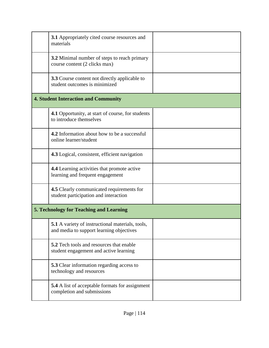| <b>3.1</b> Appropriately cited course resources and<br>materials                                    |  |
|-----------------------------------------------------------------------------------------------------|--|
| 3.2 Minimal number of steps to reach primary<br>course content (2 clicks max)                       |  |
| <b>3.3</b> Course content not directly applicable to<br>student outcomes is minimized               |  |
| <b>4. Student Interaction and Community</b>                                                         |  |
| 4.1 Opportunity, at start of course, for students<br>to introduce themselves                        |  |
| <b>4.2</b> Information about how to be a successful<br>online learner/student                       |  |
| 4.3 Logical, consistent, efficient navigation                                                       |  |
| <b>4.4</b> Learning activities that promote active<br>learning and frequent engagement              |  |
| 4.5 Clearly communicated requirements for<br>student participation and interaction                  |  |
| <b>5. Technology for Teaching and Learning</b>                                                      |  |
| <b>5.1</b> A variety of instructional materials, tools,<br>and media to support learning objectives |  |
| <b>5.2</b> Tech tools and resources that enable<br>student engagement and active learning           |  |
| <b>5.3</b> Clear information regarding access to<br>technology and resources                        |  |
| 5.4 A list of acceptable formats for assignment<br>completion and submissions                       |  |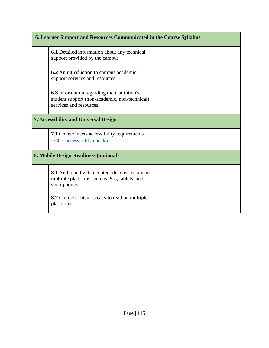| 6. Learner Support and Resources Communicated in the Course Syllabus |                                                                                                                               |  |  |
|----------------------------------------------------------------------|-------------------------------------------------------------------------------------------------------------------------------|--|--|
|                                                                      | <b>6.1</b> Detailed information about any technical<br>support provided by the campus                                         |  |  |
|                                                                      | <b>6.2</b> An introduction to campus academic<br>support services and resources                                               |  |  |
|                                                                      | <b>6.3</b> Information regarding the institution's<br>student support (non-academic, non-technical)<br>services and resources |  |  |
|                                                                      | <b>7. Accessibility and Universal Design</b>                                                                                  |  |  |
|                                                                      | <b>7.1</b> Course meets accessibility requirements<br><b>LCC's accessibility checklist</b>                                    |  |  |
| 8. Mobile Design Readiness (optional)                                |                                                                                                                               |  |  |
|                                                                      | <b>8.1</b> Audio and video content displays easily on<br>multiple platforms such as PCs, tablets, and<br>smartphones          |  |  |
|                                                                      | <b>8.2</b> Course content is easy to read on multiple<br>platforms                                                            |  |  |